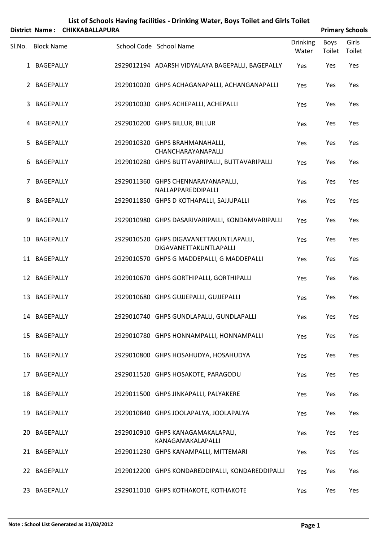| List of Schools Having facilities - Drinking Water, Boys Toilet and Girls Toilet<br><b>CHIKKABALLAPURA</b><br><b>Primary Schools</b><br><b>District Name:</b> |                   |  |  |                                                                   |                          |                |                 |  |
|---------------------------------------------------------------------------------------------------------------------------------------------------------------|-------------------|--|--|-------------------------------------------------------------------|--------------------------|----------------|-----------------|--|
| Sl.No.                                                                                                                                                        | <b>Block Name</b> |  |  | School Code School Name                                           | <b>Drinking</b><br>Water | Boys<br>Toilet | Girls<br>Toilet |  |
|                                                                                                                                                               | 1 BAGEPALLY       |  |  | 2929012194 ADARSH VIDYALAYA BAGEPALLI, BAGEPALLY                  | Yes                      | Yes            | Yes             |  |
|                                                                                                                                                               | 2 BAGEPALLY       |  |  | 2929010020 GHPS ACHAGANAPALLI, ACHANGANAPALLI                     | Yes                      | Yes            | Yes             |  |
| 3                                                                                                                                                             | BAGEPALLY         |  |  | 2929010030 GHPS ACHEPALLI, ACHEPALLI                              | Yes                      | Yes            | Yes             |  |
| 4                                                                                                                                                             | BAGEPALLY         |  |  | 2929010200 GHPS BILLUR, BILLUR                                    | Yes                      | Yes            | Yes             |  |
| 5                                                                                                                                                             | BAGEPALLY         |  |  | 2929010320 GHPS BRAHMANAHALLI,<br>CHANCHARAYANAPALLI              | Yes                      | Yes            | Yes             |  |
| 6                                                                                                                                                             | <b>BAGEPALLY</b>  |  |  | 2929010280 GHPS BUTTAVARIPALLI, BUTTAVARIPALLI                    | Yes                      | Yes            | Yes             |  |
| 7                                                                                                                                                             | BAGEPALLY         |  |  | 2929011360 GHPS CHENNARAYANAPALLI,<br>NALLAPPAREDDIPALLI          | Yes                      | Yes            | Yes             |  |
| 8                                                                                                                                                             | <b>BAGEPALLY</b>  |  |  | 2929011850 GHPS D KOTHAPALLI, SAJJUPALLI                          | Yes                      | Yes            | Yes             |  |
| 9                                                                                                                                                             | BAGEPALLY         |  |  | 2929010980 GHPS DASARIVARIPALLI, KONDAMVARIPALLI                  | Yes                      | Yes            | Yes             |  |
| 10                                                                                                                                                            | <b>BAGEPALLY</b>  |  |  | 2929010520 GHPS DIGAVANETTAKUNTLAPALLI,<br>DIGAVANETTAKUNTLAPALLI | Yes                      | Yes            | Yes             |  |
|                                                                                                                                                               | 11 BAGEPALLY      |  |  | 2929010570 GHPS G MADDEPALLI, G MADDEPALLI                        | Yes                      | Yes            | Yes             |  |
|                                                                                                                                                               | 12 BAGEPALLY      |  |  | 2929010670 GHPS GORTHIPALLI, GORTHIPALLI                          | Yes                      | Yes            | Yes             |  |
|                                                                                                                                                               | 13 BAGEPALLY      |  |  | 2929010680 GHPS GUJJEPALLI, GUJJEPALLI                            | Yes                      | Yes            | Yes             |  |
|                                                                                                                                                               | 14 BAGEPALLY      |  |  | 2929010740 GHPS GUNDLAPALLI, GUNDLAPALLI                          | Yes                      | Yes            | Yes             |  |
|                                                                                                                                                               | 15 BAGEPALLY      |  |  | 2929010780 GHPS HONNAMPALLI, HONNAMPALLI                          | Yes                      | Yes            | Yes             |  |
|                                                                                                                                                               | 16 BAGEPALLY      |  |  | 2929010800 GHPS HOSAHUDYA, HOSAHUDYA                              | Yes                      | Yes            | Yes             |  |
|                                                                                                                                                               | 17 BAGEPALLY      |  |  | 2929011520 GHPS HOSAKOTE, PARAGODU                                | Yes                      | Yes            | Yes             |  |
|                                                                                                                                                               | 18 BAGEPALLY      |  |  | 2929011500 GHPS JINKAPALLI, PALYAKERE                             | Yes                      | Yes            | Yes             |  |
|                                                                                                                                                               | 19 BAGEPALLY      |  |  | 2929010840 GHPS JOOLAPALYA, JOOLAPALYA                            | Yes                      | Yes            | Yes             |  |
|                                                                                                                                                               | 20 BAGEPALLY      |  |  | 2929010910 GHPS KANAGAMAKALAPALI,<br>KANAGAMAKALAPALLI            | Yes                      | Yes            | Yes             |  |
|                                                                                                                                                               | 21 BAGEPALLY      |  |  | 2929011230 GHPS KANAMPALLI, MITTEMARI                             | Yes                      | Yes            | Yes             |  |
|                                                                                                                                                               | 22 BAGEPALLY      |  |  | 2929012200 GHPS KONDAREDDIPALLI, KONDAREDDIPALLI                  | Yes                      | Yes            | Yes             |  |
|                                                                                                                                                               | 23 BAGEPALLY      |  |  | 2929011010 GHPS KOTHAKOTE, KOTHAKOTE                              | Yes                      | Yes            | Yes             |  |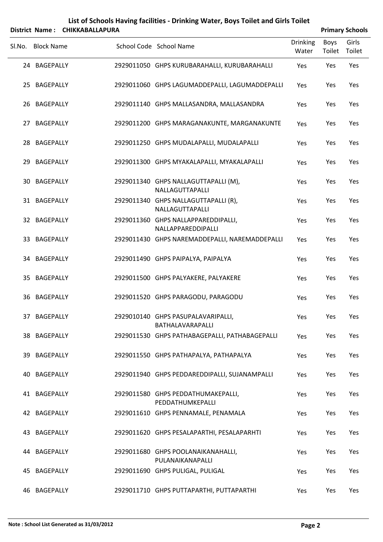| List of Schools Having facilities - Drinking Water, Boys Toilet and Girls Toilet<br><b>CHIKKABALLAPURA</b><br><b>Primary Schools</b><br><b>District Name:</b> |                   |  |  |                                                           |                          |                |                 |  |  |
|---------------------------------------------------------------------------------------------------------------------------------------------------------------|-------------------|--|--|-----------------------------------------------------------|--------------------------|----------------|-----------------|--|--|
| Sl.No.                                                                                                                                                        | <b>Block Name</b> |  |  | School Code School Name                                   | <b>Drinking</b><br>Water | Boys<br>Toilet | Girls<br>Toilet |  |  |
|                                                                                                                                                               | 24 BAGEPALLY      |  |  | 2929011050 GHPS KURUBARAHALLI, KURUBARAHALLI              | Yes                      | Yes            | Yes             |  |  |
|                                                                                                                                                               | 25 BAGEPALLY      |  |  | 2929011060 GHPS LAGUMADDEPALLI, LAGUMADDEPALLI            | Yes                      | Yes            | Yes             |  |  |
|                                                                                                                                                               | 26 BAGEPALLY      |  |  | 2929011140 GHPS MALLASANDRA, MALLASANDRA                  | Yes                      | Yes            | Yes             |  |  |
|                                                                                                                                                               | 27 BAGEPALLY      |  |  | 2929011200 GHPS MARAGANAKUNTE, MARGANAKUNTE               | Yes                      | Yes            | Yes             |  |  |
|                                                                                                                                                               | 28 BAGEPALLY      |  |  | 2929011250 GHPS MUDALAPALLI, MUDALAPALLI                  | Yes                      | Yes            | Yes             |  |  |
|                                                                                                                                                               | 29 BAGEPALLY      |  |  | 2929011300 GHPS MYAKALAPALLI, MYAKALAPALLI                | Yes                      | Yes            | Yes             |  |  |
| 30                                                                                                                                                            | BAGEPALLY         |  |  | 2929011340 GHPS NALLAGUTTAPALLI (M),<br>NALLAGUTTAPALLI   | Yes                      | Yes            | Yes             |  |  |
|                                                                                                                                                               | 31 BAGEPALLY      |  |  | 2929011340 GHPS NALLAGUTTAPALLI (R),<br>NALLAGUTTAPALLI   | Yes                      | Yes            | Yes             |  |  |
|                                                                                                                                                               | 32 BAGEPALLY      |  |  | 2929011360 GHPS NALLAPPAREDDIPALLI,<br>NALLAPPAREDDIPALLI | Yes                      | Yes            | Yes             |  |  |
|                                                                                                                                                               | 33 BAGEPALLY      |  |  | 2929011430 GHPS NAREMADDEPALLI, NAREMADDEPALLI            | Yes                      | Yes            | Yes             |  |  |
|                                                                                                                                                               | 34 BAGEPALLY      |  |  | 2929011490 GHPS PAIPALYA, PAIPALYA                        | Yes                      | Yes            | Yes             |  |  |
|                                                                                                                                                               | 35 BAGEPALLY      |  |  | 2929011500 GHPS PALYAKERE, PALYAKERE                      | Yes                      | Yes            | Yes             |  |  |
|                                                                                                                                                               | 36 BAGEPALLY      |  |  | 2929011520 GHPS PARAGODU, PARAGODU                        | Yes                      | Yes            | Yes             |  |  |
|                                                                                                                                                               | 37 BAGEPALLY      |  |  | 2929010140 GHPS PASUPALAVARIPALLI,<br>BATHALAVARAPALLI    | Yes                      | Yes            | Yes             |  |  |
|                                                                                                                                                               | 38 BAGEPALLY      |  |  | 2929011530 GHPS PATHABAGEPALLI, PATHABAGEPALLI            | Yes                      | Yes            | Yes             |  |  |
|                                                                                                                                                               | 39 BAGEPALLY      |  |  | 2929011550 GHPS PATHAPALYA, PATHAPALYA                    | Yes                      | Yes            | Yes             |  |  |
|                                                                                                                                                               | 40 BAGEPALLY      |  |  | 2929011940 GHPS PEDDAREDDIPALLI, SUJANAMPALLI             | Yes                      | Yes            | Yes             |  |  |
|                                                                                                                                                               | 41 BAGEPALLY      |  |  | 2929011580 GHPS PEDDATHUMAKEPALLI,<br>PEDDATHUMKEPALLI    | Yes                      | Yes            | Yes             |  |  |
|                                                                                                                                                               | 42 BAGEPALLY      |  |  | 2929011610 GHPS PENNAMALE, PENAMALA                       | Yes                      | Yes            | Yes             |  |  |
|                                                                                                                                                               | 43 BAGEPALLY      |  |  | 2929011620 GHPS PESALAPARTHI, PESALAPARHTI                | Yes                      | Yes            | Yes             |  |  |
|                                                                                                                                                               | 44 BAGEPALLY      |  |  | 2929011680 GHPS POOLANAIKANAHALLI,<br>PULANAIKANAPALLI    | Yes                      | Yes            | Yes             |  |  |
|                                                                                                                                                               | 45 BAGEPALLY      |  |  | 2929011690 GHPS PULIGAL, PULIGAL                          | Yes                      | Yes            | Yes             |  |  |
|                                                                                                                                                               | 46 BAGEPALLY      |  |  | 2929011710 GHPS PUTTAPARTHI, PUTTAPARTHI                  | Yes                      | Yes            | Yes             |  |  |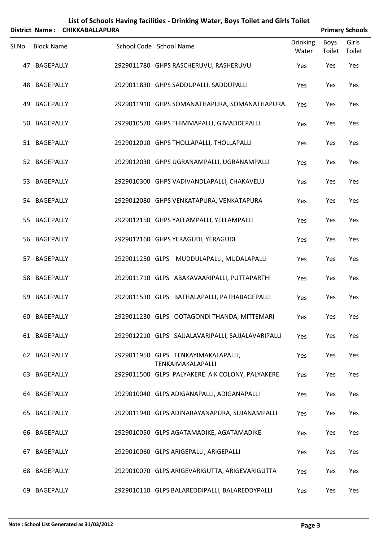| List of Schools Having facilities - Drinking Water, Boys Toilet and Girls Toilet<br><b>CHIKKABALLAPURA</b><br><b>Primary Schools</b><br>District Name: |                   |  |                         |  |                                                          |                          |                       |                 |  |  |
|--------------------------------------------------------------------------------------------------------------------------------------------------------|-------------------|--|-------------------------|--|----------------------------------------------------------|--------------------------|-----------------------|-----------------|--|--|
| SI.No.                                                                                                                                                 | <b>Block Name</b> |  | School Code School Name |  |                                                          | <b>Drinking</b><br>Water | <b>Boys</b><br>Toilet | Girls<br>Toilet |  |  |
|                                                                                                                                                        | 47 BAGEPALLY      |  |                         |  | 2929011780 GHPS RASCHERUVU, RASHERUVU                    | Yes                      | Yes                   | Yes             |  |  |
|                                                                                                                                                        | 48 BAGEPALLY      |  |                         |  | 2929011830 GHPS SADDUPALLI, SADDUPALLI                   | Yes                      | Yes                   | Yes             |  |  |
| 49                                                                                                                                                     | BAGEPALLY         |  |                         |  | 2929011910 GHPS SOMANATHAPURA, SOMANATHAPURA             | Yes                      | Yes                   | Yes             |  |  |
|                                                                                                                                                        | 50 BAGEPALLY      |  |                         |  | 2929010570 GHPS THIMMAPALLI, G MADDEPALLI                | Yes                      | Yes                   | Yes             |  |  |
|                                                                                                                                                        | 51 BAGEPALLY      |  |                         |  | 2929012010 GHPS THOLLAPALLI, THOLLAPALLI                 | Yes                      | Yes                   | Yes             |  |  |
|                                                                                                                                                        | 52 BAGEPALLY      |  |                         |  | 2929012030 GHPS UGRANAMPALLI, UGRANAMPALLI               | Yes                      | Yes                   | Yes             |  |  |
|                                                                                                                                                        | 53 BAGEPALLY      |  |                         |  | 2929010300 GHPS VADIVANDLAPALLI, CHAKAVELU               | Yes                      | Yes                   | Yes             |  |  |
|                                                                                                                                                        | 54 BAGEPALLY      |  |                         |  | 2929012080 GHPS VENKATAPURA, VENKATAPURA                 | Yes                      | Yes                   | Yes             |  |  |
|                                                                                                                                                        | 55 BAGEPALLY      |  |                         |  | 2929012150 GHPS YALLAMPALLI, YELLAMPALLI                 | Yes                      | Yes                   | Yes             |  |  |
|                                                                                                                                                        | 56 BAGEPALLY      |  |                         |  | 2929012160 GHPS YERAGUDI, YERAGUDI                       | Yes                      | Yes                   | Yes             |  |  |
| 57                                                                                                                                                     | <b>BAGEPALLY</b>  |  |                         |  | 2929011250 GLPS MUDDULAPALLI, MUDALAPALLI                | Yes                      | Yes                   | Yes             |  |  |
|                                                                                                                                                        | 58 BAGEPALLY      |  |                         |  | 2929011710 GLPS ABAKAVAARIPALLI, PUTTAPARTHI             | Yes                      | Yes                   | Yes             |  |  |
| 59                                                                                                                                                     | BAGEPALLY         |  |                         |  | 2929011530 GLPS BATHALAPALLI, PATHABAGEPALLI             | Yes                      | Yes                   | Yes             |  |  |
|                                                                                                                                                        | 60 BAGEPALLY      |  |                         |  | 2929011230 GLPS OOTAGONDI THANDA, MITTEMARI              | Yes                      | Yes                   | Yes             |  |  |
|                                                                                                                                                        | 61 BAGEPALLY      |  |                         |  | 2929012210 GLPS SAJJALAVARIPALLI, SAJJALAVARIPALLI       | Yes                      | Yes                   | Yes             |  |  |
|                                                                                                                                                        | 62 BAGEPALLY      |  |                         |  | 2929011950 GLPS TENKAYIMAKALAPALLI,<br>TENKAIMAKALAPALLI | Yes                      | Yes                   | Yes             |  |  |
|                                                                                                                                                        | 63 BAGEPALLY      |  |                         |  | 2929011500 GLPS PALYAKERE A K COLONY, PALYAKERE          | Yes                      | Yes                   | Yes             |  |  |
|                                                                                                                                                        | 64 BAGEPALLY      |  |                         |  | 2929010040 GLPS ADIGANAPALLI, ADIGANAPALLI               | Yes                      | Yes                   | Yes             |  |  |
|                                                                                                                                                        | 65 BAGEPALLY      |  |                         |  | 2929011940 GLPS ADINARAYANAPURA, SUJANAMPALLI            | Yes                      | Yes                   | Yes             |  |  |
|                                                                                                                                                        | 66 BAGEPALLY      |  |                         |  | 2929010050 GLPS AGATAMADIKE, AGATAMADIKE                 | Yes                      | Yes                   | Yes             |  |  |
| 67                                                                                                                                                     | <b>BAGEPALLY</b>  |  |                         |  | 2929010060 GLPS ARIGEPALLI, ARIGEPALLI                   | Yes                      | Yes                   | Yes             |  |  |
|                                                                                                                                                        | 68 BAGEPALLY      |  |                         |  | 2929010070 GLPS ARIGEVARIGUTTA, ARIGEVARIGUTTA           | Yes                      | Yes                   | Yes             |  |  |
| 69                                                                                                                                                     | BAGEPALLY         |  |                         |  | 2929010110 GLPS BALAREDDIPALLI, BALAREDDYPALLI           | Yes                      | Yes                   | Yes             |  |  |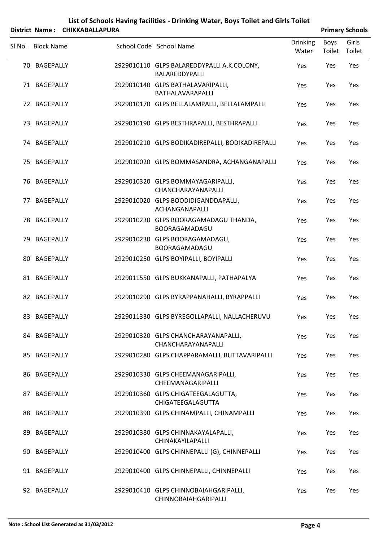|        |                   | District Name: CHIKKABALLAPURA |                                                               |                          |                | <b>Primary Schools</b> |
|--------|-------------------|--------------------------------|---------------------------------------------------------------|--------------------------|----------------|------------------------|
| SI.No. | <b>Block Name</b> |                                | School Code School Name                                       | <b>Drinking</b><br>Water | Boys<br>Toilet | Girls<br>Toilet        |
|        | 70 BAGEPALLY      |                                | 2929010110 GLPS BALAREDDYPALLI A.K.COLONY,<br>BALAREDDYPALLI  | Yes                      | Yes            | Yes                    |
|        | 71 BAGEPALLY      |                                | 2929010140 GLPS BATHALAVARIPALLI,<br>BATHALAVARAPALLI         | Yes                      | Yes            | Yes                    |
|        | 72 BAGEPALLY      |                                | 2929010170 GLPS BELLALAMPALLI, BELLALAMPALLI                  | Yes                      | Yes            | Yes                    |
|        | 73 BAGEPALLY      |                                | 2929010190 GLPS BESTHRAPALLI, BESTHRAPALLI                    | Yes                      | Yes            | Yes                    |
|        | 74 BAGEPALLY      |                                | 2929010210 GLPS BODIKADIREPALLI, BODIKADIREPALLI              | Yes                      | Yes            | Yes                    |
| 75.    | BAGEPALLY         |                                | 2929010020 GLPS BOMMASANDRA, ACHANGANAPALLI                   | Yes                      | Yes            | Yes                    |
|        | 76 BAGEPALLY      |                                | 2929010320 GLPS BOMMAYAGARIPALLI,<br>CHANCHARAYANAPALLI       | Yes                      | Yes            | Yes                    |
|        | 77 BAGEPALLY      |                                | 2929010020 GLPS BOODIDIGANDDAPALLI,<br>ACHANGANAPALLI         | Yes                      | Yes            | Yes                    |
|        | 78 BAGEPALLY      |                                | 2929010230 GLPS BOORAGAMADAGU THANDA,<br>BOORAGAMADAGU        | Yes                      | Yes            | Yes                    |
|        | 79 BAGEPALLY      |                                | 2929010230 GLPS BOORAGAMADAGU,<br>BOORAGAMADAGU               | Yes                      | Yes            | Yes                    |
|        | 80 BAGEPALLY      |                                | 2929010250 GLPS BOYIPALLI, BOYIPALLI                          | Yes                      | Yes            | Yes                    |
|        | 81 BAGEPALLY      |                                | 2929011550 GLPS BUKKANAPALLI, PATHAPALYA                      | Yes                      | Yes            | Yes                    |
|        | 82 BAGEPALLY      |                                | 2929010290 GLPS BYRAPPANAHALLI, BYRAPPALLI                    | Yes                      | Yes            | Yes                    |
|        | 83 BAGEPALLY      |                                | 2929011330 GLPS BYREGOLLAPALLI, NALLACHERUVU                  | Yes                      | Yes            | Yes                    |
|        | 84 BAGEPALLY      |                                | 2929010320 GLPS CHANCHARAYANAPALLI,<br>CHANCHARAYANAPALLI     | Yes                      | Yes            | Yes                    |
|        | 85 BAGEPALLY      |                                | 2929010280 GLPS CHAPPARAMALLI, BUTTAVARIPALLI                 | Yes                      | Yes            | Yes                    |
|        | 86 BAGEPALLY      |                                | 2929010330 GLPS CHEEMANAGARIPALLI,<br>CHEEMANAGARIPALLI       | Yes                      | Yes            | Yes                    |
|        | 87 BAGEPALLY      |                                | 2929010360 GLPS CHIGATEEGALAGUTTA,<br>CHIGATEEGALAGUTTA       | Yes                      | Yes            | Yes                    |
|        | 88 BAGEPALLY      |                                | 2929010390 GLPS CHINAMPALLI, CHINAMPALLI                      | Yes                      | Yes            | Yes                    |
|        | 89 BAGEPALLY      |                                | 2929010380 GLPS CHINNAKAYALAPALLI,<br>CHINAKAYILAPALLI        | Yes                      | Yes            | Yes                    |
|        | 90 BAGEPALLY      |                                | 2929010400 GLPS CHINNEPALLI (G), CHINNEPALLI                  | Yes                      | Yes            | Yes                    |
|        | 91 BAGEPALLY      |                                | 2929010400 GLPS CHINNEPALLI, CHINNEPALLI                      | Yes                      | Yes            | Yes                    |
|        | 92 BAGEPALLY      |                                | 2929010410 GLPS CHINNOBAIAHGARIPALLI,<br>CHINNOBAIAHGARIPALLI | Yes                      | Yes            | Yes                    |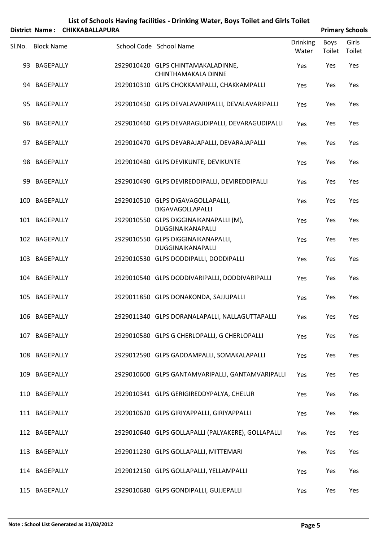|        |                   | District Name: CHIKKABALLAPURA |                                                             |                          |                | <b>Primary Schools</b> |
|--------|-------------------|--------------------------------|-------------------------------------------------------------|--------------------------|----------------|------------------------|
| SI.No. | <b>Block Name</b> |                                | School Code School Name                                     | <b>Drinking</b><br>Water | Boys<br>Toilet | Girls<br>Toilet        |
|        | 93 BAGEPALLY      |                                | 2929010420 GLPS CHINTAMAKALADINNE,<br>CHINTHAMAKALA DINNE   | Yes                      | Yes            | Yes                    |
|        | 94 BAGEPALLY      |                                | 2929010310 GLPS CHOKKAMPALLI, CHAKKAMPALLI                  | Yes                      | Yes            | Yes                    |
|        | 95 BAGEPALLY      |                                | 2929010450 GLPS DEVALAVARIPALLI, DEVALAVARIPALLI            | Yes                      | Yes            | Yes                    |
|        | 96 BAGEPALLY      |                                | 2929010460 GLPS DEVARAGUDIPALLI, DEVARAGUDIPALLI            | Yes                      | Yes            | Yes                    |
| 97     | BAGEPALLY         |                                | 2929010470 GLPS DEVARAJAPALLI, DEVARAJAPALLI                | Yes                      | Yes            | Yes                    |
|        | 98 BAGEPALLY      |                                | 2929010480 GLPS DEVIKUNTE, DEVIKUNTE                        | Yes                      | Yes            | Yes                    |
| 99     | BAGEPALLY         |                                | 2929010490 GLPS DEVIREDDIPALLI, DEVIREDDIPALLI              | Yes                      | Yes            | Yes                    |
|        | 100 BAGEPALLY     |                                | 2929010510 GLPS DIGAVAGOLLAPALLI,<br>DIGAVAGOLLAPALLI       | Yes                      | Yes            | Yes                    |
|        | 101 BAGEPALLY     |                                | 2929010550 GLPS DIGGINAIKANAPALLI (M),<br>DUGGINAIKANAPALLI | Yes                      | Yes            | Yes                    |
|        | 102 BAGEPALLY     |                                | 2929010550 GLPS DIGGINAIKANAPALLI,<br>DUGGINAIKANAPALLI     | Yes                      | Yes            | Yes                    |
|        | 103 BAGEPALLY     |                                | 2929010530 GLPS DODDIPALLI, DODDIPALLI                      | Yes                      | Yes            | Yes                    |
|        | 104 BAGEPALLY     |                                | 2929010540 GLPS DODDIVARIPALLI, DODDIVARIPALLI              | Yes                      | Yes            | Yes                    |
|        | 105 BAGEPALLY     |                                | 2929011850 GLPS DONAKONDA, SAJJUPALLI                       | Yes                      | Yes            | Yes                    |
|        | 106 BAGEPALLY     |                                | 2929011340 GLPS DORANALAPALLI, NALLAGUTTAPALLI              | Yes                      | Yes            | Yes                    |
| 107    | BAGEPALLY         |                                | 2929010580 GLPS G CHERLOPALLI, G CHERLOPALLI                | Yes                      | Yes            | Yes                    |
|        | 108 BAGEPALLY     |                                | 2929012590 GLPS GADDAMPALLI, SOMAKALAPALLI                  | Yes                      | Yes            | Yes                    |
| 109    | BAGEPALLY         |                                | 2929010600 GLPS GANTAMVARIPALLI, GANTAMVARIPALLI            | Yes                      | Yes            | Yes                    |
|        | 110 BAGEPALLY     |                                | 2929010341 GLPS GERIGIREDDYPALYA, CHELUR                    | Yes                      | Yes            | Yes                    |
|        | 111 BAGEPALLY     |                                | 2929010620 GLPS GIRIYAPPALLI, GIRIYAPPALLI                  | Yes                      | Yes            | Yes                    |
|        | 112 BAGEPALLY     |                                | 2929010640 GLPS GOLLAPALLI (PALYAKERE), GOLLAPALLI          | Yes                      | Yes            | Yes                    |
|        | 113 BAGEPALLY     |                                | 2929011230 GLPS GOLLAPALLI, MITTEMARI                       | Yes                      | Yes            | Yes                    |
|        | 114 BAGEPALLY     |                                | 2929012150 GLPS GOLLAPALLI, YELLAMPALLI                     | Yes                      | Yes            | Yes                    |

115 BAGEPALLY 2929010680 GLPS GONDIPALLI, GUJJEPALLI Yes Yes Yes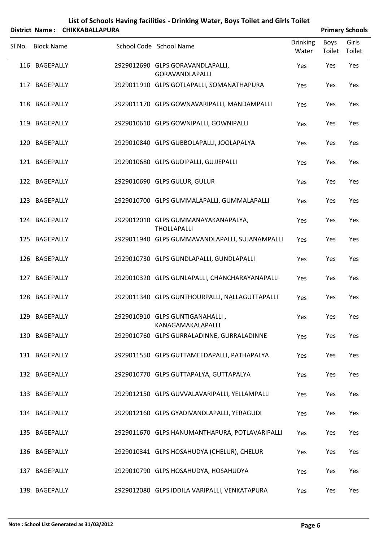|        | <b>District Name:</b> | <b>CHIKKABALLAPURA</b> | List of Schools Having facilities - Drinking Water, Boys Toilet and Girls Toilet |                          |                       | <b>Primary Schools</b> |
|--------|-----------------------|------------------------|----------------------------------------------------------------------------------|--------------------------|-----------------------|------------------------|
| Sl.No. | <b>Block Name</b>     |                        | School Code School Name                                                          | <b>Drinking</b><br>Water | <b>Boys</b><br>Toilet | Girls<br>Toilet        |
|        | 116 BAGEPALLY         |                        | 2929012690 GLPS GORAVANDLAPALLI,<br>GORAVANDLAPALLI                              | Yes                      | Yes                   | Yes                    |
|        | 117 BAGEPALLY         |                        | 2929011910 GLPS GOTLAPALLI, SOMANATHAPURA                                        | Yes                      | Yes                   | Yes                    |
|        | 118 BAGEPALLY         |                        | 2929011170 GLPS GOWNAVARIPALLI, MANDAMPALLI                                      | Yes                      | Yes                   | Yes                    |
|        | 119 BAGEPALLY         |                        | 2929010610 GLPS GOWNIPALLI, GOWNIPALLI                                           | Yes                      | Yes                   | Yes                    |
| 120    | BAGEPALLY             |                        | 2929010840 GLPS GUBBOLAPALLI, JOOLAPALYA                                         | Yes                      | Yes                   | Yes                    |
|        | 121 BAGEPALLY         |                        | 2929010680 GLPS GUDIPALLI, GUJJEPALLI                                            | Yes                      | Yes                   | Yes                    |
|        | 122 BAGEPALLY         |                        | 2929010690 GLPS GULUR, GULUR                                                     | Yes                      | Yes                   | Yes                    |
|        | 123 BAGEPALLY         |                        | 2929010700 GLPS GUMMALAPALLI, GUMMALAPALLI                                       | Yes                      | Yes                   | Yes                    |
|        | 124 BAGEPALLY         |                        | 2929012010 GLPS GUMMANAYAKANAPALYA,<br><b>THOLLAPALLI</b>                        | Yes                      | Yes                   | Yes                    |
|        | 125 BAGEPALLY         |                        | 2929011940 GLPS GUMMAVANDLAPALLI, SUJANAMPALLI                                   | Yes                      | Yes                   | Yes                    |
|        | 126 BAGEPALLY         |                        | 2929010730 GLPS GUNDLAPALLI, GUNDLAPALLI                                         | Yes                      | Yes                   | Yes                    |
| 127    | BAGEPALLY             |                        | 2929010320 GLPS GUNLAPALLI, CHANCHARAYANAPALLI                                   | Yes                      | Yes                   | Yes                    |
|        | 128 BAGEPALLY         |                        | 2929011340 GLPS GUNTHOURPALLI, NALLAGUTTAPALLI                                   | Yes                      | Yes                   | Yes                    |
|        | 129 BAGEPALLY         |                        | 2929010910 GLPS GUNTIGANAHALLI,<br>KANAGAMAKALAPALLI                             | Yes                      | Yes                   | Yes                    |
|        | 130 BAGEPALLY         |                        | 2929010760 GLPS GURRALADINNE, GURRALADINNE                                       | Yes                      | Yes                   | Yes                    |
|        | 131 BAGEPALLY         |                        | 2929011550 GLPS GUTTAMEEDAPALLI, PATHAPALYA                                      | Yes                      | Yes                   | Yes                    |
|        | 132 BAGEPALLY         |                        | 2929010770 GLPS GUTTAPALYA, GUTTAPALYA                                           | Yes                      | Yes                   | Yes                    |
|        | 133 BAGEPALLY         |                        | 2929012150 GLPS GUVVALAVARIPALLI, YELLAMPALLI                                    | Yes                      | Yes                   | Yes                    |
|        | 134 BAGEPALLY         |                        | 2929012160 GLPS GYADIVANDLAPALLI, YERAGUDI                                       | Yes                      | Yes                   | Yes                    |
|        | 135 BAGEPALLY         |                        | 2929011670 GLPS HANUMANTHAPURA, POTLAVARIPALLI                                   | Yes                      | Yes                   | Yes                    |
|        | 136 BAGEPALLY         |                        | 2929010341 GLPS HOSAHUDYA (CHELUR), CHELUR                                       | Yes                      | Yes                   | Yes                    |
|        | 137 BAGEPALLY         |                        | 2929010790 GLPS HOSAHUDYA, HOSAHUDYA                                             | Yes                      | Yes                   | Yes                    |
|        | 138 BAGEPALLY         |                        | 2929012080 GLPS IDDILA VARIPALLI, VENKATAPURA                                    | Yes                      | Yes                   | Yes                    |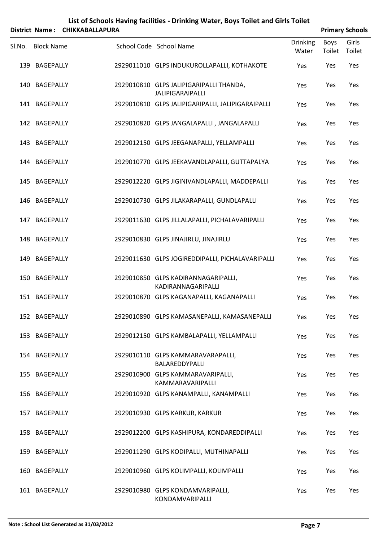| List of Schools Having facilities - Drinking Water, Boys Toilet and Girls Toilet<br><b>CHIKKABALLAPURA</b><br><b>Primary Schools</b><br>District Name: |                   |  |  |                                                                    |                          |                |                 |  |  |
|--------------------------------------------------------------------------------------------------------------------------------------------------------|-------------------|--|--|--------------------------------------------------------------------|--------------------------|----------------|-----------------|--|--|
| Sl.No.                                                                                                                                                 | <b>Block Name</b> |  |  | School Code School Name                                            | <b>Drinking</b><br>Water | Boys<br>Toilet | Girls<br>Toilet |  |  |
|                                                                                                                                                        | 139 BAGEPALLY     |  |  | 2929011010 GLPS INDUKUROLLAPALLI, KOTHAKOTE                        | Yes                      | Yes            | Yes             |  |  |
|                                                                                                                                                        | 140 BAGEPALLY     |  |  | 2929010810 GLPS JALIPIGARIPALLI THANDA,<br><b>JALIPIGARAIPALLI</b> | Yes                      | Yes            | Yes             |  |  |
|                                                                                                                                                        | 141 BAGEPALLY     |  |  | 2929010810 GLPS JALIPIGARIPALLI, JALIPIGARAIPALLI                  | Yes                      | Yes            | Yes             |  |  |
|                                                                                                                                                        | 142 BAGEPALLY     |  |  | 2929010820 GLPS JANGALAPALLI, JANGALAPALLI                         | Yes                      | Yes            | Yes             |  |  |
|                                                                                                                                                        | 143 BAGEPALLY     |  |  | 2929012150 GLPS JEEGANAPALLI, YELLAMPALLI                          | Yes                      | Yes            | Yes             |  |  |
|                                                                                                                                                        | 144 BAGEPALLY     |  |  | 2929010770 GLPS JEEKAVANDLAPALLI, GUTTAPALYA                       | Yes                      | Yes            | Yes             |  |  |
|                                                                                                                                                        | 145 BAGEPALLY     |  |  | 2929012220 GLPS JIGINIVANDLAPALLI, MADDEPALLI                      | Yes                      | Yes            | Yes             |  |  |
|                                                                                                                                                        | 146 BAGEPALLY     |  |  | 2929010730 GLPS JILAKARAPALLI, GUNDLAPALLI                         | Yes                      | Yes            | Yes             |  |  |
|                                                                                                                                                        | 147 BAGEPALLY     |  |  | 2929011630 GLPS JILLALAPALLI, PICHALAVARIPALLI                     | Yes                      | Yes            | Yes             |  |  |
|                                                                                                                                                        | 148 BAGEPALLY     |  |  | 2929010830 GLPS JINAJIRLU, JINAJIRLU                               | Yes                      | Yes            | Yes             |  |  |
| 149                                                                                                                                                    | BAGEPALLY         |  |  | 2929011630 GLPS JOGIREDDIPALLI, PICHALAVARIPALLI                   | Yes                      | Yes            | Yes             |  |  |
| 150                                                                                                                                                    | <b>BAGEPALLY</b>  |  |  | 2929010850 GLPS KADIRANNAGARIPALLI,<br>KADIRANNAGARIPALLI          | Yes                      | Yes            | Yes             |  |  |
|                                                                                                                                                        | 151 BAGEPALLY     |  |  | 2929010870 GLPS KAGANAPALLI, KAGANAPALLI                           | Yes                      | Yes            | Yes             |  |  |
|                                                                                                                                                        | 152 BAGEPALLY     |  |  | 2929010890 GLPS KAMASANEPALLI, KAMASANEPALLI                       | Yes                      | Yes            | Yes             |  |  |
|                                                                                                                                                        | 153 BAGEPALLY     |  |  | 2929012150 GLPS KAMBALAPALLI, YELLAMPALLI                          | Yes                      | Yes            | Yes             |  |  |
|                                                                                                                                                        | 154 BAGEPALLY     |  |  | 2929010110 GLPS KAMMARAVARAPALLI,<br>BALAREDDYPALLI                | Yes                      | Yes            | Yes             |  |  |
|                                                                                                                                                        | 155 BAGEPALLY     |  |  | 2929010900 GLPS KAMMARAVARIPALLI,<br>KAMMARAVARIPALLI              | Yes                      | Yes            | Yes             |  |  |
|                                                                                                                                                        | 156 BAGEPALLY     |  |  | 2929010920 GLPS KANAMPALLI, KANAMPALLI                             | Yes                      | Yes            | Yes             |  |  |
|                                                                                                                                                        | 157 BAGEPALLY     |  |  | 2929010930 GLPS KARKUR, KARKUR                                     | Yes                      | Yes            | Yes             |  |  |
|                                                                                                                                                        | 158 BAGEPALLY     |  |  | 2929012200 GLPS KASHIPURA, KONDAREDDIPALLI                         | Yes                      | Yes            | Yes             |  |  |
|                                                                                                                                                        | 159 BAGEPALLY     |  |  | 2929011290 GLPS KODIPALLI, MUTHINAPALLI                            | Yes                      | Yes            | Yes             |  |  |
|                                                                                                                                                        | 160 BAGEPALLY     |  |  | 2929010960 GLPS KOLIMPALLI, KOLIMPALLI                             | Yes                      | Yes            | Yes             |  |  |
|                                                                                                                                                        | 161 BAGEPALLY     |  |  | 2929010980 GLPS KONDAMVARIPALLI,<br>KONDAMVARIPALLI                | Yes                      | Yes            | Yes             |  |  |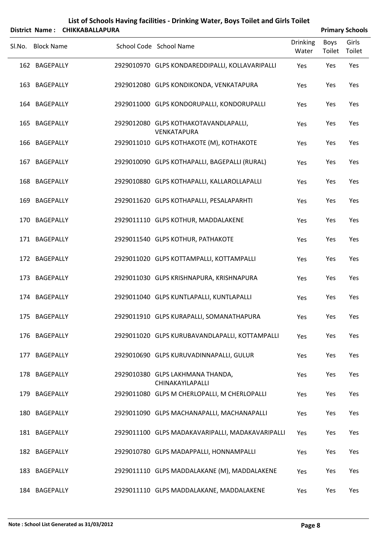|        | List of Schools Having facilities - Drinking Water, Boys Toilet and Girls Toilet<br><b>CHIKKABALLAPURA</b><br><b>Primary Schools</b><br>District Name: |  |  |                                                      |                          |                |                 |  |  |
|--------|--------------------------------------------------------------------------------------------------------------------------------------------------------|--|--|------------------------------------------------------|--------------------------|----------------|-----------------|--|--|
| Sl.No. | <b>Block Name</b>                                                                                                                                      |  |  | School Code School Name                              | <b>Drinking</b><br>Water | Boys<br>Toilet | Girls<br>Toilet |  |  |
|        | 162 BAGEPALLY                                                                                                                                          |  |  | 2929010970 GLPS KONDAREDDIPALLI, KOLLAVARIPALLI      | Yes                      | Yes            | Yes             |  |  |
|        | 163 BAGEPALLY                                                                                                                                          |  |  | 2929012080 GLPS KONDIKONDA, VENKATAPURA              | Yes                      | Yes            | Yes             |  |  |
|        | 164 BAGEPALLY                                                                                                                                          |  |  | 2929011000 GLPS KONDORUPALLI, KONDORUPALLI           | Yes                      | Yes            | Yes             |  |  |
|        | 165 BAGEPALLY                                                                                                                                          |  |  | 2929012080 GLPS KOTHAKOTAVANDLAPALLI,<br>VENKATAPURA | Yes                      | Yes            | Yes             |  |  |
|        | 166 BAGEPALLY                                                                                                                                          |  |  | 2929011010 GLPS KOTHAKOTE (M), KOTHAKOTE             | Yes                      | Yes            | Yes             |  |  |
| 167    | <b>BAGEPALLY</b>                                                                                                                                       |  |  | 2929010090 GLPS KOTHAPALLI, BAGEPALLI (RURAL)        | Yes                      | Yes            | Yes             |  |  |
|        | 168 BAGEPALLY                                                                                                                                          |  |  | 2929010880 GLPS KOTHAPALLI, KALLAROLLAPALLI          | Yes                      | Yes            | Yes             |  |  |
| 169    | BAGEPALLY                                                                                                                                              |  |  | 2929011620 GLPS KOTHAPALLI, PESALAPARHTI             | Yes                      | Yes            | Yes             |  |  |
|        | 170 BAGEPALLY                                                                                                                                          |  |  | 2929011110 GLPS KOTHUR, MADDALAKENE                  | Yes                      | Yes            | Yes             |  |  |
|        | 171 BAGEPALLY                                                                                                                                          |  |  | 2929011540 GLPS KOTHUR, PATHAKOTE                    | Yes                      | Yes            | Yes             |  |  |
|        | 172 BAGEPALLY                                                                                                                                          |  |  | 2929011020 GLPS KOTTAMPALLI, KOTTAMPALLI             | Yes                      | Yes            | Yes             |  |  |
| 173    | <b>BAGEPALLY</b>                                                                                                                                       |  |  | 2929011030 GLPS KRISHNAPURA, KRISHNAPURA             | Yes                      | Yes            | Yes             |  |  |
|        | 174 BAGEPALLY                                                                                                                                          |  |  | 2929011040 GLPS KUNTLAPALLI, KUNTLAPALLI             | Yes                      | Yes            | Yes             |  |  |
|        | 175 BAGEPALLY                                                                                                                                          |  |  | 2929011910 GLPS KURAPALLI, SOMANATHAPURA             | Yes                      | Yes            | Yes             |  |  |
|        | 176 BAGEPALLY                                                                                                                                          |  |  | 2929011020 GLPS KURUBAVANDLAPALLI, KOTTAMPALLI       | Yes                      | Yes            | Yes             |  |  |
| 177    | <b>BAGEPALLY</b>                                                                                                                                       |  |  | 2929010690 GLPS KURUVADINNAPALLI, GULUR              | Yes                      | Yes            | Yes             |  |  |
|        | 178 BAGEPALLY                                                                                                                                          |  |  | 2929010380 GLPS LAKHMANA THANDA,<br>CHINAKAYILAPALLI | Yes                      | Yes            | Yes             |  |  |
|        | 179 BAGEPALLY                                                                                                                                          |  |  | 2929011080 GLPS M CHERLOPALLI, M CHERLOPALLI         | Yes                      | Yes            | Yes             |  |  |
|        | 180 BAGEPALLY                                                                                                                                          |  |  | 2929011090 GLPS MACHANAPALLI, MACHANAPALLI           | Yes                      | Yes            | Yes             |  |  |
|        | 181 BAGEPALLY                                                                                                                                          |  |  | 2929011100 GLPS MADAKAVARIPALLI, MADAKAVARIPALLI     | Yes                      | Yes            | Yes             |  |  |
|        | 182 BAGEPALLY                                                                                                                                          |  |  | 2929010780 GLPS MADAPPALLI, HONNAMPALLI              | Yes                      | Yes            | Yes             |  |  |
|        | 183 BAGEPALLY                                                                                                                                          |  |  | 2929011110 GLPS MADDALAKANE (M), MADDALAKENE         | Yes                      | Yes            | Yes             |  |  |
|        | 184 BAGEPALLY                                                                                                                                          |  |  | 2929011110 GLPS MADDALAKANE, MADDALAKENE             | Yes                      | Yes            | Yes             |  |  |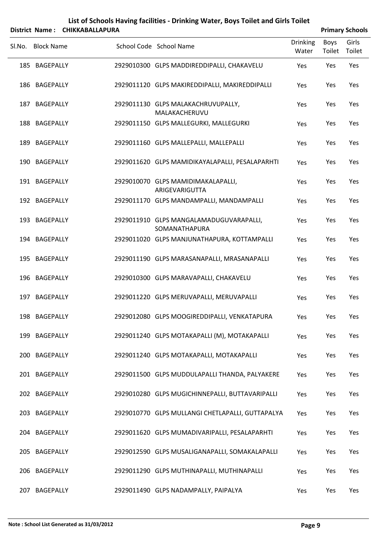|        |                   | District Name: CHIKKABALLAPURA |                                                          |                          |                | <b>Primary Schools</b> |
|--------|-------------------|--------------------------------|----------------------------------------------------------|--------------------------|----------------|------------------------|
| SI.No. | <b>Block Name</b> |                                | School Code School Name                                  | <b>Drinking</b><br>Water | Boys<br>Toilet | Girls<br>Toilet        |
|        | 185 BAGEPALLY     |                                | 2929010300 GLPS MADDIREDDIPALLI, CHAKAVELU               | Yes                      | Yes            | Yes                    |
|        | 186 BAGEPALLY     |                                | 2929011120 GLPS MAKIREDDIPALLI, MAKIREDDIPALLI           | Yes                      | Yes            | Yes                    |
|        | 187 BAGEPALLY     |                                | 2929011130 GLPS MALAKACHRUVUPALLY,<br>MALAKACHERUVU      | Yes                      | Yes            | Yes                    |
|        | 188 BAGEPALLY     |                                | 2929011150 GLPS MALLEGURKI, MALLEGURKI                   | Yes                      | Yes            | Yes                    |
|        | 189 BAGEPALLY     |                                | 2929011160 GLPS MALLEPALLI, MALLEPALLI                   | Yes                      | Yes            | Yes                    |
|        | 190 BAGEPALLY     |                                | 2929011620 GLPS MAMIDIKAYALAPALLI, PESALAPARHTI          | Yes                      | Yes            | Yes                    |
|        | 191 BAGEPALLY     |                                | 2929010070 GLPS MAMIDIMAKALAPALLI,<br>ARIGEVARIGUTTA     | Yes                      | Yes            | Yes                    |
|        | 192 BAGEPALLY     |                                | 2929011170 GLPS MANDAMPALLI, MANDAMPALLI                 | Yes                      | Yes            | Yes                    |
|        | 193 BAGEPALLY     |                                | 2929011910 GLPS MANGALAMADUGUVARAPALLI,<br>SOMANATHAPURA | Yes                      | Yes            | Yes                    |
|        | 194 BAGEPALLY     |                                | 2929011020 GLPS MANJUNATHAPURA, KOTTAMPALLI              | Yes                      | Yes            | Yes                    |
|        | 195 BAGEPALLY     |                                | 2929011190 GLPS MARASANAPALLI, MRASANAPALLI              | Yes                      | Yes            | Yes                    |
|        | 196 BAGEPALLY     |                                | 2929010300 GLPS MARAVAPALLI, CHAKAVELU                   | Yes                      | Yes            | Yes                    |
|        | 197 BAGEPALLY     |                                | 2929011220 GLPS MERUVAPALLI, MERUVAPALLI                 | Yes                      | Yes            | Yes                    |
|        | 198 BAGEPALLY     |                                | 2929012080 GLPS MOOGIREDDIPALLI, VENKATAPURA             | Yes                      | Yes            | Yes                    |
|        | 199 BAGEPALLY     |                                | 2929011240 GLPS MOTAKAPALLI (M), MOTAKAPALLI             | Yes                      | Yes            | Yes                    |
|        | 200 BAGEPALLY     |                                | 2929011240 GLPS MOTAKAPALLI, MOTAKAPALLI                 | Yes                      | Yes            | Yes                    |
|        | 201 BAGEPALLY     |                                | 2929011500 GLPS MUDDULAPALLI THANDA, PALYAKERE           | Yes                      | Yes            | Yes                    |
|        | 202 BAGEPALLY     |                                | 2929010280 GLPS MUGICHINNEPALLI, BUTTAVARIPALLI          | Yes                      | Yes            | Yes                    |
|        | 203 BAGEPALLY     |                                | 2929010770 GLPS MULLANGI CHETLAPALLI, GUTTAPALYA         | Yes                      | Yes            | Yes                    |
|        | 204 BAGEPALLY     |                                | 2929011620 GLPS MUMADIVARIPALLI, PESALAPARHTI            | Yes                      | Yes            | Yes                    |
|        | 205 BAGEPALLY     |                                | 2929012590 GLPS MUSALIGANAPALLI, SOMAKALAPALLI           | Yes                      | Yes            | Yes                    |
|        | 206 BAGEPALLY     |                                | 2929011290 GLPS MUTHINAPALLI, MUTHINAPALLI               | Yes                      | Yes            | Yes                    |
| 207    | BAGEPALLY         |                                | 2929011490 GLPS NADAMPALLY, PAIPALYA                     | Yes                      | Yes            | Yes                    |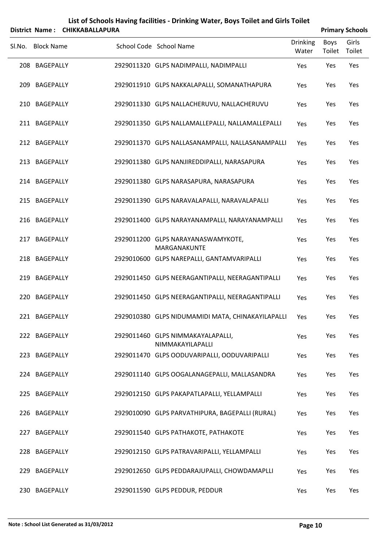|        | <b>District Name:</b> | <b>CHIKKABALLAPURA</b> |                                                       |                          |                       | <b>Primary Schools</b> |
|--------|-----------------------|------------------------|-------------------------------------------------------|--------------------------|-----------------------|------------------------|
| Sl.No. | <b>Block Name</b>     |                        | School Code School Name                               | <b>Drinking</b><br>Water | <b>Boys</b><br>Toilet | Girls<br>Toilet        |
|        | 208 BAGEPALLY         |                        | 2929011320 GLPS NADIMPALLI, NADIMPALLI                | Yes                      | Yes                   | Yes                    |
|        | 209 BAGEPALLY         |                        | 2929011910 GLPS NAKKALAPALLI, SOMANATHAPURA           | Yes                      | Yes                   | Yes                    |
|        | 210 BAGEPALLY         |                        | 2929011330 GLPS NALLACHERUVU, NALLACHERUVU            | Yes                      | Yes                   | Yes                    |
|        | 211 BAGEPALLY         |                        | 2929011350 GLPS NALLAMALLEPALLI, NALLAMALLEPALLI      | Yes                      | Yes                   | Yes                    |
|        | 212 BAGEPALLY         |                        | 2929011370 GLPS NALLASANAMPALLI, NALLASANAMPALLI      | Yes                      | Yes                   | Yes                    |
|        | 213 BAGEPALLY         |                        | 2929011380 GLPS NANJIREDDIPALLI, NARASAPURA           | Yes                      | Yes                   | Yes                    |
|        | 214 BAGEPALLY         |                        | 2929011380 GLPS NARASAPURA, NARASAPURA                | Yes                      | Yes                   | Yes                    |
|        | 215 BAGEPALLY         |                        | 2929011390 GLPS NARAVALAPALLI, NARAVALAPALLI          | Yes                      | Yes                   | Yes                    |
|        | 216 BAGEPALLY         |                        | 2929011400 GLPS NARAYANAMPALLI, NARAYANAMPALLI        | Yes                      | Yes                   | Yes                    |
|        | 217 BAGEPALLY         |                        | 2929011200 GLPS NARAYANASWAMYKOTE,<br>MARGANAKUNTE    | Yes                      | Yes                   | Yes                    |
|        | 218 BAGEPALLY         |                        | 2929010600 GLPS NAREPALLI, GANTAMVARIPALLI            | Yes                      | Yes                   | Yes                    |
|        | 219 BAGEPALLY         |                        | 2929011450 GLPS NEERAGANTIPALLI, NEERAGANTIPALLI      | Yes                      | Yes                   | Yes                    |
| 220    | BAGEPALLY             |                        | 2929011450 GLPS NEERAGANTIPALLI, NEERAGANTIPALLI      | Yes                      | Yes                   | Yes                    |
|        | 221 BAGEPALLY         |                        | 2929010380 GLPS NIDUMAMIDI MATA, CHINAKAYILAPALLI     | Yes                      | Yes                   | Yes                    |
|        | 222 BAGEPALLY         |                        | 2929011460 GLPS NIMMAKAYALAPALLI,<br>NIMMAKAYILAPALLI | Yes                      | Yes                   | Yes                    |
|        | 223 BAGEPALLY         |                        | 2929011470 GLPS OODUVARIPALLI, OODUVARIPALLI          | Yes                      | Yes                   | Yes                    |
|        | 224 BAGEPALLY         |                        | 2929011140 GLPS OOGALANAGEPALLI, MALLASANDRA          | Yes                      | Yes                   | Yes                    |
|        | 225 BAGEPALLY         |                        | 2929012150 GLPS PAKAPATLAPALLI, YELLAMPALLI           | Yes                      | Yes                   | Yes                    |
|        | 226 BAGEPALLY         |                        | 2929010090 GLPS PARVATHIPURA, BAGEPALLI (RURAL)       | Yes                      | Yes                   | Yes                    |
|        | 227 BAGEPALLY         |                        | 2929011540 GLPS PATHAKOTE, PATHAKOTE                  | Yes                      | Yes                   | Yes                    |
|        | 228 BAGEPALLY         |                        | 2929012150 GLPS PATRAVARIPALLI, YELLAMPALLI           | Yes                      | Yes                   | Yes                    |
|        | 229 BAGEPALLY         |                        | 2929012650 GLPS PEDDARAJUPALLI, CHOWDAMAPLLI          | Yes                      | Yes                   | Yes                    |
|        | 230 BAGEPALLY         |                        | 2929011590 GLPS PEDDUR, PEDDUR                        | Yes                      | Yes                   | Yes                    |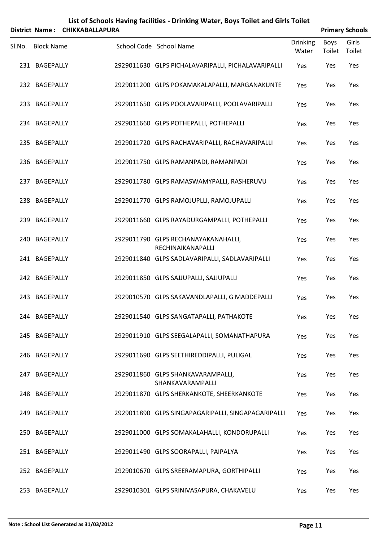|        | <b>District Name:</b> | <b>CHIKKABALLAPURA</b> | List of Schools Having facilities - Drinking Water, Boys Toilet and Girls Toilet |                          |                       | <b>Primary Schools</b> |
|--------|-----------------------|------------------------|----------------------------------------------------------------------------------|--------------------------|-----------------------|------------------------|
| Sl.No. | <b>Block Name</b>     |                        | School Code School Name                                                          | <b>Drinking</b><br>Water | <b>Boys</b><br>Toilet | Girls<br>Toilet        |
|        | 231 BAGEPALLY         |                        | 2929011630 GLPS PICHALAVARIPALLI, PICHALAVARIPALLI                               | Yes                      | Yes                   | Yes                    |
|        | 232 BAGEPALLY         |                        | 2929011200 GLPS POKAMAKALAPALLI, MARGANAKUNTE                                    | Yes                      | Yes                   | Yes                    |
|        | 233 BAGEPALLY         |                        | 2929011650 GLPS POOLAVARIPALLI, POOLAVARIPALLI                                   | Yes                      | Yes                   | Yes                    |
|        | 234 BAGEPALLY         |                        | 2929011660 GLPS POTHEPALLI, POTHEPALLI                                           | Yes                      | Yes                   | Yes                    |
|        | 235 BAGEPALLY         |                        | 2929011720 GLPS RACHAVARIPALLI, RACHAVARIPALLI                                   | Yes                      | Yes                   | Yes                    |
|        | 236 BAGEPALLY         |                        | 2929011750 GLPS RAMANPADI, RAMANPADI                                             | Yes                      | Yes                   | Yes                    |
|        | 237 BAGEPALLY         |                        | 2929011780 GLPS RAMASWAMYPALLI, RASHERUVU                                        | Yes                      | Yes                   | Yes                    |
|        | 238 BAGEPALLY         |                        | 2929011770 GLPS RAMOJUPLLI, RAMOJUPALLI                                          | Yes                      | Yes                   | Yes                    |
|        | 239 BAGEPALLY         |                        | 2929011660 GLPS RAYADURGAMPALLI, POTHEPALLI                                      | Yes                      | Yes                   | Yes                    |
|        | 240 BAGEPALLY         |                        | 2929011790 GLPS RECHANAYAKANAHALLI,<br>RECHINAIKANAPALLI                         | Yes                      | Yes                   | Yes                    |
|        | 241 BAGEPALLY         |                        | 2929011840 GLPS SADLAVARIPALLI, SADLAVARIPALLI                                   | Yes                      | Yes                   | Yes                    |
|        | 242 BAGEPALLY         |                        | 2929011850 GLPS SAJJUPALLI, SAJJUPALLI                                           | Yes                      | Yes                   | Yes                    |
|        | 243 BAGEPALLY         |                        | 2929010570 GLPS SAKAVANDLAPALLI, G MADDEPALLI                                    | Yes                      | Yes                   | Yes                    |
|        | 244 BAGEPALLY         |                        | 2929011540 GLPS SANGATAPALLI, PATHAKOTE                                          | Yes                      | Yes                   | Yes                    |
|        | 245 BAGEPALLY         |                        | 2929011910 GLPS SEEGALAPALLI, SOMANATHAPURA                                      | Yes                      | Yes                   | Yes                    |
|        | 246 BAGEPALLY         |                        | 2929011690 GLPS SEETHIREDDIPALLI, PULIGAL                                        | Yes                      | Yes                   | Yes                    |
|        | 247 BAGEPALLY         |                        | 2929011860 GLPS SHANKAVARAMPALLI,<br>SHANKAVARAMPALLI                            | Yes                      | Yes                   | Yes                    |
|        | 248 BAGEPALLY         |                        | 2929011870 GLPS SHERKANKOTE, SHEERKANKOTE                                        | Yes                      | Yes                   | Yes                    |
|        | 249 BAGEPALLY         |                        | 2929011890 GLPS SINGAPAGARIPALLI, SINGAPAGARIPALLI                               | Yes                      | Yes                   | Yes                    |
|        | 250 BAGEPALLY         |                        | 2929011000 GLPS SOMAKALAHALLI, KONDORUPALLI                                      | Yes                      | Yes                   | Yes                    |
|        | 251 BAGEPALLY         |                        | 2929011490 GLPS SOORAPALLI, PAIPALYA                                             | Yes                      | Yes                   | Yes                    |
|        | 252 BAGEPALLY         |                        | 2929010670 GLPS SREERAMAPURA, GORTHIPALLI                                        | Yes                      | Yes                   | Yes                    |
|        | 253 BAGEPALLY         |                        | 2929010301 GLPS SRINIVASAPURA, CHAKAVELU                                         | Yes                      | Yes                   | Yes                    |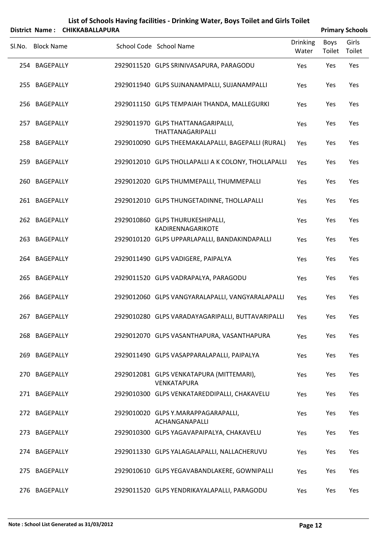|        | <b>District Name:</b> | <b>CHIKKABALLAPURA</b> | List of Schools Having facilities - Drinking Water, Boys Toilet and Girls Toilet |                          |                       | <b>Primary Schools</b> |
|--------|-----------------------|------------------------|----------------------------------------------------------------------------------|--------------------------|-----------------------|------------------------|
| Sl.No. | <b>Block Name</b>     |                        | School Code School Name                                                          | <b>Drinking</b><br>Water | <b>Boys</b><br>Toilet | Girls<br>Toilet        |
|        | 254 BAGEPALLY         |                        | 2929011520 GLPS SRINIVASAPURA, PARAGODU                                          | Yes                      | Yes                   | Yes                    |
|        | 255 BAGEPALLY         |                        | 2929011940 GLPS SUJNANAMPALLI, SUJANAMPALLI                                      | Yes                      | Yes                   | Yes                    |
|        | 256 BAGEPALLY         |                        | 2929011150 GLPS TEMPAIAH THANDA, MALLEGURKI                                      | Yes                      | Yes                   | Yes                    |
|        | 257 BAGEPALLY         |                        | 2929011970 GLPS THATTANAGARIPALLI,<br>THATTANAGARIPALLI                          | Yes                      | Yes                   | Yes                    |
|        | 258 BAGEPALLY         |                        | 2929010090 GLPS THEEMAKALAPALLI, BAGEPALLI (RURAL)                               | Yes                      | Yes                   | Yes                    |
|        | 259 BAGEPALLY         |                        | 2929012010 GLPS THOLLAPALLI A K COLONY, THOLLAPALLI                              | Yes                      | Yes                   | Yes                    |
|        | 260 BAGEPALLY         |                        | 2929012020 GLPS THUMMEPALLI, THUMMEPALLI                                         | Yes                      | Yes                   | Yes                    |
|        | 261 BAGEPALLY         |                        | 2929012010 GLPS THUNGETADINNE, THOLLAPALLI                                       | Yes                      | Yes                   | Yes                    |
|        | 262 BAGEPALLY         |                        | 2929010860 GLPS THURUKESHIPALLI,<br>KADIRENNAGARIKOTE                            | Yes                      | Yes                   | Yes                    |
|        | 263 BAGEPALLY         |                        | 2929010120 GLPS UPPARLAPALLI, BANDAKINDAPALLI                                    | Yes                      | Yes                   | Yes                    |
|        | 264 BAGEPALLY         |                        | 2929011490 GLPS VADIGERE, PAIPALYA                                               | Yes                      | Yes                   | Yes                    |
|        | 265 BAGEPALLY         |                        | 2929011520 GLPS VADRAPALYA, PARAGODU                                             | Yes                      | Yes                   | Yes                    |
|        | 266 BAGEPALLY         |                        | 2929012060 GLPS VANGYARALAPALLI, VANGYARALAPALLI                                 | Yes                      | Yes                   | Yes                    |
|        | 267 BAGEPALLY         |                        | 2929010280 GLPS VARADAYAGARIPALLI, BUTTAVARIPALLI                                | Yes                      | Yes                   | Yes                    |
|        | 268 BAGEPALLY         |                        | 2929012070 GLPS VASANTHAPURA, VASANTHAPURA                                       | Yes                      | Yes                   | Yes                    |
|        | 269 BAGEPALLY         |                        | 2929011490 GLPS VASAPPARALAPALLI, PAIPALYA                                       | Yes                      | Yes                   | Yes                    |
|        | 270 BAGEPALLY         |                        | 2929012081 GLPS VENKATAPURA (MITTEMARI),<br>VENKATAPURA                          | Yes                      | Yes                   | Yes                    |
|        | 271 BAGEPALLY         |                        | 2929010300 GLPS VENKATAREDDIPALLI, CHAKAVELU                                     | Yes                      | Yes                   | Yes                    |
|        | 272 BAGEPALLY         |                        | 2929010020 GLPS Y.MARAPPAGARAPALLI,<br>ACHANGANAPALLI                            | Yes                      | Yes                   | Yes                    |
|        | 273 BAGEPALLY         |                        | 2929010300 GLPS YAGAVAPAIPALYA, CHAKAVELU                                        | Yes                      | Yes                   | Yes                    |
|        | 274 BAGEPALLY         |                        | 2929011330 GLPS YALAGALAPALLI, NALLACHERUVU                                      | Yes                      | Yes                   | Yes                    |
|        | 275 BAGEPALLY         |                        | 2929010610 GLPS YEGAVABANDLAKERE, GOWNIPALLI                                     | Yes                      | Yes                   | Yes                    |
|        | 276 BAGEPALLY         |                        | 2929011520 GLPS YENDRIKAYALAPALLI, PARAGODU                                      | Yes                      | Yes                   | Yes                    |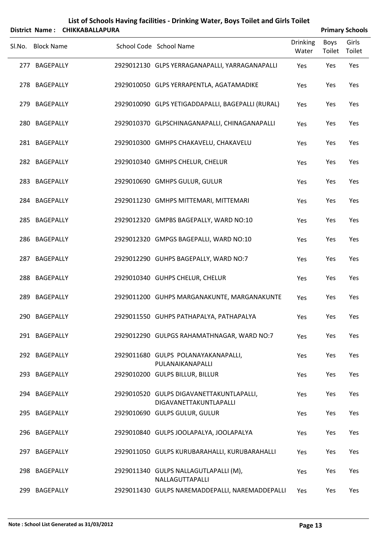| List of Schools Having facilities - Drinking Water, Boys Toilet and Girls Toilet<br><b>CHIKKABALLAPURA</b><br><b>Primary Schools</b><br>District Name: |                   |  |  |                                                                    |                          |                |                 |  |  |
|--------------------------------------------------------------------------------------------------------------------------------------------------------|-------------------|--|--|--------------------------------------------------------------------|--------------------------|----------------|-----------------|--|--|
| Sl.No.                                                                                                                                                 | <b>Block Name</b> |  |  | School Code School Name                                            | <b>Drinking</b><br>Water | Boys<br>Toilet | Girls<br>Toilet |  |  |
| 277                                                                                                                                                    | <b>BAGEPALLY</b>  |  |  | 2929012130 GLPS YERRAGANAPALLI, YARRAGANAPALLI                     | Yes                      | Yes            | Yes             |  |  |
|                                                                                                                                                        | 278 BAGEPALLY     |  |  | 2929010050 GLPS YERRAPENTLA, AGATAMADIKE                           | Yes                      | Yes            | Yes             |  |  |
| 279                                                                                                                                                    | <b>BAGEPALLY</b>  |  |  | 2929010090 GLPS YETIGADDAPALLI, BAGEPALLI (RURAL)                  | Yes                      | Yes            | Yes             |  |  |
|                                                                                                                                                        | 280 BAGEPALLY     |  |  | 2929010370 GLPSCHINAGANAPALLI, CHINAGANAPALLI                      | Yes                      | Yes            | Yes             |  |  |
|                                                                                                                                                        | 281 BAGEPALLY     |  |  | 2929010300 GMHPS CHAKAVELU, CHAKAVELU                              | Yes                      | Yes            | Yes             |  |  |
|                                                                                                                                                        | 282 BAGEPALLY     |  |  | 2929010340 GMHPS CHELUR, CHELUR                                    | Yes                      | Yes            | Yes             |  |  |
|                                                                                                                                                        | 283 BAGEPALLY     |  |  | 2929010690 GMHPS GULUR, GULUR                                      | Yes                      | Yes            | Yes             |  |  |
|                                                                                                                                                        | 284 BAGEPALLY     |  |  | 2929011230 GMHPS MITTEMARI, MITTEMARI                              | Yes                      | Yes            | Yes             |  |  |
|                                                                                                                                                        | 285 BAGEPALLY     |  |  | 2929012320 GMPBS BAGEPALLY, WARD NO:10                             | Yes                      | Yes            | Yes             |  |  |
|                                                                                                                                                        | 286 BAGEPALLY     |  |  | 2929012320 GMPGS BAGEPALLI, WARD NO:10                             | Yes                      | Yes            | Yes             |  |  |
| 287                                                                                                                                                    | <b>BAGEPALLY</b>  |  |  | 2929012290 GUHPS BAGEPALLY, WARD NO:7                              | Yes                      | Yes            | Yes             |  |  |
|                                                                                                                                                        | 288 BAGEPALLY     |  |  | 2929010340 GUHPS CHELUR, CHELUR                                    | Yes                      | Yes            | Yes             |  |  |
| 289                                                                                                                                                    | BAGEPALLY         |  |  | 2929011200 GUHPS MARGANAKUNTE, MARGANAKUNTE                        | Yes                      | Yes            | Yes             |  |  |
|                                                                                                                                                        | 290 BAGEPALLY     |  |  | 2929011550 GUHPS PATHAPALYA, PATHAPALYA                            | Yes                      | Yes            | Yes             |  |  |
|                                                                                                                                                        | 291 BAGEPALLY     |  |  | 2929012290 GULPGS RAHAMATHNAGAR, WARD NO:7                         | Yes                      | Yes            | Yes             |  |  |
|                                                                                                                                                        | 292 BAGEPALLY     |  |  | 2929011680 GULPS POLANAYAKANAPALLI,<br>PULANAIKANAPALLI            | Yes                      | Yes            | Yes             |  |  |
|                                                                                                                                                        | 293 BAGEPALLY     |  |  | 2929010200 GULPS BILLUR, BILLUR                                    | Yes                      | Yes            | Yes             |  |  |
|                                                                                                                                                        | 294 BAGEPALLY     |  |  | 2929010520 GULPS DIGAVANETTAKUNTLAPALLI,<br>DIGAVANETTAKUNTLAPALLI | Yes                      | Yes            | Yes             |  |  |
|                                                                                                                                                        | 295 BAGEPALLY     |  |  | 2929010690 GULPS GULUR, GULUR                                      | Yes                      | Yes            | Yes             |  |  |
|                                                                                                                                                        | 296 BAGEPALLY     |  |  | 2929010840 GULPS JOOLAPALYA, JOOLAPALYA                            | Yes                      | Yes            | Yes             |  |  |
| 297                                                                                                                                                    | <b>BAGEPALLY</b>  |  |  | 2929011050 GULPS KURUBARAHALLI, KURUBARAHALLI                      | Yes                      | Yes            | Yes             |  |  |
|                                                                                                                                                        | 298 BAGEPALLY     |  |  | 2929011340 GULPS NALLAGUTLAPALLI (M),<br>NALLAGUTTAPALLI           | Yes                      | Yes            | Yes             |  |  |
| 299                                                                                                                                                    | BAGEPALLY         |  |  | 2929011430 GULPS NAREMADDEPALLI, NAREMADDEPALLI                    | Yes                      | Yes            | Yes             |  |  |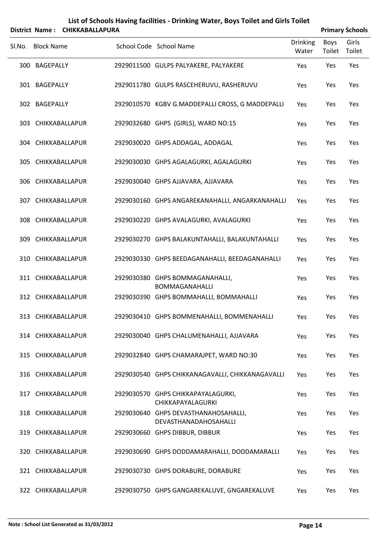|        | <b>District Name:</b> | <b>CHIKKABALLAPURA</b> |                                                               |                          |                | <b>Primary Schools</b> |
|--------|-----------------------|------------------------|---------------------------------------------------------------|--------------------------|----------------|------------------------|
| Sl.No. | <b>Block Name</b>     |                        | School Code School Name                                       | <b>Drinking</b><br>Water | Boys<br>Toilet | Girls<br>Toilet        |
|        | 300 BAGEPALLY         |                        | 2929011500 GULPS PALYAKERE, PALYAKERE                         | Yes                      | Yes            | Yes                    |
|        | 301 BAGEPALLY         |                        | 2929011780 GULPS RASCEHERUVU, RASHERUVU                       | Yes                      | Yes            | Yes                    |
|        | 302 BAGEPALLY         |                        | 2929010570 KGBV G.MADDEPALLI CROSS, G MADDEPALLI              | Yes                      | Yes            | Yes                    |
|        | 303 CHIKKABALLAPUR    |                        | 2929032680 GHPS (GIRLS), WARD NO:15                           | Yes                      | Yes            | Yes                    |
|        | 304 CHIKKABALLAPUR    |                        | 2929030020 GHPS ADDAGAL, ADDAGAL                              | Yes                      | Yes            | Yes                    |
|        | 305 CHIKKABALLAPUR    |                        | 2929030030 GHPS AGALAGURKI, AGALAGURKI                        | Yes                      | Yes            | Yes                    |
|        | 306 CHIKKABALLAPUR    |                        | 2929030040 GHPS AJJAVARA, AJJAVARA                            | Yes                      | Yes            | Yes                    |
|        | 307 CHIKKABALLAPUR    |                        | 2929030160 GHPS ANGAREKANAHALLI, ANGARKANAHALLI               | Yes                      | Yes            | Yes                    |
|        | 308 CHIKKABALLAPUR    |                        | 2929030220 GHPS AVALAGURKI, AVALAGURKI                        | Yes                      | Yes            | Yes                    |
|        | 309 CHIKKABALLAPUR    |                        | 2929030270 GHPS BALAKUNTAHALLI, BALAKUNTAHALLI                | Yes                      | Yes            | Yes                    |
|        | 310 CHIKKABALLAPUR    |                        | 2929030330 GHPS BEEDAGANAHALLI, BEEDAGANAHALLI                | Yes                      | Yes            | Yes                    |
|        | 311 CHIKKABALLAPUR    |                        | 2929030380 GHPS BOMMAGANAHALLI,<br><b>BOMMAGANAHALLI</b>      | Yes                      | Yes            | Yes                    |
|        | 312 CHIKKABALLAPUR    |                        | 2929030390 GHPS BOMMAHALLI, BOMMAHALLI                        | Yes                      | Yes            | Yes                    |
|        | 313 CHIKKABALLAPUR    |                        | 2929030410 GHPS BOMMENAHALLI, BOMMENAHALLI                    | Yes                      | Yes            | Yes                    |
|        |                       | 314 CHIKKABALLAPUR     | 2929030040 GHPS CHALUMENAHALLI, AJJAVARA                      | Yes                      | Yes            | Yes                    |
|        | 315 CHIKKABALLAPUR    |                        | 2929032840 GHPS CHAMARAJPET, WARD NO:30                       | Yes                      | Yes            | Yes                    |
|        | 316 CHIKKABALLAPUR    |                        | 2929030540 GHPS CHIKKANAGAVALLI, CHIKKANAGAVALLI              | Yes                      | Yes            | Yes                    |
| 317    |                       | CHIKKABALLAPUR         | 2929030570 GHPS CHIKKAPAYALAGURKI,<br>CHIKKAPAYALAGURKI       | Yes                      | Yes            | Yes                    |
|        | 318 CHIKKABALLAPUR    |                        | 2929030640 GHPS DEVASTHANAHOSAHALLI,<br>DEVASTHANADAHOSAHALLI | Yes                      | Yes            | Yes                    |
|        | 319 CHIKKABALLAPUR    |                        | 2929030660 GHPS DIBBUR, DIBBUR                                | Yes                      | Yes            | Yes                    |
|        | 320 CHIKKABALLAPUR    |                        | 2929030690 GHPS DODDAMARAHALLI, DODDAMARALLI                  | Yes                      | Yes            | Yes                    |
|        | 321 CHIKKABALLAPUR    |                        | 2929030730 GHPS DORABURE, DORABURE                            | Yes                      | Yes            | Yes                    |
|        |                       | 322 CHIKKABALLAPUR     | 2929030750 GHPS GANGAREKALUVE, GNGAREKALUVE                   | Yes                      | Yes            | Yes                    |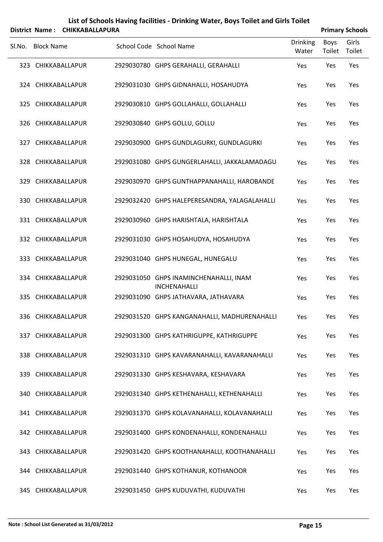| List of Schools Having facilities - Drinking Water, Boys Toilet and Girls Toilet |                    |                        |  |                                                        |                          |                        |                 |
|----------------------------------------------------------------------------------|--------------------|------------------------|--|--------------------------------------------------------|--------------------------|------------------------|-----------------|
|                                                                                  | District Name:     | <b>CHIKKABALLAPURA</b> |  |                                                        |                          | <b>Primary Schools</b> |                 |
| Sl.No.                                                                           | <b>Block Name</b>  |                        |  | School Code School Name                                | <b>Drinking</b><br>Water | <b>Boys</b><br>Toilet  | Girls<br>Toilet |
|                                                                                  | 323 CHIKKABALLAPUR |                        |  | 2929030780 GHPS GERAHALLI, GERAHALLI                   | Yes                      | Yes                    | Yes             |
|                                                                                  | 324 CHIKKABALLAPUR |                        |  | 2929031030 GHPS GIDNAHALLI, HOSAHUDYA                  | Yes                      | Yes                    | Yes             |
|                                                                                  | 325 CHIKKABALLAPUR |                        |  | 2929030810 GHPS GOLLAHALLI, GOLLAHALLI                 | Yes                      | Yes                    | Yes             |
|                                                                                  | 326 CHIKKABALLAPUR |                        |  | 2929030840 GHPS GOLLU, GOLLU                           | Yes                      | Yes                    | Yes             |
|                                                                                  | 327 CHIKKABALLAPUR |                        |  | 2929030900 GHPS GUNDLAGURKI, GUNDLAGURKI               | Yes                      | Yes                    | Yes             |
|                                                                                  | 328 CHIKKABALLAPUR |                        |  | 2929031080 GHPS GUNGERLAHALLI, JAKKALAMADAGU           | Yes                      | Yes                    | Yes             |
|                                                                                  | 329 CHIKKABALLAPUR |                        |  | 2929030970 GHPS GUNTHAPPANAHALLI, HAROBANDE            | Yes                      | Yes                    | Yes             |
|                                                                                  | 330 CHIKKABALLAPUR |                        |  | 2929032420 GHPS HALEPERESANDRA, YALAGALAHALLI          | Yes                      | Yes                    | Yes             |
|                                                                                  | 331 CHIKKABALLAPUR |                        |  | 2929030960 GHPS HARISHTALA, HARISHTALA                 | Yes                      | Yes                    | Yes             |
|                                                                                  | 332 CHIKKABALLAPUR |                        |  | 2929031030 GHPS HOSAHUDYA, HOSAHUDYA                   | Yes                      | Yes                    | Yes             |
|                                                                                  | 333 CHIKKABALLAPUR |                        |  | 2929031040 GHPS HUNEGAL, HUNEGALU                      | Yes                      | Yes                    | Yes             |
|                                                                                  | 334 CHIKKABALLAPUR |                        |  | 2929031050 GHPS INAMINCHENAHALLI, INAM<br>INCHENAHALLI | Yes                      | Yes                    | Yes             |
|                                                                                  | 335 CHIKKABALLAPUR |                        |  | 2929031090 GHPS JATHAVARA, JATHAVARA                   | Yes                      | Yes                    | Yes             |
|                                                                                  | 336 CHIKKABALLAPUR |                        |  | 2929031520 GHPS KANGANAHALLI, MADHURENAHALLI           | Yes                      | Yes                    | Yes             |
|                                                                                  | 337 CHIKKABALLAPUR |                        |  | 2929031300 GHPS KATHRIGUPPE, KATHRIGUPPE               | Yes                      | Yes                    | Yes             |
|                                                                                  | 338 CHIKKABALLAPUR |                        |  | 2929031310 GHPS KAVARANAHALLI, KAVARANAHALLI           | Yes                      | Yes                    | Yes             |
|                                                                                  | 339 CHIKKABALLAPUR |                        |  | 2929031330 GHPS KESHAVARA, KESHAVARA                   | Yes                      | Yes                    | Yes             |
|                                                                                  | 340 CHIKKABALLAPUR |                        |  | 2929031340 GHPS KETHENAHALLI, KETHENAHALLI             | Yes                      | Yes                    | Yes             |
|                                                                                  | 341 CHIKKABALLAPUR |                        |  | 2929031370 GHPS KOLAVANAHALLI, KOLAVANAHALLI           | Yes                      | Yes                    | Yes             |
|                                                                                  | 342 CHIKKABALLAPUR |                        |  | 2929031400 GHPS KONDENAHALLI, KONDENAHALLI             | Yes                      | Yes                    | Yes             |
|                                                                                  | 343 CHIKKABALLAPUR |                        |  | 2929031420 GHPS KOOTHANAHALLI, KOOTHANAHALLI           | Yes                      | Yes                    | Yes             |
|                                                                                  | 344 CHIKKABALLAPUR |                        |  | 2929031440 GHPS KOTHANUR, KOTHANOOR                    | Yes                      | Yes                    | Yes             |
|                                                                                  |                    |                        |  |                                                        |                          |                        |                 |

345 CHIKKABALLAPUR 2929031450 GHPS KUDUVATHI, KUDUVATHI Yes Yes Yes Yes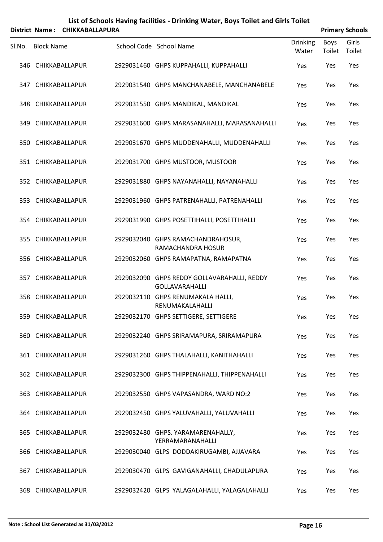| List of Schools Having facilities - Drinking Water, Boys Toilet and Girls Toilet |                        |
|----------------------------------------------------------------------------------|------------------------|
| District Name: CHIKKABALLAPURA                                                   | <b>Primary Schools</b> |

|                    |                                                                      |                          |                | <b>THING Y JUNUAL</b> |
|--------------------|----------------------------------------------------------------------|--------------------------|----------------|-----------------------|
| Sl.No. Block Name  | School Code School Name                                              | <b>Drinking</b><br>Water | Boys<br>Toilet | Girls<br>Toilet       |
| 346 CHIKKABALLAPUR | 2929031460 GHPS KUPPAHALLI, KUPPAHALLI                               | Yes                      | Yes            | Yes                   |
| 347 CHIKKABALLAPUR | 2929031540 GHPS MANCHANABELE, MANCHANABELE                           | Yes                      | Yes            | Yes                   |
| 348 CHIKKABALLAPUR | 2929031550 GHPS MANDIKAL, MANDIKAL                                   | Yes                      | Yes            | Yes                   |
| 349 CHIKKABALLAPUR | 2929031600 GHPS MARASANAHALLI, MARASANAHALLI                         | Yes                      | Yes            | Yes                   |
| 350 CHIKKABALLAPUR | 2929031670 GHPS MUDDENAHALLI, MUDDENAHALLI                           | Yes                      | Yes            | Yes                   |
| 351 CHIKKABALLAPUR | 2929031700 GHPS MUSTOOR, MUSTOOR                                     | Yes                      | Yes            | Yes                   |
| 352 CHIKKABALLAPUR | 2929031880 GHPS NAYANAHALLI, NAYANAHALLI                             | Yes                      | Yes            | Yes                   |
| 353 CHIKKABALLAPUR | 2929031960 GHPS PATRENAHALLI, PATRENAHALLI                           | Yes                      | Yes            | Yes                   |
| 354 CHIKKABALLAPUR | 2929031990 GHPS POSETTIHALLI, POSETTIHALLI                           | Yes                      | Yes            | Yes                   |
| 355 CHIKKABALLAPUR | 2929032040 GHPS RAMACHANDRAHOSUR,<br>RAMACHANDRA HOSUR               | Yes                      | Yes            | Yes                   |
| 356 CHIKKABALLAPUR | 2929032060 GHPS RAMAPATNA, RAMAPATNA                                 | Yes                      | Yes            | Yes                   |
| 357 CHIKKABALLAPUR | 2929032090 GHPS REDDY GOLLAVARAHALLI, REDDY<br><b>GOLLAVARAHALLI</b> | Yes                      | Yes            | Yes                   |
| 358 CHIKKABALLAPUR | 2929032110 GHPS RENUMAKALA HALLI,<br>RENUMAKALAHALLI                 | Yes                      | Yes            | Yes                   |
| 359 CHIKKABALLAPUR | 2929032170 GHPS SETTIGERE, SETTIGERE                                 | Yes                      | Yes            | Yes                   |
| 360 CHIKKABALLAPUR | 2929032240 GHPS SRIRAMAPURA, SRIRAMAPURA                             | Yes                      | Yes            | Yes                   |
| 361 CHIKKABALLAPUR | 2929031260 GHPS THALAHALLI, KANITHAHALLI                             | Yes                      | Yes            | Yes                   |
| 362 CHIKKABALLAPUR | 2929032300 GHPS THIPPENAHALLI, THIPPENAHALLI                         | Yes                      | Yes            | Yes                   |
| 363 CHIKKABALLAPUR | 2929032550 GHPS VAPASANDRA, WARD NO:2                                | Yes                      | Yes            | Yes                   |
| 364 CHIKKABALLAPUR | 2929032450 GHPS YALUVAHALLI, YALUVAHALLI                             | Yes                      | Yes            | Yes                   |
| 365 CHIKKABALLAPUR | 2929032480 GHPS. YARAMARENAHALLY,<br>YERRAMARANAHALLI                | Yes                      | Yes            | Yes                   |
| 366 CHIKKABALLAPUR | 2929030040 GLPS DODDAKIRUGAMBI, AJJAVARA                             | Yes                      | Yes            | Yes                   |
| 367 CHIKKABALLAPUR | 2929030470 GLPS GAVIGANAHALLI, CHADULAPURA                           | Yes                      | Yes            | Yes                   |
| 368 CHIKKABALLAPUR | 2929032420 GLPS YALAGALAHALLI, YALAGALAHALLI                         | Yes                      | Yes            | Yes                   |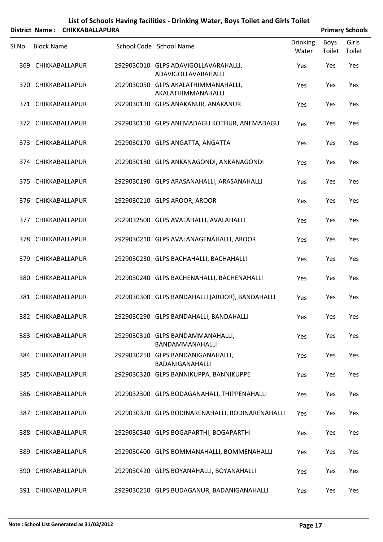|        |                   | District Name: CHIKKABALLAPURA |                                                             |                          |                | <b>Primary Schools</b> |
|--------|-------------------|--------------------------------|-------------------------------------------------------------|--------------------------|----------------|------------------------|
| SI.No. | <b>Block Name</b> |                                | School Code School Name                                     | <b>Drinking</b><br>Water | Boys<br>Toilet | Girls<br>Toilet        |
|        |                   | 369 CHIKKABALLAPUR             | 2929030010 GLPS ADAVIGOLLAVARAHALLI,<br>ADAVIGOLLAVARAHALLI | Yes                      | Yes            | Yes                    |
|        |                   | 370 CHIKKABALLAPUR             | 2929030050 GLPS AKALATHIMMANAHALLI,<br>AKALATHIMMANAHALLI   | Yes                      | Yes            | Yes                    |
|        |                   | 371 CHIKKABALLAPUR             | 2929030130 GLPS ANAKANUR, ANAKANUR                          | Yes                      | Yes            | Yes                    |
|        |                   | 372 CHIKKABALLAPUR             | 2929030150 GLPS ANEMADAGU KOTHUR, ANEMADAGU                 | Yes                      | Yes            | Yes                    |
|        |                   | 373 CHIKKABALLAPUR             | 2929030170 GLPS ANGATTA, ANGATTA                            | Yes                      | Yes            | Yes                    |
|        |                   | 374 CHIKKABALLAPUR             | 2929030180 GLPS ANKANAGONDI, ANKANAGONDI                    | Yes                      | Yes            | Yes                    |
|        |                   | 375 CHIKKABALLAPUR             | 2929030190 GLPS ARASANAHALLI, ARASANAHALLI                  | Yes                      | Yes            | Yes                    |
|        |                   | 376 CHIKKABALLAPUR             | 2929030210 GLPS AROOR, AROOR                                | Yes                      | Yes            | Yes                    |
|        |                   | 377 CHIKKABALLAPUR             | 2929032500 GLPS AVALAHALLI, AVALAHALLI                      | Yes                      | Yes            | Yes                    |
|        |                   | 378 CHIKKABALLAPUR             | 2929030210 GLPS AVALANAGENAHALLI, AROOR                     | Yes                      | Yes            | Yes                    |
|        |                   | 379 CHIKKABALLAPUR             | 2929030230 GLPS BACHAHALLI, BACHAHALLI                      | Yes                      | Yes            | Yes                    |
|        |                   | 380 CHIKKABALLAPUR             | 2929030240 GLPS BACHENAHALLI, BACHENAHALLI                  | Yes                      | Yes            | Yes                    |
|        |                   | 381 CHIKKABALLAPUR             | 2929030300 GLPS BANDAHALLI (AROOR), BANDAHALLI              | Yes                      | Yes            | Yes                    |
|        |                   | 382 CHIKKABALLAPUR             | 2929030290 GLPS BANDAHALLI, BANDAHALLI                      | Yes                      | Yes            | Yes                    |
|        |                   | 383 CHIKKABALLAPUR             | 2929030310 GLPS BANDAMMANAHALLI,<br>BANDAMMANAHALLI         | Yes                      | Yes            | Yes                    |
|        |                   | 384 CHIKKABALLAPUR             | 2929030250 GLPS BANDANIGANAHALLI,<br>BADANIGANAHALLI        | Yes                      | Yes            | Yes                    |
|        |                   | 385 CHIKKABALLAPUR             | 2929030320 GLPS BANNIKUPPA, BANNIKUPPE                      | Yes                      | Yes            | Yes                    |
|        |                   | 386 CHIKKABALLAPUR             | 2929032300 GLPS BODAGANAHALI, THIPPENAHALLI                 | Yes                      | Yes            | Yes                    |
|        |                   | 387 CHIKKABALLAPUR             | 2929030370 GLPS BODINARENAHALLI, BODINARENAHALLI            | Yes                      | Yes            | Yes                    |
|        |                   | 388 CHIKKABALLAPUR             | 2929030340 GLPS BOGAPARTHI, BOGAPARTHI                      | Yes                      | Yes            | Yes                    |
|        |                   | 389 CHIKKABALLAPUR             | 2929030400 GLPS BOMMANAHALLI, BOMMENAHALLI                  | Yes                      | Yes            | Yes                    |
|        |                   | 390 CHIKKABALLAPUR             | 2929030420 GLPS BOYANAHALLI, BOYANAHALLI                    | Yes                      | Yes            | Yes                    |
|        |                   | 391 CHIKKABALLAPUR             | 2929030250 GLPS BUDAGANUR, BADANIGANAHALLI                  | Yes                      | Yes            | Yes                    |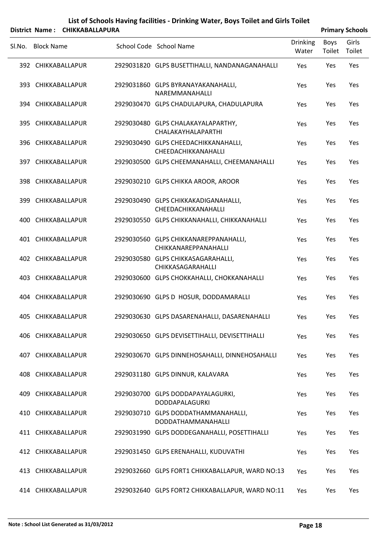|        |                   | District Name: CHIKKABALLAPURA |                                                               |                          |                | <b>Primary Schools</b> |
|--------|-------------------|--------------------------------|---------------------------------------------------------------|--------------------------|----------------|------------------------|
| SI.No. | <b>Block Name</b> |                                | School Code School Name                                       | <b>Drinking</b><br>Water | Boys<br>Toilet | Girls<br>Toilet        |
|        |                   | 392 CHIKKABALLAPUR             | 2929031820 GLPS BUSETTIHALLI, NANDANAGANAHALLI                | Yes                      | Yes            | Yes                    |
|        |                   | 393 CHIKKABALLAPUR             | 2929031860 GLPS BYRANAYAKANAHALLI,<br>NAREMMANAHALLI          | Yes                      | Yes            | Yes                    |
|        |                   | 394 CHIKKABALLAPUR             | 2929030470 GLPS CHADULAPURA, CHADULAPURA                      | Yes                      | Yes            | Yes                    |
|        |                   | 395 CHIKKABALLAPUR             | 2929030480 GLPS CHALAKAYALAPARTHY,<br>CHALAKAYHALAPARTHI      | Yes                      | Yes            | Yes                    |
|        |                   | 396 CHIKKABALLAPUR             | 2929030490 GLPS CHEEDACHIKKANAHALLI,<br>CHEEDACHIKKANAHALLI   | Yes                      | Yes            | Yes                    |
|        |                   | 397 CHIKKABALLAPUR             | 2929030500 GLPS CHEEMANAHALLI, CHEEMANAHALLI                  | Yes                      | Yes            | Yes                    |
|        |                   | 398 CHIKKABALLAPUR             | 2929030210 GLPS CHIKKA AROOR, AROOR                           | Yes                      | Yes            | Yes                    |
|        |                   | 399 CHIKKABALLAPUR             | 2929030490 GLPS CHIKKAKADIGANAHALLI,<br>CHEEDACHIKKANAHALLI   | Yes                      | Yes            | Yes                    |
| 400    |                   | CHIKKABALLAPUR                 | 2929030550 GLPS CHIKKANAHALLI, CHIKKANAHALLI                  | Yes                      | Yes            | Yes                    |
|        |                   | 401 CHIKKABALLAPUR             | 2929030560 GLPS CHIKKANAREPPANAHALLI,<br>CHIKKANAREPPANAHALLI | Yes                      | Yes            | Yes                    |
|        |                   | 402 CHIKKABALLAPUR             | 2929030580 GLPS CHIKKASAGARAHALLI,<br>CHIKKASAGARAHALLI       | Yes                      | Yes            | Yes                    |
| 403.   |                   | CHIKKABALLAPUR                 | 2929030600 GLPS CHOKKAHALLI, CHOKKANAHALLI                    | Yes                      | Yes            | Yes                    |
| 404    |                   | CHIKKABALLAPUR                 | 2929030690 GLPS D HOSUR, DODDAMARALLI                         | Yes                      | Yes            | Yes                    |
|        |                   | 405 CHIKKABALLAPUR             | 2929030630 GLPS DASARENAHALLI, DASARENAHALLI                  | Yes                      | Yes            | Yes                    |
|        |                   | 406 CHIKKABALLAPUR             | 2929030650 GLPS DEVISETTIHALLI, DEVISETTIHALLI                | Yes                      | Yes            | Yes                    |
|        |                   | 407 CHIKKABALLAPUR             | 2929030670 GLPS DINNEHOSAHALLI, DINNEHOSAHALLI                | Yes                      | Yes            | Yes                    |
|        |                   | 408 CHIKKABALLAPUR             | 2929031180 GLPS DINNUR, KALAVARA                              | Yes                      | Yes            | Yes                    |
|        |                   | 409 CHIKKABALLAPUR             | 2929030700 GLPS DODDAPAYALAGURKI,<br>DODDAPALAGURKI           | Yes                      | Yes            | Yes                    |
|        |                   | 410 CHIKKABALLAPUR             | 2929030710 GLPS DODDATHAMMANAHALLI,<br>DODDATHAMMANAHALLI     | Yes                      | Yes            | Yes                    |
|        |                   | 411 CHIKKABALLAPUR             | 2929031990 GLPS DODDEGANAHALLI, POSETTIHALLI                  | Yes                      | Yes            | Yes                    |
|        |                   | 412 CHIKKABALLAPUR             | 2929031450 GLPS ERENAHALLI, KUDUVATHI                         | Yes                      | Yes            | Yes                    |
|        |                   | 413 CHIKKABALLAPUR             | 2929032660 GLPS FORT1 CHIKKABALLAPUR, WARD NO:13              | Yes                      | Yes            | Yes                    |
|        |                   | 414 CHIKKABALLAPUR             | 2929032640 GLPS FORT2 CHIKKABALLAPUR, WARD NO:11              | Yes                      | Yes            | Yes                    |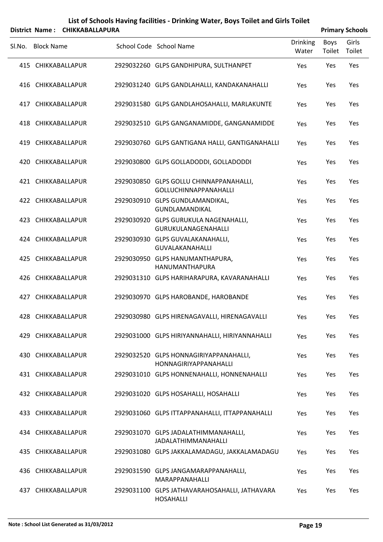|        |                   | District Name: CHIKKABALLAPURA |                                                                         |                          |                | <b>Primary Schools</b> |
|--------|-------------------|--------------------------------|-------------------------------------------------------------------------|--------------------------|----------------|------------------------|
| Sl.No. | <b>Block Name</b> |                                | School Code School Name                                                 | <b>Drinking</b><br>Water | Boys<br>Toilet | Girls<br>Toilet        |
|        |                   | 415 CHIKKABALLAPUR             | 2929032260 GLPS GANDHIPURA, SULTHANPET                                  | Yes                      | Yes            | Yes                    |
|        |                   | 416 CHIKKABALLAPUR             | 2929031240 GLPS GANDLAHALLI, KANDAKANAHALLI                             | Yes                      | Yes            | Yes                    |
| 417    |                   | CHIKKABALLAPUR                 | 2929031580 GLPS GANDLAHOSAHALLI, MARLAKUNTE                             | Yes                      | Yes            | Yes                    |
|        |                   | 418 CHIKKABALLAPUR             | 2929032510 GLPS GANGANAMIDDE, GANGANAMIDDE                              | Yes                      | Yes            | Yes                    |
| 419    |                   | CHIKKABALLAPUR                 | 2929030760 GLPS GANTIGANA HALLI, GANTIGANAHALLI                         | Yes                      | Yes            | Yes                    |
| 420    |                   | CHIKKABALLAPUR                 | 2929030800 GLPS GOLLADODDI, GOLLADODDI                                  | Yes                      | Yes            | Yes                    |
|        |                   | 421 CHIKKABALLAPUR             | 2929030850 GLPS GOLLU CHINNAPPANAHALLI,<br><b>GOLLUCHINNAPPANAHALLI</b> | Yes                      | Yes            | Yes                    |
|        |                   | 422 CHIKKABALLAPUR             | 2929030910 GLPS GUNDLAMANDIKAL,<br><b>GUNDLAMANDIKAL</b>                | Yes                      | Yes            | Yes                    |
| 423    |                   | CHIKKABALLAPUR                 | 2929030920 GLPS GURUKULA NAGENAHALLI,<br>GURUKULANAGENAHALLI            | Yes                      | Yes            | Yes                    |
|        |                   | 424 CHIKKABALLAPUR             | 2929030930 GLPS GUVALAKANAHALLI,<br><b>GUVALAKANAHALLI</b>              | Yes                      | Yes            | Yes                    |
| 425    |                   | CHIKKABALLAPUR                 | 2929030950 GLPS HANUMANTHAPURA,<br>HANUMANTHAPURA                       | Yes                      | Yes            | Yes                    |
|        |                   | 426 CHIKKABALLAPUR             | 2929031310 GLPS HARIHARAPURA, KAVARANAHALLI                             | Yes                      | Yes            | Yes                    |
| 427    |                   | CHIKKABALLAPUR                 | 2929030970 GLPS HAROBANDE, HAROBANDE                                    | Yes                      | Yes            | Yes                    |
|        |                   | 428 CHIKKABALLAPUR             | 2929030980 GLPS HIRENAGAVALLI, HIRENAGAVALLI                            | Yes                      | Yes            | Yes                    |
|        |                   | 429 CHIKKABALLAPUR             | 2929031000 GLPS HIRIYANNAHALLI, HIRIYANNAHALLI                          | Yes                      | Yes            | Yes                    |
|        |                   | 430 CHIKKABALLAPUR             | 2929032520 GLPS HONNAGIRIYAPPANAHALLI,<br>HONNAGIRIYAPPANAHALLI         | Yes                      | Yes            | Yes                    |
|        |                   | 431 CHIKKABALLAPUR             | 2929031010 GLPS HONNENAHALLI, HONNENAHALLI                              | Yes                      | Yes            | Yes                    |
|        |                   | 432 CHIKKABALLAPUR             | 2929031020 GLPS HOSAHALLI, HOSAHALLI                                    | Yes                      | Yes            | Yes                    |
|        |                   | 433 CHIKKABALLAPUR             | 2929031060 GLPS ITTAPPANAHALLI, ITTAPPANAHALLI                          | Yes                      | Yes            | Yes                    |
|        |                   | 434 CHIKKABALLAPUR             | 2929031070 GLPS JADALATHIMMANAHALLI,<br><b>JADALATHIMMANAHALLI</b>      | Yes                      | Yes            | Yes                    |
|        |                   | 435 CHIKKABALLAPUR             | 2929031080 GLPS JAKKALAMADAGU, JAKKALAMADAGU                            | Yes                      | Yes            | Yes                    |
|        |                   | 436 CHIKKABALLAPUR             | 2929031590 GLPS JANGAMARAPPANAHALLI,<br>MARAPPANAHALLI                  | Yes                      | Yes            | Yes                    |
| 437    |                   | CHIKKABALLAPUR                 | 2929031100 GLPS JATHAVARAHOSAHALLI, JATHAVARA<br><b>HOSAHALLI</b>       | Yes                      | Yes            | Yes                    |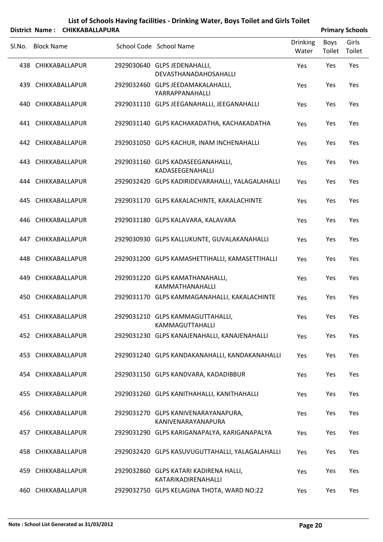|        |                   | District Name: CHIKKABALLAPURA |                                                               |                          |                | <b>Primary Schools</b> |
|--------|-------------------|--------------------------------|---------------------------------------------------------------|--------------------------|----------------|------------------------|
| SI.No. | <b>Block Name</b> |                                | School Code School Name                                       | <b>Drinking</b><br>Water | Boys<br>Toilet | Girls<br>Toilet        |
|        |                   | 438 CHIKKABALLAPUR             | 2929030640 GLPS JEDENAHALLI,<br>DEVASTHANADAHOSAHALLI         | Yes                      | Yes            | Yes                    |
| 439.   |                   | CHIKKABALLAPUR                 | 2929032460 GLPS JEEDAMAKALAHALLI,<br>YARRAPPANAHALLI          | Yes                      | Yes            | Yes                    |
|        |                   | 440 CHIKKABALLAPUR             | 2929031110 GLPS JEEGANAHALLI, JEEGANAHALLI                    | Yes                      | Yes            | Yes                    |
|        |                   | 441 CHIKKABALLAPUR             | 2929031140 GLPS KACHAKADATHA, KACHAKADATHA                    | Yes                      | Yes            | Yes                    |
|        |                   | 442 CHIKKABALLAPUR             | 2929031050 GLPS KACHUR, INAM INCHENAHALLI                     | Yes                      | Yes            | Yes                    |
|        |                   | 443 CHIKKABALLAPUR             | 2929031160 GLPS KADASEEGANAHALLI,<br>KADASEEGENAHALLI         | Yes                      | Yes            | Yes                    |
|        |                   | 444 CHIKKABALLAPUR             | 2929032420 GLPS KADIRIDEVARAHALLI, YALAGALAHALLI              | Yes                      | Yes            | Yes                    |
|        |                   | 445 CHIKKABALLAPUR             | 2929031170 GLPS KAKALACHINTE, KAKALACHINTE                    | Yes                      | Yes            | Yes                    |
|        |                   | 446 CHIKKABALLAPUR             | 2929031180 GLPS KALAVARA, KALAVARA                            | Yes                      | Yes            | Yes                    |
|        |                   | 447 CHIKKABALLAPUR             | 2929030930 GLPS KALLUKUNTE, GUVALAKANAHALLI                   | Yes                      | Yes            | Yes                    |
|        |                   | 448 CHIKKABALLAPUR             | 2929031200 GLPS KAMASHETTIHALLI, KAMASETTIHALLI               | Yes                      | Yes            | Yes                    |
| 449    |                   | CHIKKABALLAPUR                 | 2929031220 GLPS KAMATHANAHALLI,<br>KAMMATHANAHALLI            | Yes                      | Yes            | Yes                    |
|        |                   | 450 CHIKKABALLAPUR             | 2929031170 GLPS KAMMAGANAHALLI, KAKALACHINTE                  | Yes                      | Yes            | Yes                    |
|        |                   | 451 CHIKKABALLAPUR             | 2929031210 GLPS KAMMAGUTTAHALLI,<br>KAMMAGUTTAHALLI           | Yes                      | Yes            | Yes                    |
|        |                   | 452 CHIKKABALLAPUR             | 2929031230 GLPS KANAJENAHALLI, KANAJENAHALLI                  | Yes                      | Yes            | Yes                    |
|        |                   | 453 CHIKKABALLAPUR             | 2929031240 GLPS KANDAKANAHALLI, KANDAKANAHALLI                | Yes                      | Yes            | Yes                    |
|        |                   | 454 CHIKKABALLAPUR             | 2929031150 GLPS KANDVARA, KADADIBBUR                          | Yes                      | Yes            | Yes                    |
|        |                   | 455 CHIKKABALLAPUR             | 2929031260 GLPS KANITHAHALLI, KANITHAHALLI                    | Yes                      | Yes            | Yes                    |
|        |                   | 456 CHIKKABALLAPUR             | 2929031270 GLPS KANIVENARAYANAPURA,<br>KANIVENARAYANAPURA     | Yes                      | Yes            | Yes                    |
|        |                   | 457 CHIKKABALLAPUR             | 2929031290 GLPS KARIGANAPALYA, KARIGANAPALYA                  | Yes                      | Yes            | Yes                    |
|        |                   | 458 CHIKKABALLAPUR             | 2929032420 GLPS KASUVUGUTTAHALLI, YALAGALAHALLI               | Yes                      | Yes            | Yes                    |
|        |                   | 459 CHIKKABALLAPUR             | 2929032860 GLPS KATARI KADIRENA HALLI,<br>KATARIKADIRENAHALLI | Yes                      | Yes            | Yes                    |
|        |                   | 460 CHIKKABALLAPUR             | 2929032750 GLPS KELAGINA THOTA, WARD NO:22                    | Yes                      | Yes            | Yes                    |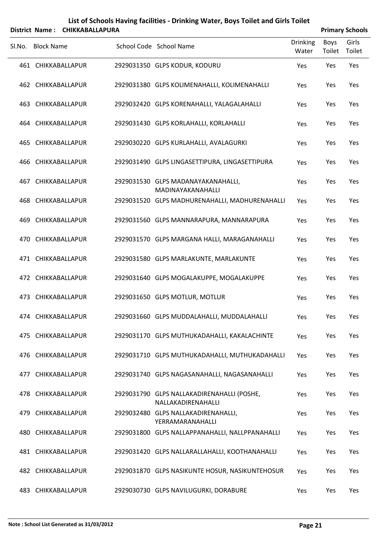| List of Schools Having facilities - Drinking Water, Boys Toilet and Girls Toilet |                        |
|----------------------------------------------------------------------------------|------------------------|
| District Name: CHIKKABALLAPURA                                                   | <b>Primary Schools</b> |

|     | Sl.No. Block Name  | School Code School Name                                          | <b>Drinking</b><br>Water | Boys<br>Toilet | Girls<br>Toilet |
|-----|--------------------|------------------------------------------------------------------|--------------------------|----------------|-----------------|
|     | 461 CHIKKABALLAPUR | 2929031350 GLPS KODUR, KODURU                                    | Yes                      | Yes            | Yes             |
|     | 462 CHIKKABALLAPUR | 2929031380 GLPS KOLIMENAHALLI, KOLIMENAHALLI                     | Yes                      | Yes            | Yes             |
|     | 463 CHIKKABALLAPUR | 2929032420 GLPS KORENAHALLI, YALAGALAHALLI                       | Yes                      | Yes            | Yes             |
|     | 464 CHIKKABALLAPUR | 2929031430 GLPS KORLAHALLI, KORLAHALLI                           | Yes                      | Yes            | Yes             |
|     | 465 CHIKKABALLAPUR | 2929030220 GLPS KURLAHALLI, AVALAGURKI                           | Yes                      | Yes            | Yes             |
|     | 466 CHIKKABALLAPUR | 2929031490 GLPS LINGASETTIPURA, LINGASETTIPURA                   | Yes                      | Yes            | Yes             |
|     | 467 CHIKKABALLAPUR | 2929031530 GLPS MADANAYAKANAHALLI,<br>MADINAYAKANAHALLI          | Yes                      | Yes            | Yes             |
|     | 468 CHIKKABALLAPUR | 2929031520 GLPS MADHURENAHALLI, MADHURENAHALLI                   | Yes                      | Yes            | Yes             |
|     | 469 CHIKKABALLAPUR | 2929031560 GLPS MANNARAPURA, MANNARAPURA                         | Yes                      | Yes            | Yes             |
|     | 470 CHIKKABALLAPUR | 2929031570 GLPS MARGANA HALLI, MARAGANAHALLI                     | Yes                      | Yes            | Yes             |
|     | 471 CHIKKABALLAPUR | 2929031580 GLPS MARLAKUNTE, MARLAKUNTE                           | Yes                      | Yes            | Yes             |
|     | 472 CHIKKABALLAPUR | 2929031640 GLPS MOGALAKUPPE, MOGALAKUPPE                         | Yes                      | Yes            | Yes             |
|     | 473 CHIKKABALLAPUR | 2929031650 GLPS MOTLUR, MOTLUR                                   | Yes                      | Yes            | Yes             |
|     | 474 CHIKKABALLAPUR | 2929031660 GLPS MUDDALAHALLI, MUDDALAHALLI                       | Yes                      | Yes            | Yes             |
|     | 475 CHIKKABALLAPUR | 2929031170 GLPS MUTHUKADAHALLI, KAKALACHINTE                     | Yes                      | Yes            | Yes             |
| 476 | CHIKKABALLAPUR     | 2929031710 GLPS MUTHUKADAHALLI, MUTHUKADAHALLI                   | <b>Yes</b>               | Yes            | Yes             |
|     | 477 CHIKKABALLAPUR | 2929031740 GLPS NAGASANAHALLI, NAGASANAHALLI                     | Yes                      | Yes            | Yes             |
|     | 478 CHIKKABALLAPUR | 2929031790 GLPS NALLAKADIRENAHALLI (POSHE,<br>NALLAKADIRENAHALLI | Yes                      | Yes            | Yes             |
| 479 | CHIKKABALLAPUR     | 2929032480 GLPS NALLAKADIRENAHALLI,<br>YERRAMARANAHALLI          | <b>Yes</b>               | Yes            | Yes             |
| 480 | CHIKKABALLAPUR     | 2929031800 GLPS NALLAPPANAHALLI, NALLPPANAHALLI                  | Yes                      | Yes            | Yes             |
|     | 481 CHIKKABALLAPUR | 2929031420 GLPS NALLARALLAHALLI, KOOTHANAHALLI                   | <b>Yes</b>               | Yes            | Yes             |
|     | 482 CHIKKABALLAPUR | 2929031870 GLPS NASIKUNTE HOSUR, NASIKUNTEHOSUR                  | Yes                      | Yes            | Yes             |
|     | 483 CHIKKABALLAPUR | 2929030730 GLPS NAVILUGURKI, DORABURE                            | Yes                      | Yes            | Yes             |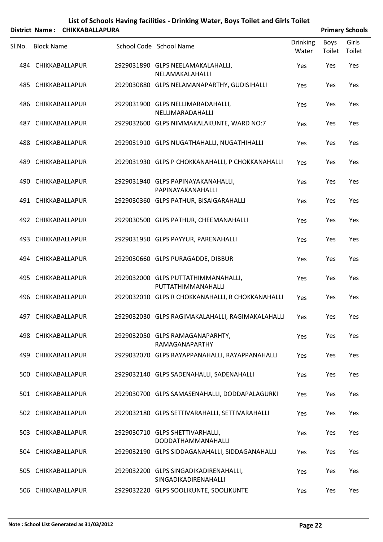|        |                   | District Name: CHIKKABALLAPURA |                                                               |                          |                | <b>Primary Schools</b> |
|--------|-------------------|--------------------------------|---------------------------------------------------------------|--------------------------|----------------|------------------------|
| SI.No. | <b>Block Name</b> |                                | School Code School Name                                       | <b>Drinking</b><br>Water | Boys<br>Toilet | Girls<br>Toilet        |
|        |                   | 484 CHIKKABALLAPUR             | 2929031890 GLPS NEELAMAKALAHALLI,<br>NELAMAKALAHALLI          | Yes                      | Yes            | Yes                    |
|        |                   | 485 CHIKKABALLAPUR             | 2929030880 GLPS NELAMANAPARTHY, GUDISIHALLI                   | Yes                      | Yes            | Yes                    |
|        |                   | 486 CHIKKABALLAPUR             | 2929031900 GLPS NELLIMARADAHALLI,<br>NELLIMARADAHALLI         | Yes                      | Yes            | Yes                    |
|        |                   | 487 CHIKKABALLAPUR             | 2929032600 GLPS NIMMAKALAKUNTE, WARD NO:7                     | Yes                      | Yes            | Yes                    |
|        |                   | 488 CHIKKABALLAPUR             | 2929031910 GLPS NUGATHAHALLI, NUGATHIHALLI                    | Yes                      | Yes            | Yes                    |
|        |                   | 489 CHIKKABALLAPUR             | 2929031930 GLPS P CHOKKANAHALLI, P CHOKKANAHALLI              | Yes                      | Yes            | Yes                    |
|        |                   | 490 CHIKKABALLAPUR             | 2929031940 GLPS PAPINAYAKANAHALLI,<br>PAPINAYAKANAHALLI       | Yes                      | Yes            | Yes                    |
|        |                   | 491 CHIKKABALLAPUR             | 2929030360 GLPS PATHUR, BISAIGARAHALLI                        | Yes                      | Yes            | Yes                    |
|        |                   | 492 CHIKKABALLAPUR             | 2929030500 GLPS PATHUR, CHEEMANAHALLI                         | Yes                      | Yes            | Yes                    |
|        |                   | 493 CHIKKABALLAPUR             | 2929031950 GLPS PAYYUR, PARENAHALLI                           | Yes                      | Yes            | Yes                    |
|        |                   | 494 CHIKKABALLAPUR             | 2929030660 GLPS PURAGADDE, DIBBUR                             | Yes                      | Yes            | Yes                    |
|        |                   | 495 CHIKKABALLAPUR             | 2929032000 GLPS PUTTATHIMMANAHALLI,<br>PUTTATHIMMANAHALLI     | Yes                      | Yes            | Yes                    |
|        |                   | 496 CHIKKABALLAPUR             | 2929032010 GLPS R CHOKKANAHALLI, R CHOKKANAHALLI              | Yes                      | Yes            | Yes                    |
|        |                   | 497 CHIKKABALLAPUR             | 2929032030 GLPS RAGIMAKALAHALLI, RAGIMAKALAHALLI Yes          |                          | Yes            | Yes                    |
|        |                   | 498 CHIKKABALLAPUR             | 2929032050 GLPS RAMAGANAPARHTY,<br>RAMAGANAPARTHY             | Yes                      | Yes            | Yes                    |
|        |                   | 499 CHIKKABALLAPUR             | 2929032070 GLPS RAYAPPANAHALLI, RAYAPPANAHALLI                | Yes                      | Yes            | Yes                    |
|        |                   | 500 CHIKKABALLAPUR             | 2929032140 GLPS SADENAHALLI, SADENAHALLI                      | Yes                      | Yes            | Yes                    |
|        |                   | 501 CHIKKABALLAPUR             | 2929030700 GLPS SAMASENAHALLI, DODDAPALAGURKI                 | Yes                      | Yes            | Yes                    |
|        |                   | 502 CHIKKABALLAPUR             | 2929032180 GLPS SETTIVARAHALLI, SETTIVARAHALLI                | Yes                      | Yes            | Yes                    |
|        |                   | 503 CHIKKABALLAPUR             | 2929030710 GLPS SHETTIVARHALLI,<br>DODDATHAMMANAHALLI         | Yes                      | Yes            | Yes                    |
|        |                   | 504 CHIKKABALLAPUR             | 2929032190 GLPS SIDDAGANAHALLI, SIDDAGANAHALLI                | Yes                      | Yes            | Yes                    |
|        |                   | 505 CHIKKABALLAPUR             | 2929032200 GLPS SINGADIKADIRENAHALLI,<br>SINGADIKADIRENAHALLI | Yes                      | Yes            | Yes                    |
|        |                   | 506 CHIKKABALLAPUR             | 2929032220 GLPS SOOLIKUNTE, SOOLIKUNTE                        | Yes                      | Yes            | Yes                    |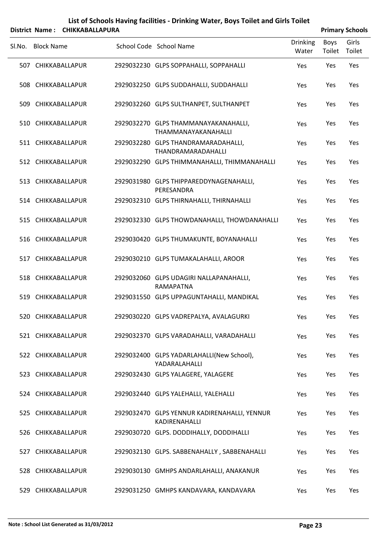|        |                   | District Name: CHIKKABALLAPURA |                                                               |                          |                | <b>Primary Schools</b> |
|--------|-------------------|--------------------------------|---------------------------------------------------------------|--------------------------|----------------|------------------------|
| SI.No. | <b>Block Name</b> |                                | School Code School Name                                       | <b>Drinking</b><br>Water | Boys<br>Toilet | Girls<br>Toilet        |
|        |                   | 507 CHIKKABALLAPUR             | 2929032230 GLPS SOPPAHALLI, SOPPAHALLI                        | Yes                      | Yes            | Yes                    |
|        |                   | 508 CHIKKABALLAPUR             | 2929032250 GLPS SUDDAHALLI, SUDDAHALLI                        | Yes                      | Yes            | Yes                    |
|        |                   | 509 CHIKKABALLAPUR             | 2929032260 GLPS SULTHANPET, SULTHANPET                        | Yes                      | Yes            | Yes                    |
|        |                   | 510 CHIKKABALLAPUR             | 2929032270 GLPS THAMMANAYAKANAHALLI,<br>THAMMANAYAKANAHALLI   | Yes                      | Yes            | Yes                    |
|        |                   | 511 CHIKKABALLAPUR             | 2929032280 GLPS THANDRAMARADAHALLI,<br>THANDRAMARADAHALLI     | Yes                      | Yes            | Yes                    |
|        |                   | 512 CHIKKABALLAPUR             | 2929032290 GLPS THIMMANAHALLI, THIMMANAHALLI                  | Yes                      | Yes            | Yes                    |
|        |                   | 513 CHIKKABALLAPUR             | 2929031980 GLPS THIPPAREDDYNAGENAHALLI,<br>PERESANDRA         | Yes                      | Yes            | Yes                    |
|        |                   | 514 CHIKKABALLAPUR             | 2929032310 GLPS THIRNAHALLI, THIRNAHALLI                      | Yes                      | Yes            | Yes                    |
|        |                   | 515 CHIKKABALLAPUR             | 2929032330 GLPS THOWDANAHALLI, THOWDANAHALLI                  | Yes                      | Yes            | Yes                    |
|        |                   | 516 CHIKKABALLAPUR             | 2929030420 GLPS THUMAKUNTE, BOYANAHALLI                       | Yes                      | Yes            | Yes                    |
|        |                   | 517 CHIKKABALLAPUR             | 2929030210 GLPS TUMAKALAHALLI, AROOR                          | Yes                      | Yes            | Yes                    |
|        |                   | 518 CHIKKABALLAPUR             | 2929032060 GLPS UDAGIRI NALLAPANAHALLI,<br>RAMAPATNA          | Yes                      | Yes            | Yes                    |
|        |                   | 519 CHIKKABALLAPUR             | 2929031550 GLPS UPPAGUNTAHALLI, MANDIKAL                      | Yes                      | Yes            | Yes                    |
|        |                   | 520 CHIKKABALLAPUR             | 2929030220 GLPS VADREPALYA, AVALAGURKI                        | Yes                      | Yes            | Yes                    |
|        |                   | 521 CHIKKABALLAPUR             | 2929032370 GLPS VARADAHALLI, VARADAHALLI                      | Yes                      | Yes            | Yes                    |
|        |                   | 522 CHIKKABALLAPUR             | 2929032400 GLPS YADARLAHALLI(New School),<br>YADARALAHALLI    | Yes                      | Yes            | Yes                    |
|        |                   | 523 CHIKKABALLAPUR             | 2929032430 GLPS YALAGERE, YALAGERE                            | Yes                      | Yes            | Yes                    |
|        |                   | 524 CHIKKABALLAPUR             | 2929032440 GLPS YALEHALLI, YALEHALLI                          | Yes                      | Yes            | Yes                    |
|        |                   | 525 CHIKKABALLAPUR             | 2929032470 GLPS YENNUR KADIRENAHALLI, YENNUR<br>KADIRENAHALLI | Yes                      | Yes            | Yes                    |
|        |                   | 526 CHIKKABALLAPUR             | 2929030720 GLPS. DODDIHALLY, DODDIHALLI                       | Yes                      | Yes            | Yes                    |
|        |                   | 527 CHIKKABALLAPUR             | 2929032130 GLPS. SABBENAHALLY, SABBENAHALLI                   | Yes                      | Yes            | Yes                    |
|        |                   | 528 CHIKKABALLAPUR             | 2929030130 GMHPS ANDARLAHALLI, ANAKANUR                       | Yes                      | Yes            | Yes                    |
|        |                   | 529 CHIKKABALLAPUR             | 2929031250 GMHPS KANDAVARA, KANDAVARA                         | Yes                      | Yes            | Yes                    |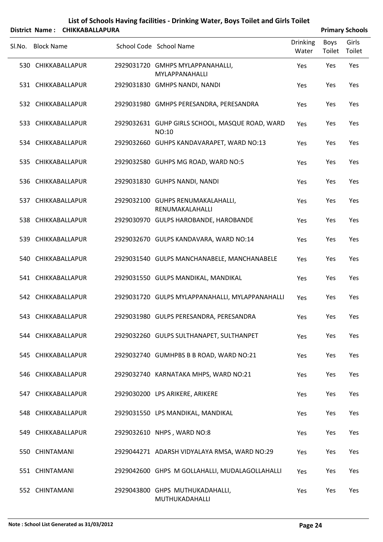|        |                   | District Name: CHIKKABALLAPURA |                                                          |                          |                | <b>Primary Schools</b> |
|--------|-------------------|--------------------------------|----------------------------------------------------------|--------------------------|----------------|------------------------|
| SI.No. | <b>Block Name</b> |                                | School Code School Name                                  | <b>Drinking</b><br>Water | Boys<br>Toilet | Girls<br>Toilet        |
|        |                   | 530 CHIKKABALLAPUR             | 2929031720 GMHPS MYLAPPANAHALLI,<br>MYLAPPANAHALLI       | Yes                      | Yes            | Yes                    |
|        |                   | 531 CHIKKABALLAPUR             | 2929031830 GMHPS NANDI, NANDI                            | Yes                      | Yes            | Yes                    |
|        |                   | 532 CHIKKABALLAPUR             | 2929031980 GMHPS PERESANDRA, PERESANDRA                  | Yes                      | Yes            | Yes                    |
|        |                   | 533 CHIKKABALLAPUR             | 2929032631 GUHP GIRLS SCHOOL, MASQUE ROAD, WARD<br>NO:10 | Yes                      | Yes            | Yes                    |
|        |                   | 534 CHIKKABALLAPUR             | 2929032660 GUHPS KANDAVARAPET, WARD NO:13                | Yes                      | Yes            | Yes                    |
|        |                   | 535 CHIKKABALLAPUR             | 2929032580 GUHPS MG ROAD, WARD NO:5                      | Yes                      | Yes            | Yes                    |
|        |                   | 536 CHIKKABALLAPUR             | 2929031830 GUHPS NANDI, NANDI                            | Yes                      | Yes            | Yes                    |
|        |                   | 537 CHIKKABALLAPUR             | 2929032100 GUHPS RENUMAKALAHALLI,<br>RENUMAKALAHALLI     | Yes                      | Yes            | Yes                    |
|        |                   | 538 CHIKKABALLAPUR             | 2929030970 GULPS HAROBANDE, HAROBANDE                    | Yes                      | Yes            | Yes                    |
|        |                   | 539 CHIKKABALLAPUR             | 2929032670 GULPS KANDAVARA, WARD NO:14                   | Yes                      | Yes            | Yes                    |
|        |                   | 540 CHIKKABALLAPUR             | 2929031540 GULPS MANCHANABELE, MANCHANABELE              | Yes                      | Yes            | Yes                    |
|        |                   | 541 CHIKKABALLAPUR             | 2929031550 GULPS MANDIKAL, MANDIKAL                      | Yes                      | Yes            | Yes                    |
|        |                   | 542 CHIKKABALLAPUR             | 2929031720 GULPS MYLAPPANAHALLI, MYLAPPANAHALLI          | Yes                      | Yes            | Yes                    |
|        |                   | 543 CHIKKABALLAPUR             | 2929031980 GULPS PERESANDRA, PERESANDRA                  | Yes                      | Yes            | Yes                    |
|        |                   | 544 CHIKKABALLAPUR             | 2929032260 GULPS SULTHANAPET, SULTHANPET                 | Yes                      | Yes            | Yes                    |
|        |                   | 545 CHIKKABALLAPUR             | 2929032740 GUMHPBS B B ROAD, WARD NO:21                  | Yes                      | Yes            | Yes                    |
|        |                   | 546 CHIKKABALLAPUR             | 2929032740 KARNATAKA MHPS, WARD NO:21                    | Yes                      | Yes            | Yes                    |
|        |                   | 547 CHIKKABALLAPUR             | 2929030200 LPS ARIKERE, ARIKERE                          | Yes                      | Yes            | Yes                    |
|        |                   | 548 CHIKKABALLAPUR             | 2929031550 LPS MANDIKAL, MANDIKAL                        | Yes                      | Yes            | Yes                    |
|        |                   | 549 CHIKKABALLAPUR             | 2929032610 NHPS, WARD NO:8                               | Yes                      | Yes            | Yes                    |
|        | 550 CHINTAMANI    |                                | 2929044271 ADARSH VIDYALAYA RMSA, WARD NO:29             | Yes                      | Yes            | Yes                    |
|        | 551 CHINTAMANI    |                                | 2929042600 GHPS M GOLLAHALLI, MUDALAGOLLAHALLI           | Yes                      | Yes            | Yes                    |
|        | 552 CHINTAMANI    |                                | 2929043800 GHPS MUTHUKADAHALLI,<br>MUTHUKADAHALLI        | Yes                      | Yes            | Yes                    |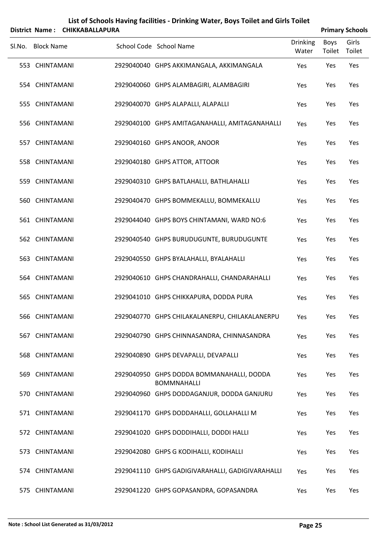| List of Schools Having facilities - Drinking Water, Boys Toilet and Girls Toilet<br><b>CHIKKABALLAPURA</b><br><b>Primary Schools</b><br>District Name: |                   |  |  |                                                                 |                          |                |                 |  |  |
|--------------------------------------------------------------------------------------------------------------------------------------------------------|-------------------|--|--|-----------------------------------------------------------------|--------------------------|----------------|-----------------|--|--|
| SI.No.                                                                                                                                                 | <b>Block Name</b> |  |  | School Code School Name                                         | <b>Drinking</b><br>Water | Boys<br>Toilet | Girls<br>Toilet |  |  |
|                                                                                                                                                        | 553 CHINTAMANI    |  |  | 2929040040 GHPS AKKIMANGALA, AKKIMANGALA                        | Yes                      | Yes            | Yes             |  |  |
|                                                                                                                                                        | 554 CHINTAMANI    |  |  | 2929040060 GHPS ALAMBAGIRI, ALAMBAGIRI                          | Yes                      | Yes            | Yes             |  |  |
|                                                                                                                                                        | 555 CHINTAMANI    |  |  | 2929040070 GHPS ALAPALLI, ALAPALLI                              | Yes                      | Yes            | Yes             |  |  |
|                                                                                                                                                        | 556 CHINTAMANI    |  |  | 2929040100 GHPS AMITAGANAHALLI, AMITAGANAHALLI                  | Yes                      | Yes            | Yes             |  |  |
|                                                                                                                                                        | 557 CHINTAMANI    |  |  | 2929040160 GHPS ANOOR, ANOOR                                    | Yes                      | Yes            | Yes             |  |  |
|                                                                                                                                                        | 558 CHINTAMANI    |  |  | 2929040180 GHPS ATTOR, ATTOOR                                   | Yes                      | Yes            | Yes             |  |  |
|                                                                                                                                                        | 559 CHINTAMANI    |  |  | 2929040310 GHPS BATLAHALLI, BATHLAHALLI                         | Yes                      | Yes            | Yes             |  |  |
|                                                                                                                                                        | 560 CHINTAMANI    |  |  | 2929040470 GHPS BOMMEKALLU, BOMMEKALLU                          | Yes                      | Yes            | Yes             |  |  |
|                                                                                                                                                        | 561 CHINTAMANI    |  |  | 2929044040 GHPS BOYS CHINTAMANI, WARD NO:6                      | Yes                      | Yes            | Yes             |  |  |
|                                                                                                                                                        | 562 CHINTAMANI    |  |  | 2929040540 GHPS BURUDUGUNTE, BURUDUGUNTE                        | Yes                      | Yes            | Yes             |  |  |
|                                                                                                                                                        | 563 CHINTAMANI    |  |  | 2929040550 GHPS BYALAHALLI, BYALAHALLI                          | Yes                      | Yes            | Yes             |  |  |
|                                                                                                                                                        | 564 CHINTAMANI    |  |  | 2929040610 GHPS CHANDRAHALLI, CHANDARAHALLI                     | Yes                      | Yes            | Yes             |  |  |
|                                                                                                                                                        | 565 CHINTAMANI    |  |  | 2929041010 GHPS CHIKKAPURA, DODDA PURA                          | Yes                      | Yes            | Yes             |  |  |
|                                                                                                                                                        | 566 CHINTAMANI    |  |  | 2929040770 GHPS CHILAKALANERPU, CHILAKALANERPU                  | Yes                      | Yes            | Yes             |  |  |
|                                                                                                                                                        | 567 CHINTAMANI    |  |  | 2929040790 GHPS CHINNASANDRA, CHINNASANDRA                      | Yes                      | Yes            | Yes             |  |  |
|                                                                                                                                                        | 568 CHINTAMANI    |  |  | 2929040890 GHPS DEVAPALLI, DEVAPALLI                            | Yes                      | Yes            | Yes             |  |  |
|                                                                                                                                                        | 569 CHINTAMANI    |  |  | 2929040950 GHPS DODDA BOMMANAHALLI, DODDA<br><b>BOMMNAHALLI</b> | Yes                      | Yes            | Yes             |  |  |
|                                                                                                                                                        | 570 CHINTAMANI    |  |  | 2929040960 GHPS DODDAGANJUR, DODDA GANJURU                      | Yes                      | Yes            | Yes             |  |  |
|                                                                                                                                                        | 571 CHINTAMANI    |  |  | 2929041170 GHPS DODDAHALLI, GOLLAHALLI M                        | Yes                      | Yes            | Yes             |  |  |
|                                                                                                                                                        | 572 CHINTAMANI    |  |  | 2929041020 GHPS DODDIHALLI, DODDI HALLI                         | Yes                      | Yes            | Yes             |  |  |
|                                                                                                                                                        | 573 CHINTAMANI    |  |  | 2929042080 GHPS G KODIHALLI, KODIHALLI                          | Yes                      | Yes            | Yes             |  |  |
|                                                                                                                                                        | 574 CHINTAMANI    |  |  | 2929041110 GHPS GADIGIVARAHALLI, GADIGIVARAHALLI                | Yes                      | Yes            | Yes             |  |  |
|                                                                                                                                                        | 575 CHINTAMANI    |  |  | 2929041220 GHPS GOPASANDRA, GOPASANDRA                          | Yes                      | Yes            | Yes             |  |  |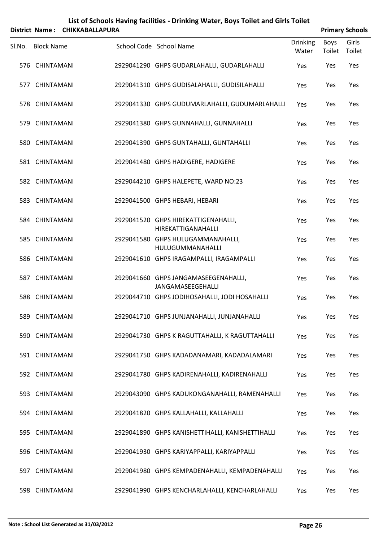|        |                   | District Name: CHIKKABALLAPURA |                                                           |                   |                | <b>Primary Schools</b> |
|--------|-------------------|--------------------------------|-----------------------------------------------------------|-------------------|----------------|------------------------|
| SI.No. | <b>Block Name</b> |                                | School Code School Name                                   | Drinking<br>Water | Boys<br>Toilet | Girls<br>Toilet        |
|        | 576 CHINTAMANI    |                                | 2929041290 GHPS GUDARLAHALLI, GUDARLAHALLI                | Yes               | Yes            | Yes                    |
|        | 577 CHINTAMANI    |                                | 2929041310 GHPS GUDISALAHALLI, GUDISILAHALLI              | Yes               | Yes            | Yes                    |
|        | 578 CHINTAMANI    |                                | 2929041330 GHPS GUDUMARLAHALLI, GUDUMARLAHALLI            | Yes               | Yes            | Yes                    |
|        | 579 CHINTAMANI    |                                | 2929041380 GHPS GUNNAHALLI, GUNNAHALLI                    | Yes               | Yes            | Yes                    |
|        | 580 CHINTAMANI    |                                | 2929041390 GHPS GUNTAHALLI, GUNTAHALLI                    | Yes               | Yes            | Yes                    |
|        | 581 CHINTAMANI    |                                | 2929041480 GHPS HADIGERE, HADIGERE                        | Yes               | Yes            | Yes                    |
|        | 582 CHINTAMANI    |                                | 2929044210 GHPS HALEPETE, WARD NO:23                      | Yes               | Yes            | Yes                    |
|        | 583 CHINTAMANI    |                                | 2929041500 GHPS HEBARI, HEBARI                            | Yes               | Yes            | Yes                    |
|        | 584 CHINTAMANI    |                                | 2929041520 GHPS HIREKATTIGENAHALLI,<br>HIREKATTIGANAHALLI | Yes               | Yes            | Yes                    |
|        | 585 CHINTAMANI    |                                | 2929041580 GHPS HULUGAMMANAHALLI,<br>HULUGUMMANAHALLI     | Yes               | Yes            | Yes                    |
|        | 586 CHINTAMANI    |                                | 2929041610 GHPS IRAGAMPALLI, IRAGAMPALLI                  | Yes               | Yes            | Yes                    |
|        | 587 CHINTAMANI    |                                | 2929041660 GHPS JANGAMASEEGENAHALLI,<br>JANGAMASEEGEHALLI | Yes               | Yes            | Yes                    |
|        | 588 CHINTAMANI    |                                | 2929044710 GHPS JODIHOSAHALLI, JODI HOSAHALLI             | Yes               | Yes            | Yes                    |
|        | 589 CHINTAMANI    |                                | 2929041710 GHPS JUNJANAHALLI, JUNJANAHALLI                | Yes               | Yes            | Yes                    |
|        | 590 CHINTAMANI    |                                | 2929041730 GHPS K RAGUTTAHALLI, K RAGUTTAHALLI            | Yes               | Yes            | Yes                    |
|        | 591 CHINTAMANI    |                                | 2929041750 GHPS KADADANAMARI, KADADALAMARI                | Yes               | Yes            | Yes                    |
|        | 592 CHINTAMANI    |                                | 2929041780 GHPS KADIRENAHALLI, KADIRENAHALLI              | Yes               | Yes            | Yes                    |
|        | 593 CHINTAMANI    |                                | 2929043090 GHPS KADUKONGANAHALLI, RAMENAHALLI             | Yes               | Yes            | Yes                    |
|        | 594 CHINTAMANI    |                                | 2929041820 GHPS KALLAHALLI, KALLAHALLI                    | Yes               | Yes            | Yes                    |
|        | 595 CHINTAMANI    |                                | 2929041890 GHPS KANISHETTIHALLI, KANISHETTIHALLI          | Yes               | Yes            | Yes                    |
|        | 596 CHINTAMANI    |                                | 2929041930 GHPS KARIYAPPALLI, KARIYAPPALLI                | Yes               | Yes            | Yes                    |
|        | 597 CHINTAMANI    |                                | 2929041980 GHPS KEMPADENAHALLI, KEMPADENAHALLI            | Yes               | Yes            | Yes                    |

CHINTAMANI 2929041990 GHPS KENCHARLAHALLI, KENCHARLAHALLI Yes Yes Yes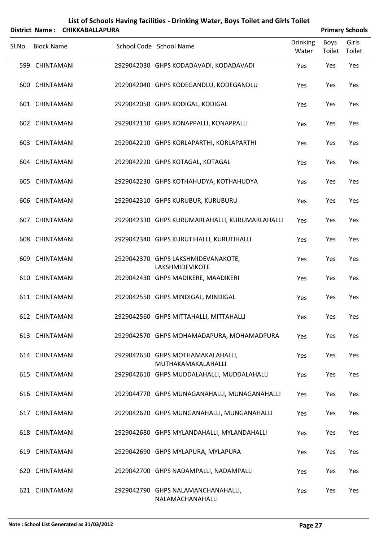|        |                   |                        | List of Schools Having facilities - Drinking Water, Boys Toilet and Girls Toilet |                          |                |                        |
|--------|-------------------|------------------------|----------------------------------------------------------------------------------|--------------------------|----------------|------------------------|
|        | District Name:    | <b>CHIKKABALLAPURA</b> |                                                                                  |                          |                | <b>Primary Schools</b> |
| SI.No. | <b>Block Name</b> |                        | School Code School Name                                                          | <b>Drinking</b><br>Water | Boys<br>Toilet | Girls<br>Toilet        |
|        | 599 CHINTAMANI    |                        | 2929042030 GHPS KODADAVADI, KODADAVADI                                           | Yes                      | Yes            | Yes                    |
|        | 600 CHINTAMANI    |                        | 2929042040 GHPS KODEGANDLU, KODEGANDLU                                           | Yes                      | Yes            | Yes                    |
|        | 601 CHINTAMANI    |                        | 2929042050 GHPS KODIGAL, KODIGAL                                                 | Yes                      | Yes            | Yes                    |
|        | 602 CHINTAMANI    |                        | 2929042110 GHPS KONAPPALLI, KONAPPALLI                                           | Yes                      | Yes            | Yes                    |
|        | 603 CHINTAMANI    |                        | 2929042210 GHPS KORLAPARTHI, KORLAPARTHI                                         | Yes                      | Yes            | Yes                    |
|        | 604 CHINTAMANI    |                        | 2929042220 GHPS KOTAGAL, KOTAGAL                                                 | Yes                      | Yes            | Yes                    |
|        | 605 CHINTAMANI    |                        | 2929042230 GHPS KOTHAHUDYA, KOTHAHUDYA                                           | Yes                      | Yes            | Yes                    |
|        | 606 CHINTAMANI    |                        | 2929042310 GHPS KURUBUR, KURUBURU                                                | Yes                      | Yes            | Yes                    |
|        | 607 CHINTAMANI    |                        | 2929042330 GHPS KURUMARLAHALLI, KURUMARLAHALLI                                   | Yes                      | Yes            | Yes                    |
|        | 608 CHINTAMANI    |                        | 2929042340 GHPS KURUTIHALLI, KURUTIHALLI                                         | Yes                      | Yes            | Yes                    |
|        | 609 CHINTAMANI    |                        | 2929042370 GHPS LAKSHMIDEVANAKOTE,<br>LAKSHMIDEVIKOTE                            | Yes                      | Yes            | Yes                    |
|        | 610 CHINTAMANI    |                        | 2929042430 GHPS MADIKERE, MAADIKERI                                              | Yes                      | Yes            | Yes                    |
|        | 611 CHINTAMANI    |                        | 2929042550 GHPS MINDIGAL, MINDIGAL                                               | Yes                      | Yes            | Yes                    |
|        | 612 CHINTAMANI    |                        | 2929042560 GHPS MITTAHALLI, MITTAHALLI                                           | Yes                      | Yes            | Yes                    |
|        | 613 CHINTAMANI    |                        | 2929042570 GHPS MOHAMADAPURA, MOHAMADPURA                                        | Yes                      | Yes            | Yes                    |
|        | 614 CHINTAMANI    |                        | 2929042650 GHPS MOTHAMAKALAHALLI,<br>MUTHAKAMAKALAHALLI                          | Yes                      | Yes            | Yes                    |
|        | 615 CHINTAMANI    |                        | 2929042610 GHPS MUDDALAHALLI, MUDDALAHALLI                                       | Yes                      | Yes            | Yes                    |
|        | 616 CHINTAMANI    |                        | 2929044770 GHPS MUNAGANAHALLI, MUNAGANAHALLI                                     | Yes                      | Yes            | Yes                    |
|        | 617 CHINTAMANI    |                        | 2929042620 GHPS MUNGANAHALLI, MUNGANAHALLI                                       | Yes                      | Yes            | Yes                    |
|        | 618 CHINTAMANI    |                        | 2929042680 GHPS MYLANDAHALLI, MYLANDAHALLI                                       | Yes                      | Yes            | Yes                    |
|        | 619 CHINTAMANI    |                        | 2929042690 GHPS MYLAPURA, MYLAPURA                                               | Yes                      | Yes            | Yes                    |
|        | 620 CHINTAMANI    |                        | 2929042700 GHPS NADAMPALLI, NADAMPALLI                                           | Yes                      | Yes            | Yes                    |
|        | 621 CHINTAMANI    |                        | 2929042790 GHPS NALAMANCHANAHALLI,<br>NALAMACHANAHALLI                           | Yes                      | Yes            | Yes                    |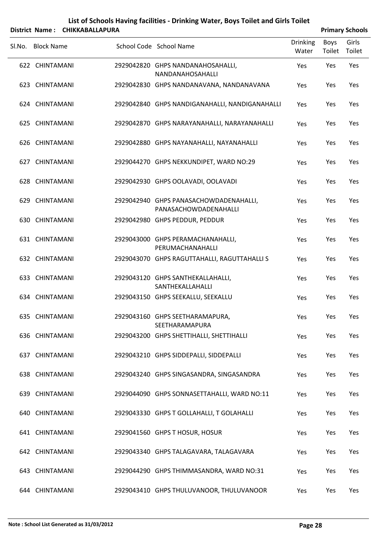|        | District Name: CHIKKABALLAPURA |                                                                 |                          |                | <b>Primary Schools</b> |
|--------|--------------------------------|-----------------------------------------------------------------|--------------------------|----------------|------------------------|
| SI.No. | <b>Block Name</b>              | School Code School Name                                         | <b>Drinking</b><br>Water | Boys<br>Toilet | Girls<br>Toilet        |
|        | 622 CHINTAMANI                 | 2929042820 GHPS NANDANAHOSAHALLI,<br>NANDANAHOSAHALLI           | Yes                      | Yes            | Yes                    |
|        | 623 CHINTAMANI                 | 2929042830 GHPS NANDANAVANA, NANDANAVANA                        | Yes                      | Yes            | Yes                    |
|        | 624 CHINTAMANI                 | 2929042840 GHPS NANDIGANAHALLI, NANDIGANAHALLI                  | Yes                      | Yes            | Yes                    |
|        | 625 CHINTAMANI                 | 2929042870 GHPS NARAYANAHALLI, NARAYANAHALLI                    | Yes                      | Yes            | Yes                    |
|        | 626 CHINTAMANI                 | 2929042880 GHPS NAYANAHALLI, NAYANAHALLI                        | Yes                      | Yes            | Yes                    |
|        | 627 CHINTAMANI                 | 2929044270 GHPS NEKKUNDIPET, WARD NO:29                         | Yes                      | Yes            | Yes                    |
|        | 628 CHINTAMANI                 | 2929042930 GHPS OOLAVADI, OOLAVADI                              | Yes                      | Yes            | Yes                    |
|        | 629 CHINTAMANI                 | 2929042940 GHPS PANASACHOWDADENAHALLI,<br>PANASACHOWDADENAHALLI | Yes                      | Yes            | Yes                    |
|        | 630 CHINTAMANI                 | 2929042980 GHPS PEDDUR, PEDDUR                                  | Yes                      | Yes            | Yes                    |
|        | 631 CHINTAMANI                 | 2929043000 GHPS PERAMACHANAHALLI,<br>PERUMACHANAHALLI           | Yes                      | Yes            | Yes                    |
|        | 632 CHINTAMANI                 | 2929043070 GHPS RAGUTTAHALLI, RAGUTTAHALLI S                    | Yes                      | Yes            | Yes                    |
|        | 633 CHINTAMANI                 | 2929043120 GHPS SANTHEKALLAHALLI,<br>SANTHEKALLAHALLI           | Yes                      | Yes            | Yes                    |
|        | 634 CHINTAMANI                 | 2929043150 GHPS SEEKALLU, SEEKALLU                              | Yes                      | Yes            | Yes                    |
|        | 635 CHINTAMANI                 | 2929043160 GHPS SEETHARAMAPURA,<br>SEETHARAMAPURA               | Yes                      | Yes            | Yes                    |
|        | 636 CHINTAMANI                 | 2929043200 GHPS SHETTIHALLI, SHETTIHALLI                        | Yes                      | Yes            | Yes                    |
|        | 637 CHINTAMANI                 | 2929043210 GHPS SIDDEPALLI, SIDDEPALLI                          | Yes                      | Yes            | Yes                    |
|        | 638 CHINTAMANI                 | 2929043240 GHPS SINGASANDRA, SINGASANDRA                        | Yes                      | Yes            | Yes                    |
|        | 639 CHINTAMANI                 | 2929044090 GHPS SONNASETTAHALLI, WARD NO:11                     | Yes                      | Yes            | Yes                    |
|        | 640 CHINTAMANI                 | 2929043330 GHPS T GOLLAHALLI, T GOLAHALLI                       | Yes                      | Yes            | Yes                    |
|        | 641 CHINTAMANI                 | 2929041560 GHPS T HOSUR, HOSUR                                  | Yes                      | Yes            | Yes                    |
|        | 642 CHINTAMANI                 | 2929043340 GHPS TALAGAVARA, TALAGAVARA                          | Yes                      | Yes            | Yes                    |
|        | 643 CHINTAMANI                 | 2929044290 GHPS THIMMASANDRA, WARD NO:31                        | Yes                      | Yes            | Yes                    |
|        | 644 CHINTAMANI                 | 2929043410 GHPS THULUVANOOR, THULUVANOOR                        | Yes                      | Yes            | Yes                    |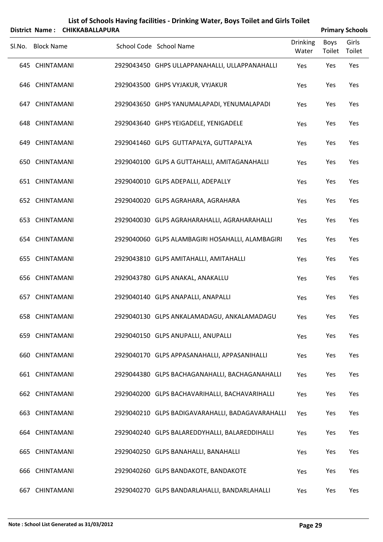|        | District Name:    | <b>CHIKKABALLAPURA</b> |                                                  |                          |                       | <b>Primary Schools</b> |
|--------|-------------------|------------------------|--------------------------------------------------|--------------------------|-----------------------|------------------------|
| SI.No. | <b>Block Name</b> |                        | School Code School Name                          | <b>Drinking</b><br>Water | <b>Boys</b><br>Toilet | Girls<br>Toilet        |
|        | 645 CHINTAMANI    |                        | 2929043450 GHPS ULLAPPANAHALLI, ULLAPPANAHALLI   | Yes                      | Yes                   | Yes                    |
|        | 646 CHINTAMANI    |                        | 2929043500 GHPS VYJAKUR, VYJAKUR                 | Yes                      | Yes                   | Yes                    |
|        | 647 CHINTAMANI    |                        | 2929043650 GHPS YANUMALAPADI, YENUMALAPADI       | Yes                      | Yes                   | Yes                    |
|        | 648 CHINTAMANI    |                        | 2929043640 GHPS YEIGADELE, YENIGADELE            | Yes                      | Yes                   | Yes                    |
|        | 649 CHINTAMANI    |                        | 2929041460 GLPS GUTTAPALYA, GUTTAPALYA           | Yes                      | Yes                   | Yes                    |
|        | 650 CHINTAMANI    |                        | 2929040100 GLPS A GUTTAHALLI, AMITAGANAHALLI     | Yes                      | Yes                   | Yes                    |
|        | 651 CHINTAMANI    |                        | 2929040010 GLPS ADEPALLI, ADEPALLY               | Yes                      | Yes                   | Yes                    |
|        | 652 CHINTAMANI    |                        | 2929040020 GLPS AGRAHARA, AGRAHARA               | Yes                      | Yes                   | Yes                    |
|        | 653 CHINTAMANI    |                        | 2929040030 GLPS AGRAHARAHALLI, AGRAHARAHALLI     | Yes                      | Yes                   | Yes                    |
|        | 654 CHINTAMANI    |                        | 2929040060 GLPS ALAMBAGIRI HOSAHALLI, ALAMBAGIRI | Yes                      | Yes                   | Yes                    |
|        | 655 CHINTAMANI    |                        | 2929043810 GLPS AMITAHALLI, AMITAHALLI           | Yes                      | Yes                   | Yes                    |
|        | 656 CHINTAMANI    |                        | 2929043780 GLPS ANAKAL, ANAKALLU                 | Yes                      | Yes                   | Yes                    |
|        | 657 CHINTAMANI    |                        | 2929040140 GLPS ANAPALLI, ANAPALLI               | Yes                      | Yes                   | Yes                    |
|        | 658 CHINTAMANI    |                        | 2929040130 GLPS ANKALAMADAGU, ANKALAMADAGU       | Yes                      | Yes                   | Yes                    |
|        | 659 CHINTAMANI    |                        | 2929040150 GLPS ANUPALLI, ANUPALLI               | Yes                      | Yes                   | Yes                    |
|        | 660 CHINTAMANI    |                        | 2929040170 GLPS APPASANAHALLI, APPASANIHALLI     | Yes                      | Yes                   | Yes                    |
|        | 661 CHINTAMANI    |                        | 2929044380 GLPS BACHAGANAHALLI, BACHAGANAHALLI   | Yes                      | Yes                   | Yes                    |
|        | 662 CHINTAMANI    |                        | 2929040200 GLPS BACHAVARIHALLI, BACHAVARIHALLI   | Yes                      | Yes                   | Yes                    |
|        | 663 CHINTAMANI    |                        | 2929040210 GLPS BADIGAVARAHALLI, BADAGAVARAHALLI | Yes                      | Yes                   | Yes                    |
|        | 664 CHINTAMANI    |                        | 2929040240 GLPS BALAREDDYHALLI, BALAREDDIHALLI   | Yes                      | Yes                   | Yes                    |
|        | 665 CHINTAMANI    |                        | 2929040250 GLPS BANAHALLI, BANAHALLI             | Yes                      | Yes                   | Yes                    |
|        | 666 CHINTAMANI    |                        | 2929040260 GLPS BANDAKOTE, BANDAKOTE             | Yes                      | Yes                   | Yes                    |
| 667    | CHINTAMANI        |                        | 2929040270 GLPS BANDARLAHALLI, BANDARLAHALLI     | Yes                      | Yes                   | Yes                    |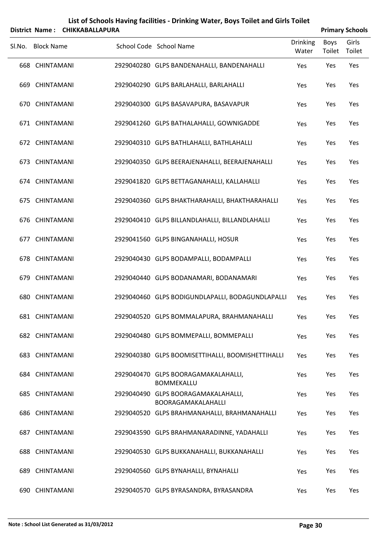|        |                   | District Name: CHIKKABALLAPURA |                                                           |                          |                       | <b>Primary Schools</b> |
|--------|-------------------|--------------------------------|-----------------------------------------------------------|--------------------------|-----------------------|------------------------|
| SI.No. | <b>Block Name</b> |                                | School Code School Name                                   | <b>Drinking</b><br>Water | <b>Boys</b><br>Toilet | Girls<br>Toilet        |
|        | 668 CHINTAMANI    |                                | 2929040280 GLPS BANDENAHALLI, BANDENAHALLI                | Yes                      | Yes                   | Yes                    |
|        | 669 CHINTAMANI    |                                | 2929040290 GLPS BARLAHALLI, BARLAHALLI                    | Yes                      | Yes                   | Yes                    |
|        | 670 CHINTAMANI    |                                | 2929040300 GLPS BASAVAPURA, BASAVAPUR                     | Yes                      | Yes                   | Yes                    |
|        | 671 CHINTAMANI    |                                | 2929041260 GLPS BATHALAHALLI, GOWNIGADDE                  | Yes                      | Yes                   | Yes                    |
|        | 672 CHINTAMANI    |                                | 2929040310 GLPS BATHLAHALLI, BATHLAHALLI                  | Yes                      | Yes                   | Yes                    |
|        | 673 CHINTAMANI    |                                | 2929040350 GLPS BEERAJENAHALLI, BEERAJENAHALLI            | Yes                      | Yes                   | Yes                    |
|        | 674 CHINTAMANI    |                                | 2929041820 GLPS BETTAGANAHALLI, KALLAHALLI                | Yes                      | Yes                   | Yes                    |
|        | 675 CHINTAMANI    |                                | 2929040360 GLPS BHAKTHARAHALLI, BHAKTHARAHALLI            | Yes                      | Yes                   | Yes                    |
|        | 676 CHINTAMANI    |                                | 2929040410 GLPS BILLANDLAHALLI, BILLANDLAHALLI            | Yes                      | Yes                   | Yes                    |
|        | 677 CHINTAMANI    |                                | 2929041560 GLPS BINGANAHALLI, HOSUR                       | Yes                      | Yes                   | Yes                    |
|        | 678 CHINTAMANI    |                                | 2929040430 GLPS BODAMPALLI, BODAMPALLI                    | Yes                      | Yes                   | Yes                    |
|        | 679 CHINTAMANI    |                                | 2929040440 GLPS BODANAMARI, BODANAMARI                    | Yes                      | Yes                   | Yes                    |
|        | 680 CHINTAMANI    |                                | 2929040460 GLPS BODIGUNDLAPALLI, BODAGUNDLAPALLI          | Yes                      | Yes                   | Yes                    |
|        | 681 CHINTAMANI    |                                | 2929040520 GLPS BOMMALAPURA, BRAHMANAHALLI                | Yes                      | Yes                   | Yes                    |
|        | 682 CHINTAMANI    |                                | 2929040480 GLPS BOMMEPALLI, BOMMEPALLI                    | Yes                      | Yes                   | Yes                    |
|        | 683 CHINTAMANI    |                                | 2929040380 GLPS BOOMISETTIHALLI, BOOMISHETTIHALLI         | Yes                      | Yes                   | Yes                    |
|        | 684 CHINTAMANI    |                                | 2929040470 GLPS BOORAGAMAKALAHALLI,<br><b>BOMMEKALLU</b>  | Yes                      | Yes                   | Yes                    |
|        | 685 CHINTAMANI    |                                | 2929040490 GLPS BOORAGAMAKALAHALLI,<br>BOORAGAMAKALAHALLI | Yes                      | Yes                   | Yes                    |
|        | 686 CHINTAMANI    |                                | 2929040520 GLPS BRAHMANAHALLI, BRAHMANAHALLI              | Yes                      | Yes                   | Yes                    |
|        | 687 CHINTAMANI    |                                | 2929043590 GLPS BRAHMANARADINNE, YADAHALLI                | Yes                      | Yes                   | Yes                    |
|        | 688 CHINTAMANI    |                                | 2929040530 GLPS BUKKANAHALLI, BUKKANAHALLI                | Yes                      | Yes                   | Yes                    |
|        | 689 CHINTAMANI    |                                | 2929040560 GLPS BYNAHALLI, BYNAHALLI                      | Yes                      | Yes                   | Yes                    |
|        | 690 CHINTAMANI    |                                | 2929040570 GLPS BYRASANDRA, BYRASANDRA                    | Yes                      | Yes                   | Yes                    |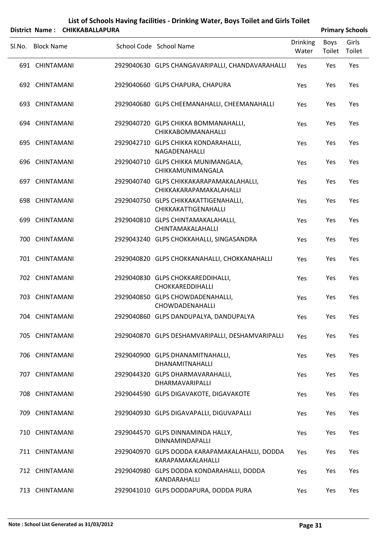|        |                   | District Name: CHIKKABALLAPURA |                                                                     |                          |                | <b>Primary Schools</b> |
|--------|-------------------|--------------------------------|---------------------------------------------------------------------|--------------------------|----------------|------------------------|
| SI.No. | <b>Block Name</b> |                                | School Code School Name                                             | <b>Drinking</b><br>Water | Boys<br>Toilet | Girls<br>Toilet        |
|        | 691 CHINTAMANI    |                                | 2929040630 GLPS CHANGAVARIPALLI, CHANDAVARAHALLI                    | Yes                      | Yes            | Yes                    |
|        | 692 CHINTAMANI    |                                | 2929040660 GLPS CHAPURA, CHAPURA                                    | Yes                      | Yes            | Yes                    |
|        | 693 CHINTAMANI    |                                | 2929040680 GLPS CHEEMANAHALLI, CHEEMANAHALLI                        | Yes                      | Yes            | Yes                    |
|        | 694 CHINTAMANI    |                                | 2929040720 GLPS CHIKKA BOMMANAHALLI,<br><b>CHIKKABOMMANAHALLI</b>   | Yes                      | Yes            | Yes                    |
|        | 695 CHINTAMANI    |                                | 2929042710 GLPS CHIKKA KONDARAHALLI,<br>NAGADENAHALLI               | Yes                      | Yes            | Yes                    |
|        | 696 CHINTAMANI    |                                | 2929040710 GLPS CHIKKA MUNIMANGALA,<br>CHIKKAMUNIMANGALA            | Yes                      | Yes            | Yes                    |
|        | 697 CHINTAMANI    |                                | 2929040740 GLPS CHIKKAKARAPAMAKALAHALLI,<br>CHIKKAKARAPAMAKALAHALLI | Yes                      | Yes            | Yes                    |
|        | 698 CHINTAMANI    |                                | 2929040750 GLPS CHIKKAKATTIGENAHALLI,<br>CHIKKAKATTIGENAHALLI       | Yes                      | Yes            | Yes                    |
|        | 699 CHINTAMANI    |                                | 2929040810 GLPS CHINTAMAKALAHALLI,<br>CHINTAMAKALAHALLI             | Yes                      | Yes            | Yes                    |
|        | 700 CHINTAMANI    |                                | 2929043240 GLPS CHOKKAHALLI, SINGASANDRA                            | Yes                      | Yes            | Yes                    |
|        | 701 CHINTAMANI    |                                | 2929040820 GLPS CHOKKANAHALLI, CHOKKANAHALLI                        | Yes                      | Yes            | Yes                    |
|        | 702 CHINTAMANI    |                                | 2929040830 GLPS CHOKKAREDDIHALLI,<br>CHOKKAREDDIHALLI               | Yes                      | Yes            | Yes                    |
|        | 703 CHINTAMANI    |                                | 2929040850 GLPS CHOWDADENAHALLI,<br>CHOWDADENAHALLI                 | Yes                      | Yes            | Yes                    |
|        | 704 CHINTAMANI    |                                | 2929040860 GLPS DANDUPALYA, DANDUPALYA                              | Yes                      | Yes            | Yes                    |
|        | 705 CHINTAMANI    |                                | 2929040870 GLPS DESHAMVARIPALLI, DESHAMVARIPALLI                    | Yes                      | Yes            | Yes                    |
|        | 706 CHINTAMANI    |                                | 2929040900 GLPS DHANAMITNAHALLI,<br><b>DHANAMITNAHALLI</b>          | Yes                      | Yes            | Yes                    |
|        | 707 CHINTAMANI    |                                | 2929044320 GLPS DHARMAVARAHALLI,<br>DHARMAVARIPALLI                 | Yes                      | Yes            | Yes                    |
|        | 708 CHINTAMANI    |                                | 2929044590 GLPS DIGAVAKOTE, DIGAVAKOTE                              | Yes                      | Yes            | Yes                    |
|        | 709 CHINTAMANI    |                                | 2929040930 GLPS DIGAVAPALLI, DIGUVAPALLI                            | Yes                      | Yes            | Yes                    |
|        | 710 CHINTAMANI    |                                | 2929044570 GLPS DINNAMINDA HALLY,<br>DINNAMINDAPALLI                | <b>Yes</b>               | Yes            | Yes                    |
|        | 711 CHINTAMANI    |                                | 2929040970 GLPS DODDA KARAPAMAKALAHALLI, DODDA<br>KARAPAMAKALAHALLI | Yes                      | Yes            | Yes                    |
|        | 712 CHINTAMANI    |                                | 2929040980 GLPS DODDA KONDARAHALLI, DODDA<br>KANDARAHALLI           | Yes                      | Yes            | Yes                    |
|        | 713 CHINTAMANI    |                                | 2929041010 GLPS DODDAPURA, DODDA PURA                               | Yes                      | Yes            | Yes                    |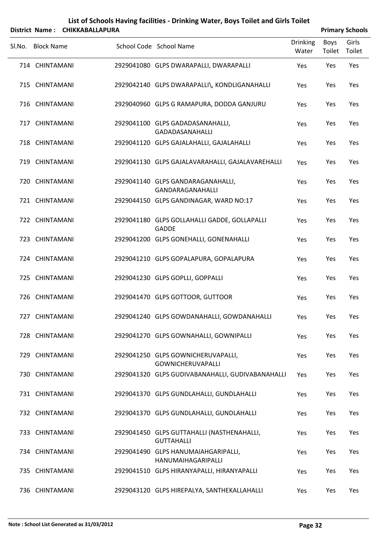|        |                   | District Name: CHIKKABALLAPURA |                                                                 |                   | <b>Primary Schools</b> |                 |
|--------|-------------------|--------------------------------|-----------------------------------------------------------------|-------------------|------------------------|-----------------|
| Sl.No. | <b>Block Name</b> |                                | School Code School Name                                         | Drinking<br>Water | <b>Boys</b><br>Toilet  | Girls<br>Toilet |
|        | 714 CHINTAMANI    |                                | 2929041080 GLPS DWARAPALLI, DWARAPALLI                          | Yes               | Yes                    | Yes             |
|        | 715 CHINTAMANI    |                                | 2929042140 GLPS DWARAPALLI\, KONDLIGANAHALLI                    | Yes               | Yes                    | Yes             |
|        | 716 CHINTAMANI    |                                | 2929040960 GLPS G RAMAPURA, DODDA GANJURU                       | Yes               | Yes                    | Yes             |
|        | 717 CHINTAMANI    |                                | 2929041100 GLPS GADADASANAHALLI,<br>GADADASANAHALLI             | Yes               | Yes                    | Yes             |
|        | 718 CHINTAMANI    |                                | 2929041120 GLPS GAJALAHALLI, GAJALAHALLI                        | Yes               | Yes                    | Yes             |
|        | 719 CHINTAMANI    |                                | 2929041130 GLPS GAJALAVARAHALLI, GAJALAVAREHALLI                | Yes               | Yes                    | Yes             |
|        | 720 CHINTAMANI    |                                | 2929041140 GLPS GANDARAGANAHALLI,<br>GANDARAGANAHALLI           | Yes               | Yes                    | Yes             |
|        | 721 CHINTAMANI    |                                | 2929044150 GLPS GANDINAGAR, WARD NO:17                          | Yes               | Yes                    | Yes             |
|        | 722 CHINTAMANI    |                                | 2929041180 GLPS GOLLAHALLI GADDE, GOLLAPALLI<br><b>GADDE</b>    | Yes               | Yes                    | Yes             |
|        | 723 CHINTAMANI    |                                | 2929041200 GLPS GONEHALLI, GONENAHALLI                          | Yes               | Yes                    | Yes             |
|        | 724 CHINTAMANI    |                                | 2929041210 GLPS GOPALAPURA, GOPALAPURA                          | Yes               | Yes                    | Yes             |
|        | 725 CHINTAMANI    |                                | 2929041230 GLPS GOPLLI, GOPPALLI                                | Yes               | Yes                    | Yes             |
|        | 726 CHINTAMANI    |                                | 2929041470 GLPS GOTTOOR, GUTTOOR                                | Yes               | Yes                    | Yes             |
|        | 727 CHINTAMANI    |                                | 2929041240 GLPS GOWDANAHALLI, GOWDANAHALLI                      | Yes               | Yes                    | Yes             |
|        | 728 CHINTAMANI    |                                | 2929041270 GLPS GOWNAHALLI, GOWNIPALLI                          | Yes               | Yes                    | Yes             |
|        | 729 CHINTAMANI    |                                | 2929041250 GLPS GOWNICHERUVAPALLI,<br><b>GOWNICHERUVAPALLI</b>  | Yes               | Yes                    | Yes             |
|        | 730 CHINTAMANI    |                                | 2929041320 GLPS GUDIVABANAHALLI, GUDIVABANAHALLI                | Yes               | Yes                    | Yes             |
|        | 731 CHINTAMANI    |                                | 2929041370 GLPS GUNDLAHALLI, GUNDLAHALLI                        | Yes               | Yes                    | Yes             |
|        | 732 CHINTAMANI    |                                | 2929041370 GLPS GUNDLAHALLI, GUNDLAHALLI                        | Yes               | Yes                    | Yes             |
|        | 733 CHINTAMANI    |                                | 2929041450 GLPS GUTTAHALLI (NASTHENAHALLI,<br><b>GUTTAHALLI</b> | Yes               | Yes                    | Yes             |
|        | 734 CHINTAMANI    |                                | 2929041490 GLPS HANUMAIAHGARIPALLI,<br>HANUMAIHAGARIPALLI       | Yes               | Yes                    | Yes             |
|        | 735 CHINTAMANI    |                                | 2929041510 GLPS HIRANYAPALLI, HIRANYAPALLI                      | Yes               | Yes                    | Yes             |

736 CHINTAMANI 2929043120 GLPS HIREPALYA, SANTHEKALLAHALLI Yes Yes Yes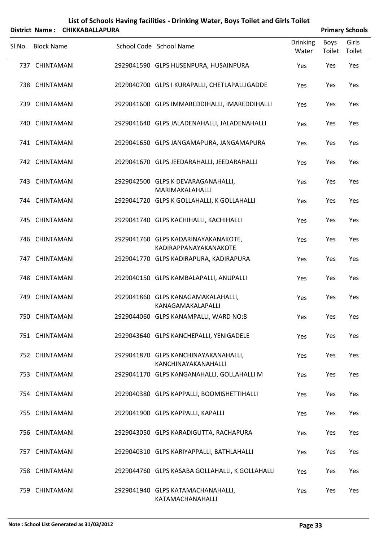| List of Schools Having facilities - Drinking Water, Boys Toilet and Girls Toilet |
|----------------------------------------------------------------------------------|
| ------------------                                                               |

|        |                   | District Name: CHIKKABALLAPURA |                                                              |                          |                | <b>Primary Schools</b> |
|--------|-------------------|--------------------------------|--------------------------------------------------------------|--------------------------|----------------|------------------------|
| SI.No. | <b>Block Name</b> |                                | School Code School Name                                      | <b>Drinking</b><br>Water | Boys<br>Toilet | Girls<br>Toilet        |
|        | 737 CHINTAMANI    |                                | 2929041590 GLPS HUSENPURA, HUSAINPURA                        | Yes                      | Yes            | Yes                    |
|        | 738 CHINTAMANI    |                                | 2929040700 GLPS I KURAPALLI, CHETLAPALLIGADDE                | Yes                      | Yes            | Yes                    |
|        | 739 CHINTAMANI    |                                | 2929041600 GLPS IMMAREDDIHALLI, IMAREDDIHALLI                | Yes                      | Yes            | Yes                    |
|        | 740 CHINTAMANI    |                                | 2929041640 GLPS JALADENAHALLI, JALADENAHALLI                 | Yes                      | Yes            | Yes                    |
|        | 741 CHINTAMANI    |                                | 2929041650 GLPS JANGAMAPURA, JANGAMAPURA                     | Yes                      | Yes            | Yes                    |
|        | 742 CHINTAMANI    |                                | 2929041670 GLPS JEEDARAHALLI, JEEDARAHALLI                   | Yes                      | Yes            | Yes                    |
|        | 743 CHINTAMANI    |                                | 2929042500 GLPS K DEVARAGANAHALLI,<br>MARIMAKALAHALLI        | Yes                      | Yes            | Yes                    |
|        | 744 CHINTAMANI    |                                | 2929041720 GLPS K GOLLAHALLI, K GOLLAHALLI                   | Yes                      | Yes            | Yes                    |
|        | 745 CHINTAMANI    |                                | 2929041740 GLPS KACHIHALLI, KACHIHALLI                       | Yes                      | Yes            | Yes                    |
|        | 746 CHINTAMANI    |                                | 2929041760 GLPS KADARINAYAKANAKOTE,<br>KADIRAPPANAYAKANAKOTE | Yes                      | Yes            | Yes                    |
|        | 747 CHINTAMANI    |                                | 2929041770 GLPS KADIRAPURA, KADIRAPURA                       | Yes                      | Yes            | Yes                    |
|        | 748 CHINTAMANI    |                                | 2929040150 GLPS KAMBALAPALLI, ANUPALLI                       | Yes                      | Yes            | Yes                    |
|        | 749 CHINTAMANI    |                                | 2929041860 GLPS KANAGAMAKALAHALLI,<br>KANAGAMAKALAPALLI      | Yes                      | Yes            | Yes                    |
|        | 750 CHINTAMANI    |                                | 2929044060 GLPS KANAMPALLI, WARD NO:8                        | Yes                      | Yes            | Yes                    |
|        | 751 CHINTAMANI    |                                | 2929043640 GLPS KANCHEPALLI, YENIGADELE                      | Yes                      | Yes            | Yes                    |
|        | 752 CHINTAMANI    |                                | 2929041870 GLPS KANCHINAYAKANAHALLI,<br>KANCHINAYAKANAHALLI  | Yes                      | Yes            | Yes                    |
|        | 753 CHINTAMANI    |                                | 2929041170 GLPS KANGANAHALLI, GOLLAHALLI M                   | Yes                      | Yes            | Yes                    |
|        | 754 CHINTAMANI    |                                | 2929040380 GLPS KAPPALLI, BOOMISHETTIHALLI                   | Yes                      | Yes            | Yes                    |
|        | 755 CHINTAMANI    |                                | 2929041900 GLPS KAPPALLI, KAPALLI                            | Yes                      | Yes            | Yes                    |
|        | 756 CHINTAMANI    |                                | 2929043050 GLPS KARADIGUTTA, RACHAPURA                       | Yes                      | Yes            | Yes                    |
|        | 757 CHINTAMANI    |                                | 2929040310 GLPS KARIYAPPALLI, BATHLAHALLI                    | Yes                      | Yes            | Yes                    |
|        | 758 CHINTAMANI    |                                | 2929044760 GLPS KASABA GOLLAHALLI, K GOLLAHALLI              | Yes                      | Yes            | Yes                    |
|        | 759 CHINTAMANI    |                                | 2929041940 GLPS KATAMACHANAHALLI,<br>KATAMACHANAHALLI        | Yes                      | Yes            | Yes                    |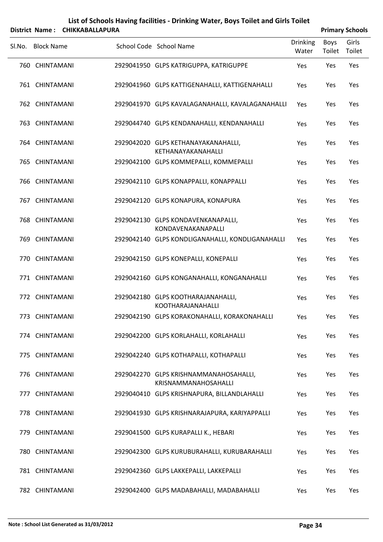|   | List of Schools Having facilities - Drinking Water, Boys Toilet and Girls Toilet |
|---|----------------------------------------------------------------------------------|
| . | -------------------                                                              |

|        | District Name: CHIKKABALLAPURA |                                                                |                          |                | <b>Primary Schools</b> |
|--------|--------------------------------|----------------------------------------------------------------|--------------------------|----------------|------------------------|
| Sl.No. | <b>Block Name</b>              | School Code School Name                                        | <b>Drinking</b><br>Water | Boys<br>Toilet | Girls<br>Toilet        |
|        | 760 CHINTAMANI                 | 2929041950 GLPS KATRIGUPPA, KATRIGUPPE                         | Yes                      | Yes            | Yes                    |
|        | 761 CHINTAMANI                 | 2929041960 GLPS KATTIGENAHALLI, KATTIGENAHALLI                 | Yes                      | Yes            | Yes                    |
|        | 762 CHINTAMANI                 | 2929041970 GLPS KAVALAGANAHALLI, KAVALAGANAHALLI               | Yes                      | Yes            | Yes                    |
|        | 763 CHINTAMANI                 | 2929044740 GLPS KENDANAHALLI, KENDANAHALLI                     | Yes                      | Yes            | Yes                    |
|        | 764 CHINTAMANI                 | 2929042020 GLPS KETHANAYAKANAHALLI,<br>KETHANAYAKANAHALLI      | Yes                      | Yes            | Yes                    |
|        | 765 CHINTAMANI                 | 2929042100 GLPS KOMMEPALLI, KOMMEPALLI                         | Yes                      | Yes            | Yes                    |
|        | 766 CHINTAMANI                 | 2929042110 GLPS KONAPPALLI, KONAPPALLI                         | Yes                      | Yes            | Yes                    |
|        | 767 CHINTAMANI                 | 2929042120 GLPS KONAPURA, KONAPURA                             | Yes                      | Yes            | Yes                    |
|        | 768 CHINTAMANI                 | 2929042130 GLPS KONDAVENKANAPALLI,<br>KONDAVENAKANAPALLI       | Yes                      | Yes            | Yes                    |
|        | 769 CHINTAMANI                 | 2929042140 GLPS KONDLIGANAHALLI, KONDLIGANAHALLI               | Yes                      | Yes            | Yes                    |
|        | 770 CHINTAMANI                 | 2929042150 GLPS KONEPALLI, KONEPALLI                           | Yes                      | Yes            | Yes                    |
|        | 771 CHINTAMANI                 | 2929042160 GLPS KONGANAHALLI, KONGANAHALLI                     | Yes                      | Yes            | Yes                    |
|        | 772 CHINTAMANI                 | 2929042180 GLPS KOOTHARAJANAHALLI,<br><b>KOOTHARAJANAHALLI</b> | Yes                      | Yes            | Yes                    |
|        | 773 CHINTAMANI                 | 2929042190 GLPS KORAKONAHALLI, KORAKONAHALLI                   | Yes                      | Yes            | Yes                    |
|        | 774 CHINTAMANI                 | 2929042200 GLPS KORLAHALLI, KORLAHALLI                         | Yes                      | Yes            | Yes                    |
|        | 775 CHINTAMANI                 | 2929042240 GLPS KOTHAPALLI, KOTHAPALLI                         | Yes                      | Yes            | Yes                    |
|        | 776 CHINTAMANI                 | 2929042270 GLPS KRISHNAMMANAHOSAHALLI,<br>KRISNAMMANAHOSAHALLI | Yes                      | Yes            | Yes                    |
|        | 777 CHINTAMANI                 | 2929040410 GLPS KRISHNAPURA, BILLANDLAHALLI                    | Yes                      | Yes            | Yes                    |
|        | 778 CHINTAMANI                 | 2929041930 GLPS KRISHNARAJAPURA, KARIYAPPALLI                  | Yes                      | Yes            | Yes                    |
|        | 779 CHINTAMANI                 | 2929041500 GLPS KURAPALLI K., HEBARI                           | Yes                      | Yes            | Yes                    |
|        | 780 CHINTAMANI                 | 2929042300 GLPS KURUBURAHALLI, KURUBARAHALLI                   | Yes                      | Yes            | Yes                    |
|        | 781 CHINTAMANI                 | 2929042360 GLPS LAKKEPALLI, LAKKEPALLI                         | Yes                      | Yes            | Yes                    |
|        | 782 CHINTAMANI                 | 2929042400 GLPS MADABAHALLI, MADABAHALLI                       | Yes                      | Yes            | Yes                    |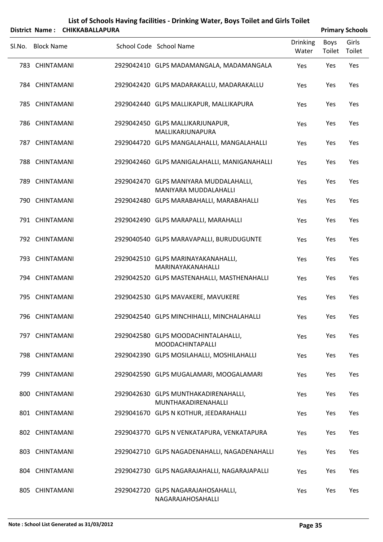| List of Schools Having facilities - Drinking Water, Boys Toilet and Girls Toilet |
|----------------------------------------------------------------------------------|
| -------------------                                                              |

|        |                   | District Name: CHIKKABALLAPURA |                                                                 |                          |                | <b>Primary Schools</b> |
|--------|-------------------|--------------------------------|-----------------------------------------------------------------|--------------------------|----------------|------------------------|
| SI.No. | <b>Block Name</b> |                                | School Code School Name                                         | <b>Drinking</b><br>Water | Boys<br>Toilet | Girls<br>Toilet        |
|        | 783 CHINTAMANI    |                                | 2929042410 GLPS MADAMANGALA, MADAMANGALA                        | Yes                      | Yes            | Yes                    |
|        | 784 CHINTAMANI    |                                | 2929042420 GLPS MADARAKALLU, MADARAKALLU                        | Yes                      | Yes            | Yes                    |
|        | 785 CHINTAMANI    |                                | 2929042440 GLPS MALLIKAPUR, MALLIKAPURA                         | Yes                      | Yes            | Yes                    |
|        | 786 CHINTAMANI    |                                | 2929042450 GLPS MALLIKARJUNAPUR,<br>MALLIKARJUNAPURA            | Yes                      | Yes            | Yes                    |
|        | 787 CHINTAMANI    |                                | 2929044720 GLPS MANGALAHALLI, MANGALAHALLI                      | Yes                      | Yes            | Yes                    |
|        | 788 CHINTAMANI    |                                | 2929042460 GLPS MANIGALAHALLI, MANIGANAHALLI                    | Yes                      | Yes            | Yes                    |
|        | 789 CHINTAMANI    |                                | 2929042470 GLPS MANIYARA MUDDALAHALLI,<br>MANIYARA MUDDALAHALLI | Yes                      | Yes            | Yes                    |
|        | 790 CHINTAMANI    |                                | 2929042480 GLPS MARABAHALLI, MARABAHALLI                        | Yes                      | Yes            | Yes                    |
|        | 791 CHINTAMANI    |                                | 2929042490 GLPS MARAPALLI, MARAHALLI                            | Yes                      | Yes            | Yes                    |
|        | 792 CHINTAMANI    |                                | 2929040540 GLPS MARAVAPALLI, BURUDUGUNTE                        | Yes                      | Yes            | Yes                    |
|        | 793 CHINTAMANI    |                                | 2929042510 GLPS MARINAYAKANAHALLI,<br>MARINAYAKANAHALLI         | Yes                      | Yes            | Yes                    |
|        | 794 CHINTAMANI    |                                | 2929042520 GLPS MASTENAHALLI, MASTHENAHALLI                     | Yes                      | Yes            | Yes                    |
|        | 795 CHINTAMANI    |                                | 2929042530 GLPS MAVAKERE, MAVUKERE                              | Yes                      | Yes            | Yes                    |
|        | 796 CHINTAMANI    |                                | 2929042540 GLPS MINCHIHALLI, MINCHALAHALLI                      | Yes                      | Yes            | Yes                    |
|        | 797 CHINTAMANI    |                                | 2929042580 GLPS MOODACHINTALAHALLI,<br><b>MOODACHINTAPALLI</b>  | Yes                      | Yes            | Yes                    |
|        | 798 CHINTAMANI    |                                | 2929042390 GLPS MOSILAHALLI, MOSHILAHALLI                       | Yes                      | Yes            | Yes                    |
|        | 799 CHINTAMANI    |                                | 2929042590 GLPS MUGALAMARI, MOOGALAMARI                         | Yes                      | Yes            | Yes                    |
|        | 800 CHINTAMANI    |                                | 2929042630 GLPS MUNTHAKADIRENAHALLI,<br>MUNTHAKADIRENAHALLI     | Yes                      | Yes            | Yes                    |
|        | 801 CHINTAMANI    |                                | 2929041670 GLPS N KOTHUR, JEEDARAHALLI                          | Yes                      | Yes            | Yes                    |
|        | 802 CHINTAMANI    |                                | 2929043770 GLPS N VENKATAPURA, VENKATAPURA                      | Yes                      | Yes            | Yes                    |
|        | 803 CHINTAMANI    |                                | 2929042710 GLPS NAGADENAHALLI, NAGADENAHALLI                    | Yes                      | Yes            | Yes                    |
|        | 804 CHINTAMANI    |                                | 2929042730 GLPS NAGARAJAHALLI, NAGARAJAPALLI                    | Yes                      | Yes            | Yes                    |
|        | 805 CHINTAMANI    |                                | 2929042720 GLPS NAGARAJAHOSAHALLI,<br>NAGARAJAHOSAHALLI         | Yes                      | Yes            | Yes                    |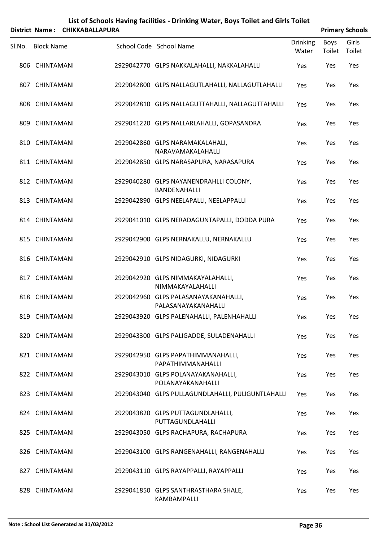|        |                   | District Name: CHIKKABALLAPURA |                                                             |                          |                | <b>Primary Schools</b> |
|--------|-------------------|--------------------------------|-------------------------------------------------------------|--------------------------|----------------|------------------------|
| SI.No. | <b>Block Name</b> |                                | School Code School Name                                     | <b>Drinking</b><br>Water | Boys<br>Toilet | Girls<br>Toilet        |
|        | 806 CHINTAMANI    |                                | 2929042770 GLPS NAKKALAHALLI, NAKKALAHALLI                  | Yes                      | Yes            | Yes                    |
|        | 807 CHINTAMANI    |                                | 2929042800 GLPS NALLAGUTLAHALLI, NALLAGUTLAHALLI            | Yes                      | Yes            | Yes                    |
|        | 808 CHINTAMANI    |                                | 2929042810 GLPS NALLAGUTTAHALLI, NALLAGUTTAHALLI            | Yes                      | Yes            | Yes                    |
|        | 809 CHINTAMANI    |                                | 2929041220 GLPS NALLARLAHALLI, GOPASANDRA                   | Yes                      | Yes            | Yes                    |
|        | 810 CHINTAMANI    |                                | 2929042860 GLPS NARAMAKALAHALI,<br>NARAVAMAKALAHALLI        | Yes                      | Yes            | Yes                    |
|        | 811 CHINTAMANI    |                                | 2929042850 GLPS NARASAPURA, NARASAPURA                      | Yes                      | Yes            | Yes                    |
|        | 812 CHINTAMANI    |                                | 2929040280 GLPS NAYANENDRAHLLI COLONY,<br>BANDENAHALLI      | Yes                      | Yes            | Yes                    |
|        | 813 CHINTAMANI    |                                | 2929042890 GLPS NEELAPALLI, NEELAPPALLI                     | Yes                      | Yes            | Yes                    |
|        | 814 CHINTAMANI    |                                | 2929041010 GLPS NERADAGUNTAPALLI, DODDA PURA                | Yes                      | Yes            | Yes                    |
|        | 815 CHINTAMANI    |                                | 2929042900 GLPS NERNAKALLU, NERNAKALLU                      | Yes                      | Yes            | Yes                    |
|        | 816 CHINTAMANI    |                                | 2929042910 GLPS NIDAGURKI, NIDAGURKI                        | Yes                      | Yes            | Yes                    |
|        | 817 CHINTAMANI    |                                | 2929042920 GLPS NIMMAKAYALAHALLI,<br>NIMMAKAYALAHALLI       | Yes                      | Yes            | Yes                    |
|        | 818 CHINTAMANI    |                                | 2929042960 GLPS PALASANAYAKANAHALLI,<br>PALASANAYAKANAHALLI | Yes                      | Yes            | Yes                    |
|        | 819 CHINTAMANI    |                                | 2929043920 GLPS PALENAHALLI, PALENHAHALLI                   | Yes                      | Yes            | Yes                    |
|        | 820 CHINTAMANI    |                                | 2929043300 GLPS PALIGADDE, SULADENAHALLI                    | Yes                      | Yes            | Yes                    |
|        | 821 CHINTAMANI    |                                | 2929042950 GLPS PAPATHIMMANAHALLI,<br>PAPATHIMMANAHALLI     | Yes                      | Yes            | Yes                    |
|        | 822 CHINTAMANI    |                                | 2929043010 GLPS POLANAYAKANAHALLI,<br>POLANAYAKANAHALLI     | Yes                      | Yes            | Yes                    |
|        | 823 CHINTAMANI    |                                | 2929043040 GLPS PULLAGUNDLAHALLI, PULIGUNTLAHALLI           | Yes                      | Yes            | Yes                    |
|        | 824 CHINTAMANI    |                                | 2929043820 GLPS PUTTAGUNDLAHALLI,<br>PUTTAGUNDLAHALLI       | Yes                      | Yes            | Yes                    |
|        | 825 CHINTAMANI    |                                | 2929043050 GLPS RACHAPURA, RACHAPURA                        | Yes                      | Yes            | Yes                    |
|        | 826 CHINTAMANI    |                                | 2929043100 GLPS RANGENAHALLI, RANGENAHALLI                  | Yes                      | Yes            | Yes                    |
|        | 827 CHINTAMANI    |                                | 2929043110 GLPS RAYAPPALLI, RAYAPPALLI                      | Yes                      | Yes            | Yes                    |
|        | 828 CHINTAMANI    |                                | 2929041850 GLPS SANTHRASTHARA SHALE,<br>KAMBAMPALLI         | Yes                      | Yes            | Yes                    |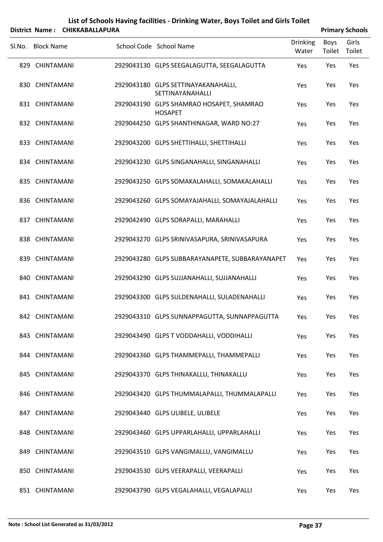|        | <b>District Name:</b> | <b>CHIKKABALLAPURA</b> |                                                            |                          | <b>Primary Schools</b>       |       |
|--------|-----------------------|------------------------|------------------------------------------------------------|--------------------------|------------------------------|-------|
| SI.No. | <b>Block Name</b>     |                        | School Code School Name                                    | <b>Drinking</b><br>Water | <b>Boys</b><br>Toilet Toilet | Girls |
|        | 829 CHINTAMANI        |                        | 2929043130 GLPS SEEGALAGUTTA, SEEGALAGUTTA                 | Yes                      | Yes                          | Yes   |
|        | 830 CHINTAMANI        |                        | 2929043180 GLPS SETTINAYAKANAHALLI,<br>SETTINAYANAHALLI    | Yes                      | Yes                          | Yes   |
|        | 831 CHINTAMANI        |                        | 2929043190 GLPS SHAMRAO HOSAPET, SHAMRAO<br><b>HOSAPET</b> | Yes                      | Yes                          | Yes   |
|        | 832 CHINTAMANI        |                        | 2929044250 GLPS SHANTHINAGAR, WARD NO:27                   | Yes                      | Yes                          | Yes   |
|        | 833 CHINTAMANI        |                        | 2929043200 GLPS SHETTIHALLI, SHETTIHALLI                   | Yes                      | Yes                          | Yes   |
|        | 834 CHINTAMANI        |                        | 2929043230 GLPS SINGANAHALLI, SINGANAHALLI                 | Yes                      | Yes                          | Yes   |
|        | 835 CHINTAMANI        |                        | 2929043250 GLPS SOMAKALAHALLI, SOMAKALAHALLI               | Yes                      | Yes                          | Yes   |
|        | 836 CHINTAMANI        |                        | 2929043260 GLPS SOMAYAJAHALLI, SOMAYAJALAHALLI             | Yes                      | Yes                          | Yes   |
|        | 837 CHINTAMANI        |                        | 2929042490 GLPS SORAPALLI, MARAHALLI                       | Yes                      | Yes                          | Yes   |
|        | 838 CHINTAMANI        |                        | 2929043270 GLPS SRINIVASAPURA, SRINIVASAPURA               | Yes                      | Yes                          | Yes   |
|        | 839 CHINTAMANI        |                        | 2929043280 GLPS SUBBARAYANAPETE, SUBBARAYANAPET            | Yes                      | Yes                          | Yes   |
|        | 840 CHINTAMANI        |                        | 2929043290 GLPS SUJJANAHALLI, SUJJANAHALLI                 | Yes                      | Yes                          | Yes   |
|        | 841 CHINTAMANI        |                        | 2929043300 GLPS SULDENAHALLI, SULADENAHALLI                | Yes                      | Yes                          | Yes   |
|        | 842 CHINTAMANI        |                        | 2929043310 GLPS SUNNAPPAGUTTA, SUNNAPPAGUTTA               | Yes                      | Yes                          | Yes   |
|        | 843 CHINTAMANI        |                        | 2929043490 GLPS T VODDAHALLI, VODDIHALLI                   | Yes                      | Yes                          | Yes   |
|        | 844 CHINTAMANI        |                        | 2929043360 GLPS THAMMEPALLI, THAMMEPALLI                   | Yes                      | Yes                          | Yes   |
|        | 845 CHINTAMANI        |                        | 2929043370 GLPS THINAKALLU, THINAKALLU                     | Yes                      | Yes                          | Yes   |
|        | 846 CHINTAMANI        |                        | 2929043420 GLPS THUMMALAPALLI, THUMMALAPALLI               | Yes                      | Yes                          | Yes   |
|        | 847 CHINTAMANI        |                        | 2929043440 GLPS ULIBELE, ULIBELE                           | Yes                      | Yes                          | Yes   |
|        | 848 CHINTAMANI        |                        | 2929043460 GLPS UPPARLAHALLI, UPPARLAHALLI                 | Yes                      | Yes                          | Yes   |
|        | 849 CHINTAMANI        |                        | 2929043510 GLPS VANGIMALLU, VANGIMALLU                     | Yes                      | Yes                          | Yes   |

CHINTAMANI 2929043530 GLPS VEERAPALLI, VEERAPALLI Yes Yes Yes

851 CHINTAMANI 2929043790 GLPS VEGALAHALLI, VEGALAPALLI Yes Yes Yes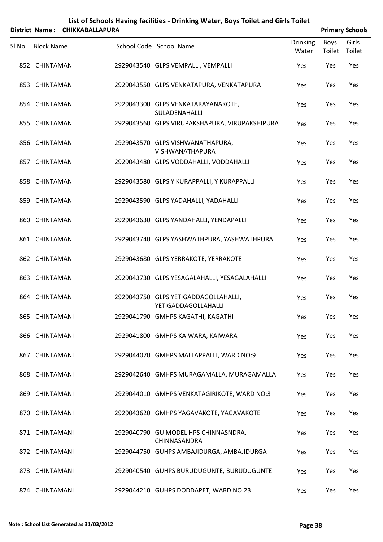| List of Schools Having facilities - Drinking Water, Boys Toilet and Girls Toilet |
|----------------------------------------------------------------------------------|
| -------------------                                                              |

|        | District Name: CHIKKABALLAPURA |                                                             |                          |                | <b>Primary Schools</b> |
|--------|--------------------------------|-------------------------------------------------------------|--------------------------|----------------|------------------------|
| Sl.No. | <b>Block Name</b>              | School Code School Name                                     | <b>Drinking</b><br>Water | Boys<br>Toilet | Girls<br>Toilet        |
|        | 852 CHINTAMANI                 | 2929043540 GLPS VEMPALLI, VEMPALLI                          | Yes                      | Yes            | Yes                    |
|        | 853 CHINTAMANI                 | 2929043550 GLPS VENKATAPURA, VENKATAPURA                    | Yes                      | Yes            | Yes                    |
|        | 854 CHINTAMANI                 | 2929043300 GLPS VENKATARAYANAKOTE,<br>SULADENAHALLI         | Yes                      | Yes            | Yes                    |
|        | 855 CHINTAMANI                 | 2929043560 GLPS VIRUPAKSHAPURA, VIRUPAKSHIPURA              | Yes                      | Yes            | Yes                    |
|        | 856 CHINTAMANI                 | 2929043570 GLPS VISHWANATHAPURA,<br>VISHWANATHAPURA         | Yes                      | Yes            | Yes                    |
|        | 857 CHINTAMANI                 | 2929043480 GLPS VODDAHALLI, VODDAHALLI                      | Yes                      | Yes            | Yes                    |
|        | 858 CHINTAMANI                 | 2929043580 GLPS Y KURAPPALLI, Y KURAPPALLI                  | Yes                      | Yes            | Yes                    |
|        | 859 CHINTAMANI                 | 2929043590 GLPS YADAHALLI, YADAHALLI                        | Yes                      | Yes            | Yes                    |
|        | 860 CHINTAMANI                 | 2929043630 GLPS YANDAHALLI, YENDAPALLI                      | Yes                      | Yes            | Yes                    |
|        | 861 CHINTAMANI                 | 2929043740 GLPS YASHWATHPURA, YASHWATHPURA                  | Yes                      | Yes            | Yes                    |
|        | 862 CHINTAMANI                 | 2929043680 GLPS YERRAKOTE, YERRAKOTE                        | Yes                      | Yes            | Yes                    |
|        | 863 CHINTAMANI                 | 2929043730 GLPS YESAGALAHALLI, YESAGALAHALLI                | Yes                      | Yes            | Yes                    |
|        | 864 CHINTAMANI                 | 2929043750 GLPS YETIGADDAGOLLAHALLI,<br>YETIGADDAGOLLAHALLI | Yes                      | Yes            | Yes                    |
|        | 865 CHINTAMANI                 | 2929041790 GMHPS KAGATHI, KAGATHI                           | Yes                      | Yes            | Yes                    |
|        | 866 CHINTAMANI                 | 2929041800 GMHPS KAIWARA, KAIWARA                           | Yes                      | Yes            | Yes                    |
|        | 867 CHINTAMANI                 | 2929044070 GMHPS MALLAPPALLI, WARD NO:9                     | Yes                      | Yes            | Yes                    |
|        | 868 CHINTAMANI                 | 2929042640 GMHPS MURAGAMALLA, MURAGAMALLA                   | Yes                      | Yes            | Yes                    |
|        | 869 CHINTAMANI                 | 2929044010 GMHPS VENKATAGIRIKOTE, WARD NO:3                 | Yes                      | Yes            | Yes                    |
|        | 870 CHINTAMANI                 | 2929043620 GMHPS YAGAVAKOTE, YAGAVAKOTE                     | Yes                      | Yes            | Yes                    |
|        | 871 CHINTAMANI                 | 2929040790 GU MODEL HPS CHINNASNDRA,<br>CHINNASANDRA        | Yes                      | Yes            | Yes                    |
|        | 872 CHINTAMANI                 | 2929044750 GUHPS AMBAJIDURGA, AMBAJIDURGA                   | Yes                      | Yes            | Yes                    |
|        | 873 CHINTAMANI                 | 2929040540 GUHPS BURUDUGUNTE, BURUDUGUNTE                   | Yes                      | Yes            | Yes                    |
|        | 874 CHINTAMANI                 | 2929044210 GUHPS DODDAPET, WARD NO:23                       | Yes                      | Yes            | Yes                    |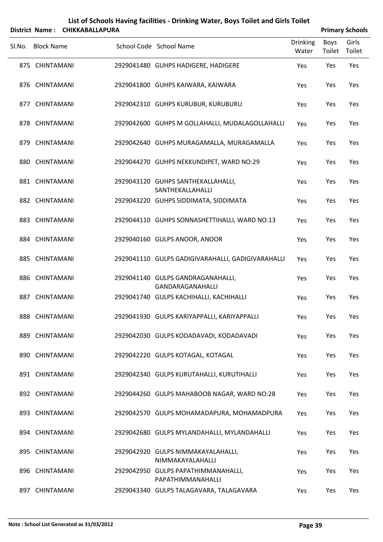| List of Schools Having facilities - Drinking Water, Boys Toilet and Girls Toilet |
|----------------------------------------------------------------------------------|
| <br>-------------------                                                          |

|        |                   | District Name: CHIKKABALLAPURA |                                                          |                          |                | <b>Primary Schools</b> |
|--------|-------------------|--------------------------------|----------------------------------------------------------|--------------------------|----------------|------------------------|
| Sl.No. | <b>Block Name</b> |                                | School Code School Name                                  | <b>Drinking</b><br>Water | Boys<br>Toilet | Girls<br>Toilet        |
|        | 875 CHINTAMANI    |                                | 2929041480 GUHPS HADIGERE, HADIGERE                      | Yes                      | Yes            | Yes                    |
|        | 876 CHINTAMANI    |                                | 2929041800 GUHPS KAIWARA, KAIWARA                        | Yes                      | Yes            | Yes                    |
|        | 877 CHINTAMANI    |                                | 2929042310 GUHPS KURUBUR, KURUBURU                       | Yes                      | Yes            | Yes                    |
|        | 878 CHINTAMANI    |                                | 2929042600 GUHPS M GOLLAHALLI, MUDALAGOLLAHALLI          | Yes                      | Yes            | Yes                    |
|        | 879 CHINTAMANI    |                                | 2929042640 GUHPS MURAGAMALLA, MURAGAMALLA                | Yes                      | Yes            | Yes                    |
|        | 880 CHINTAMANI    |                                | 2929044270 GUHPS NEKKUNDIPET, WARD NO:29                 | Yes                      | Yes            | Yes                    |
|        | 881 CHINTAMANI    |                                | 2929043120 GUHPS SANTHEKALLAHALLI,<br>SANTHEKALLAHALLI   | Yes                      | Yes            | Yes                    |
|        | 882 CHINTAMANI    |                                | 2929043220 GUHPS SIDDIMATA, SIDDIMATA                    | Yes                      | Yes            | Yes                    |
|        | 883 CHINTAMANI    |                                | 2929044110 GUHPS SONNASHETTIHALLI, WARD NO:13            | Yes                      | Yes            | Yes                    |
|        | 884 CHINTAMANI    |                                | 2929040160 GULPS ANOOR, ANOOR                            | Yes                      | Yes            | Yes                    |
|        | 885 CHINTAMANI    |                                | 2929041110 GULPS GADIGIVARAHALLI, GADIGIVARAHALLI        | Yes                      | Yes            | Yes                    |
|        | 886 CHINTAMANI    |                                | 2929041140 GULPS GANDRAGANAHALLI,<br>GANDARAGANAHALLI    | Yes                      | Yes            | Yes                    |
|        | 887 CHINTAMANI    |                                | 2929041740 GULPS KACHIHALLI, KACHIHALLI                  | Yes                      | Yes            | Yes                    |
|        | 888 CHINTAMANI    |                                | 2929041930 GULPS KARIYAPPALLI, KARIYAPPALLI              | Yes                      | Yes            | Yes                    |
|        | 889 CHINTAMANI    |                                | 2929042030 GULPS KODADAVADI, KODADAVADI                  | Yes                      | Yes            | Yes                    |
|        | 890 CHINTAMANI    |                                | 2929042220 GULPS KOTAGAL, KOTAGAL                        | Yes                      | Yes            | Yes                    |
|        | 891 CHINTAMANI    |                                | 2929042340 GULPS KURUTAHALLI, KURUTIHALLI                | Yes                      | Yes            | Yes                    |
|        | 892 CHINTAMANI    |                                | 2929044260 GULPS MAHABOOB NAGAR, WARD NO:28              | Yes                      | Yes            | Yes                    |
|        | 893 CHINTAMANI    |                                | 2929042570 GULPS MOHAMADAPURA, MOHAMADPURA               | Yes                      | Yes            | Yes                    |
|        | 894 CHINTAMANI    |                                | 2929042680 GULPS MYLANDAHALLI, MYLANDAHALLI              | Yes                      | Yes            | Yes                    |
|        | 895 CHINTAMANI    |                                | 2929042920 GULPS NIMMAKAYALAHALLI,<br>NIMMAKAYALAHALLI   | Yes                      | Yes            | Yes                    |
|        | 896 CHINTAMANI    |                                | 2929042950 GULPS PAPATHIMMANAHALLI,<br>PAPATHIMMANAHALLI | Yes                      | Yes            | Yes                    |
|        | 897 CHINTAMANI    |                                | 2929043340 GULPS TALAGAVARA, TALAGAVARA                  | Yes                      | Yes            | Yes                    |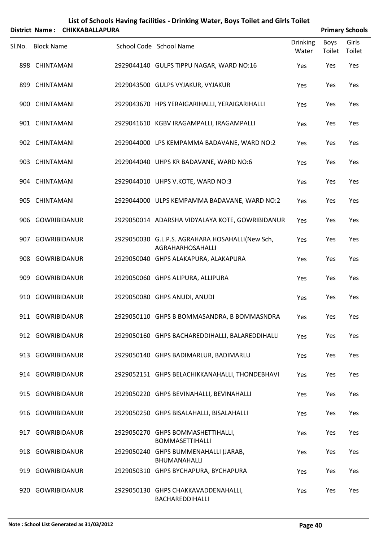| List of Schools Having facilities - Drinking Water, Boys Toilet and Girls Toilet<br><b>CHIKKABALLAPURA</b><br><b>Primary Schools</b><br>District Name: |                     |  |  |                                                                     |                          |                |                 |  |
|--------------------------------------------------------------------------------------------------------------------------------------------------------|---------------------|--|--|---------------------------------------------------------------------|--------------------------|----------------|-----------------|--|
| Sl.No.                                                                                                                                                 | <b>Block Name</b>   |  |  | School Code School Name                                             | <b>Drinking</b><br>Water | Boys<br>Toilet | Girls<br>Toilet |  |
|                                                                                                                                                        | 898 CHINTAMANI      |  |  | 2929044140 GULPS TIPPU NAGAR, WARD NO:16                            | Yes                      | Yes            | Yes             |  |
|                                                                                                                                                        | 899 CHINTAMANI      |  |  | 2929043500 GULPS VYJAKUR, VYJAKUR                                   | Yes                      | Yes            | Yes             |  |
|                                                                                                                                                        | 900 CHINTAMANI      |  |  | 2929043670 HPS YERAIGARIHALLI, YERAIGARIHALLI                       | Yes                      | Yes            | Yes             |  |
|                                                                                                                                                        | 901 CHINTAMANI      |  |  | 2929041610 KGBV IRAGAMPALLI, IRAGAMPALLI                            | Yes                      | Yes            | Yes             |  |
|                                                                                                                                                        | 902 CHINTAMANI      |  |  | 2929044000 LPS KEMPAMMA BADAVANE, WARD NO:2                         | Yes                      | Yes            | Yes             |  |
|                                                                                                                                                        | 903 CHINTAMANI      |  |  | 2929044040 UHPS KR BADAVANE, WARD NO:6                              | Yes                      | Yes            | Yes             |  |
|                                                                                                                                                        | 904 CHINTAMANI      |  |  | 2929044010 UHPS V.KOTE, WARD NO:3                                   | Yes                      | Yes            | Yes             |  |
|                                                                                                                                                        | 905 CHINTAMANI      |  |  | 2929044000 ULPS KEMPAMMA BADAVANE, WARD NO:2                        | Yes                      | Yes            | Yes             |  |
|                                                                                                                                                        | 906 GOWRIBIDANUR    |  |  | 2929050014 ADARSHA VIDYALAYA KOTE, GOWRIBIDANUR                     | Yes                      | Yes            | Yes             |  |
|                                                                                                                                                        | 907 GOWRIBIDANUR    |  |  | 2929050030 G.L.P.S. AGRAHARA HOSAHALLI(New Sch,<br>AGRAHARHOSAHALLI | Yes                      | Yes            | Yes             |  |
|                                                                                                                                                        | 908 GOWRIBIDANUR    |  |  | 2929050040 GHPS ALAKAPURA, ALAKAPURA                                | Yes                      | Yes            | Yes             |  |
| 909                                                                                                                                                    | <b>GOWRIBIDANUR</b> |  |  | 2929050060 GHPS ALIPURA, ALLIPURA                                   | Yes                      | Yes            | Yes             |  |
|                                                                                                                                                        | 910 GOWRIBIDANUR    |  |  | 2929050080 GHPS ANUDI, ANUDI                                        | Yes                      | Yes            | Yes             |  |
|                                                                                                                                                        | 911 GOWRIBIDANUR    |  |  | 2929050110 GHPS B BOMMASANDRA, B BOMMASNDRA                         | Yes                      | Yes            | Yes             |  |
|                                                                                                                                                        | 912 GOWRIBIDANUR    |  |  | 2929050160 GHPS BACHAREDDIHALLI, BALAREDDIHALLI                     | Yes                      | Yes            | Yes             |  |
|                                                                                                                                                        | 913 GOWRIBIDANUR    |  |  | 2929050140 GHPS BADIMARLUR, BADIMARLU                               | Yes                      | Yes            | Yes             |  |
|                                                                                                                                                        | 914 GOWRIBIDANUR    |  |  | 2929052151 GHPS BELACHIKKANAHALLI, THONDEBHAVI                      | Yes                      | Yes            | Yes             |  |
|                                                                                                                                                        | 915 GOWRIBIDANUR    |  |  | 2929050220 GHPS BEVINAHALLI, BEVINAHALLI                            | Yes                      | Yes            | Yes             |  |
|                                                                                                                                                        | 916 GOWRIBIDANUR    |  |  | 2929050250 GHPS BISALAHALLI, BISALAHALLI                            | Yes                      | Yes            | Yes             |  |
|                                                                                                                                                        | 917 GOWRIBIDANUR    |  |  | 2929050270 GHPS BOMMASHETTIHALLI,<br><b>BOMMASETTIHALLI</b>         | Yes                      | Yes            | Yes             |  |
|                                                                                                                                                        | 918 GOWRIBIDANUR    |  |  | 2929050240 GHPS BUMMENAHALLI (JARAB,<br>BHUMANAHALLI                | Yes                      | Yes            | Yes             |  |
|                                                                                                                                                        | 919 GOWRIBIDANUR    |  |  | 2929050310 GHPS BYCHAPURA, BYCHAPURA                                | Yes                      | Yes            | Yes             |  |
|                                                                                                                                                        | 920 GOWRIBIDANUR    |  |  | 2929050130 GHPS CHAKKAVADDENAHALLI,<br>BACHAREDDIHALLI              | Yes                      | Yes            | Yes             |  |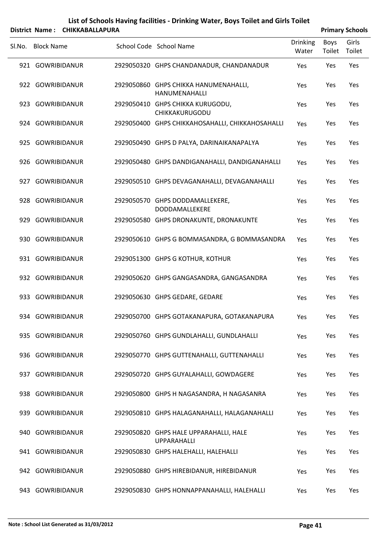|        |                   | District Name: CHIKKABALLAPURA |                                                              |                          |                | <b>Primary Schools</b> |
|--------|-------------------|--------------------------------|--------------------------------------------------------------|--------------------------|----------------|------------------------|
| SI.No. | <b>Block Name</b> |                                | School Code School Name                                      | <b>Drinking</b><br>Water | Boys<br>Toilet | Girls<br>Toilet        |
|        | 921 GOWRIBIDANUR  |                                | 2929050320 GHPS CHANDANADUR, CHANDANADUR                     | Yes                      | Yes            | Yes                    |
|        | 922 GOWRIBIDANUR  |                                | 2929050860 GHPS CHIKKA HANUMENAHALLI,<br>HANUMENAHALLI       | Yes                      | Yes            | Yes                    |
|        | 923 GOWRIBIDANUR  |                                | 2929050410 GHPS CHIKKA KURUGODU,<br>CHIKKAKURUGODU           | Yes                      | Yes            | Yes                    |
|        | 924 GOWRIBIDANUR  |                                | 2929050400 GHPS CHIKKAHOSAHALLI, CHIKKAHOSAHALLI             | Yes                      | Yes            | Yes                    |
|        | 925 GOWRIBIDANUR  |                                | 2929050490 GHPS D PALYA, DARINAIKANAPALYA                    | Yes                      | Yes            | Yes                    |
|        | 926 GOWRIBIDANUR  |                                | 2929050480 GHPS DANDIGANAHALLI, DANDIGANAHALLI               | Yes                      | Yes            | Yes                    |
|        | 927 GOWRIBIDANUR  |                                | 2929050510 GHPS DEVAGANAHALLI, DEVAGANAHALLI                 | Yes                      | Yes            | Yes                    |
|        | 928 GOWRIBIDANUR  |                                | 2929050570 GHPS DODDAMALLEKERE,<br>DODDAMALLEKERE            | Yes                      | Yes            | Yes                    |
|        | 929 GOWRIBIDANUR  |                                | 2929050580 GHPS DRONAKUNTE, DRONAKUNTE                       | Yes                      | Yes            | Yes                    |
|        | 930 GOWRIBIDANUR  |                                | 2929050610 GHPS G BOMMASANDRA, G BOMMASANDRA                 | Yes                      | Yes            | Yes                    |
|        | 931 GOWRIBIDANUR  |                                | 2929051300 GHPS G KOTHUR, KOTHUR                             | Yes                      | Yes            | Yes                    |
|        | 932 GOWRIBIDANUR  |                                | 2929050620 GHPS GANGASANDRA, GANGASANDRA                     | Yes                      | Yes            | Yes                    |
|        | 933 GOWRIBIDANUR  |                                | 2929050630 GHPS GEDARE, GEDARE                               | Yes                      | Yes            | Yes                    |
|        | 934 GOWRIBIDANUR  |                                | 2929050700 GHPS GOTAKANAPURA, GOTAKANAPURA                   | Yes                      | Yes            | Yes                    |
|        | 935 GOWRIBIDANUR  |                                | 2929050760 GHPS GUNDLAHALLI, GUNDLAHALLI                     | Yes                      | Yes            | Yes                    |
|        | 936 GOWRIBIDANUR  |                                | 2929050770 GHPS GUTTENAHALLI, GUTTENAHALLI                   | Yes                      | Yes            | Yes                    |
|        | 937 GOWRIBIDANUR  |                                | 2929050720 GHPS GUYALAHALLI, GOWDAGERE                       | Yes                      | Yes            | Yes                    |
|        | 938 GOWRIBIDANUR  |                                | 2929050800 GHPS H NAGASANDRA, H NAGASANRA                    | Yes                      | Yes            | Yes                    |
|        | 939 GOWRIBIDANUR  |                                | 2929050810 GHPS HALAGANAHALLI, HALAGANAHALLI                 | Yes                      | Yes            | Yes                    |
|        | 940 GOWRIBIDANUR  |                                | 2929050820 GHPS HALE UPPARAHALLI, HALE<br><b>UPPARAHALLI</b> | Yes                      | Yes            | Yes                    |
|        | 941 GOWRIBIDANUR  |                                | 2929050830 GHPS HALEHALLI, HALEHALLI                         | Yes                      | Yes            | Yes                    |
|        | 942 GOWRIBIDANUR  |                                | 2929050880 GHPS HIREBIDANUR, HIREBIDANUR                     | Yes                      | Yes            | Yes                    |
|        | 943 GOWRIBIDANUR  |                                | 2929050830 GHPS HONNAPPANAHALLI, HALEHALLI                   | Yes                      | Yes            | Yes                    |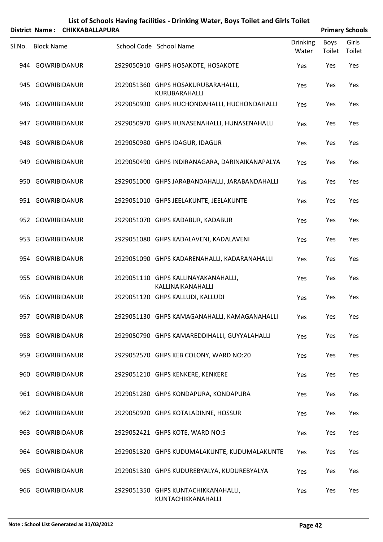| List of Schools Having facilities - Drinking Water, Boys Toilet and Girls Toilet |  |
|----------------------------------------------------------------------------------|--|
|                                                                                  |  |

|        |                   | District Name: CHIKKABALLAPURA |                                                           |                          |                | <b>Primary Schools</b> |
|--------|-------------------|--------------------------------|-----------------------------------------------------------|--------------------------|----------------|------------------------|
| Sl.No. | <b>Block Name</b> |                                | School Code School Name                                   | <b>Drinking</b><br>Water | Boys<br>Toilet | Girls<br>Toilet        |
|        | 944 GOWRIBIDANUR  |                                | 2929050910 GHPS HOSAKOTE, HOSAKOTE                        | Yes                      | Yes            | Yes                    |
|        | 945 GOWRIBIDANUR  |                                | 2929051360 GHPS HOSAKURUBARAHALLI,<br>KURUBARAHALLI       | Yes                      | Yes            | Yes                    |
|        | 946 GOWRIBIDANUR  |                                | 2929050930 GHPS HUCHONDAHALLI, HUCHONDAHALLI              | Yes                      | Yes            | Yes                    |
|        | 947 GOWRIBIDANUR  |                                | 2929050970 GHPS HUNASENAHALLI, HUNASENAHALLI              | Yes                      | Yes            | Yes                    |
|        | 948 GOWRIBIDANUR  |                                | 2929050980 GHPS IDAGUR, IDAGUR                            | Yes                      | Yes            | Yes                    |
|        | 949 GOWRIBIDANUR  |                                | 2929050490 GHPS INDIRANAGARA, DARINAIKANAPALYA            | Yes                      | Yes            | Yes                    |
|        | 950 GOWRIBIDANUR  |                                | 2929051000 GHPS JARABANDAHALLI, JARABANDAHALLI            | Yes                      | Yes            | Yes                    |
|        | 951 GOWRIBIDANUR  |                                | 2929051010 GHPS JEELAKUNTE, JEELAKUNTE                    | Yes                      | Yes            | Yes                    |
|        | 952 GOWRIBIDANUR  |                                | 2929051070 GHPS KADABUR, KADABUR                          | Yes                      | Yes            | Yes                    |
|        | 953 GOWRIBIDANUR  |                                | 2929051080 GHPS KADALAVENI, KADALAVENI                    | Yes                      | Yes            | Yes                    |
|        | 954 GOWRIBIDANUR  |                                | 2929051090 GHPS KADARENAHALLI, KADARANAHALLI              | Yes                      | Yes            | Yes                    |
|        | 955 GOWRIBIDANUR  |                                | 2929051110 GHPS KALLINAYAKANAHALLI,<br>KALLINAIKANAHALLI  | Yes                      | Yes            | Yes                    |
|        | 956 GOWRIBIDANUR  |                                | 2929051120 GHPS KALLUDI, KALLUDI                          | Yes                      | Yes            | Yes                    |
|        | 957 GOWRIBIDANUR  |                                | 2929051130 GHPS KAMAGANAHALLI, KAMAGANAHALLI              | Yes                      | Yes            | Yes                    |
|        | 958 GOWRIBIDANUR  |                                | 2929050790 GHPS KAMAREDDIHALLI, GUYYALAHALLI              | Yes                      | Yes            | Yes                    |
|        | 959 GOWRIBIDANUR  |                                | 2929052570 GHPS KEB COLONY, WARD NO:20                    | Yes                      | Yes            | Yes                    |
|        | 960 GOWRIBIDANUR  |                                | 2929051210 GHPS KENKERE, KENKERE                          | Yes                      | Yes            | Yes                    |
|        | 961 GOWRIBIDANUR  |                                | 2929051280 GHPS KONDAPURA, KONDAPURA                      | Yes                      | Yes            | Yes                    |
|        | 962 GOWRIBIDANUR  |                                | 2929050920 GHPS KOTALADINNE, HOSSUR                       | Yes                      | Yes            | Yes                    |
|        | 963 GOWRIBIDANUR  |                                | 2929052421 GHPS KOTE, WARD NO:5                           | Yes                      | Yes            | Yes                    |
|        | 964 GOWRIBIDANUR  |                                | 2929051320 GHPS KUDUMALAKUNTE, KUDUMALAKUNTE              | Yes                      | Yes            | Yes                    |
|        | 965 GOWRIBIDANUR  |                                | 2929051330 GHPS KUDUREBYALYA, KUDUREBYALYA                | Yes                      | Yes            | Yes                    |
|        | 966 GOWRIBIDANUR  |                                | 2929051350 GHPS KUNTACHIKKANAHALLI,<br>KUNTACHIKKANAHALLI | Yes                      | Yes            | Yes                    |

 $\overline{a}$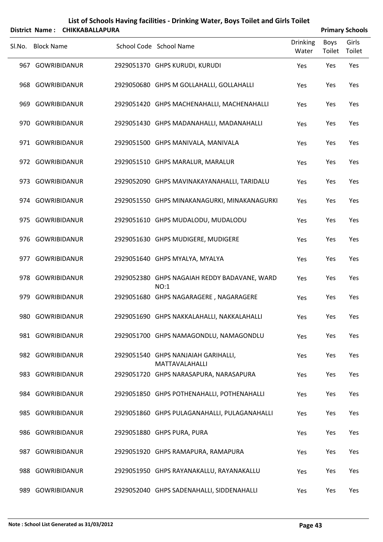| List of Schools Having facilities - Drinking Water, Boys Toilet and Girls Toilet |
|----------------------------------------------------------------------------------|
| District Name: CHIKKARAIIAPURA                                                   |

| <b>Primary Schools</b> |
|------------------------|
|                        |

|     | 213UILL IVANIC. CHINNADALLAFUNA |                                                          |                          |                | r i ilital y Julious |
|-----|---------------------------------|----------------------------------------------------------|--------------------------|----------------|----------------------|
|     | Sl.No. Block Name               | School Code School Name                                  | <b>Drinking</b><br>Water | Boys<br>Toilet | Girls<br>Toilet      |
|     | 967 GOWRIBIDANUR                | 2929051370 GHPS KURUDI, KURUDI                           | Yes                      | Yes            | Yes                  |
|     | 968 GOWRIBIDANUR                | 2929050680 GHPS M GOLLAHALLI, GOLLAHALLI                 | Yes                      | Yes            | Yes                  |
|     | 969 GOWRIBIDANUR                | 2929051420 GHPS MACHENAHALLI, MACHENAHALLI               | Yes                      | Yes            | Yes                  |
|     | 970 GOWRIBIDANUR                | 2929051430 GHPS MADANAHALLI, MADANAHALLI                 | Yes                      | Yes            | Yes                  |
|     | 971 GOWRIBIDANUR                | 2929051500 GHPS MANIVALA, MANIVALA                       | Yes                      | Yes            | Yes                  |
|     | 972 GOWRIBIDANUR                | 2929051510 GHPS MARALUR, MARALUR                         | Yes                      | Yes            | Yes                  |
|     | 973 GOWRIBIDANUR                | 2929052090 GHPS MAVINAKAYANAHALLI, TARIDALU              | Yes                      | Yes            | Yes                  |
|     | 974 GOWRIBIDANUR                | 2929051550 GHPS MINAKANAGURKI, MINAKANAGURKI             | Yes                      | Yes            | Yes                  |
|     | 975 GOWRIBIDANUR                | 2929051610 GHPS MUDALODU, MUDALODU                       | Yes                      | Yes            | Yes                  |
|     | 976 GOWRIBIDANUR                | 2929051630 GHPS MUDIGERE, MUDIGERE                       | Yes                      | Yes            | Yes                  |
|     | 977 GOWRIBIDANUR                | 2929051640 GHPS MYALYA, MYALYA                           | Yes                      | Yes            | Yes                  |
|     | 978 GOWRIBIDANUR                | 2929052380 GHPS NAGAIAH REDDY BADAVANE, WARD             | Yes                      | Yes            | Yes                  |
|     | 979 GOWRIBIDANUR                | NO:1<br>2929051680 GHPS NAGARAGERE, NAGARAGERE           | Yes                      | Yes            | Yes                  |
|     | 980 GOWRIBIDANUR                | 2929051690 GHPS NAKKALAHALLI, NAKKALAHALLI               | Yes                      | Yes            | Yes                  |
|     | 981 GOWRIBIDANUR                | 2929051700 GHPS NAMAGONDLU, NAMAGONDLU                   | Yes                      | Yes            | Yes                  |
|     | 982 GOWRIBIDANUR                | 2929051540 GHPS NANJAIAH GARIHALLI,                      | Yes                      | Yes            | Yes                  |
|     | 983 GOWRIBIDANUR                | MATTAVALAHALLI<br>2929051720 GHPS NARASAPURA, NARASAPURA | Yes                      | Yes            | Yes                  |
|     | 984 GOWRIBIDANUR                | 2929051850 GHPS POTHENAHALLI, POTHENAHALLI               | Yes                      | Yes            | Yes                  |
|     | 985 GOWRIBIDANUR                | 2929051860 GHPS PULAGANAHALLI, PULAGANAHALLI             | Yes                      | Yes            | Yes                  |
|     | 986 GOWRIBIDANUR                | 2929051880 GHPS PURA, PURA                               | Yes                      | Yes            | Yes                  |
|     | 987 GOWRIBIDANUR                | 2929051920 GHPS RAMAPURA, RAMAPURA                       | Yes                      | Yes            | Yes                  |
|     | 988 GOWRIBIDANUR                | 2929051950 GHPS RAYANAKALLU, RAYANAKALLU                 | Yes                      | Yes            | Yes                  |
| 989 | GOWRIBIDANUR                    | 2929052040 GHPS SADENAHALLI, SIDDENAHALLI                | Yes                      | Yes            | Yes                  |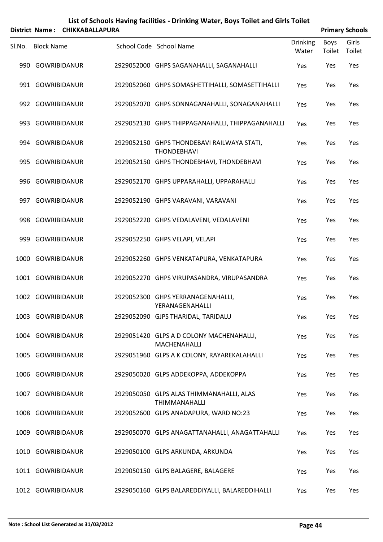|        |                     | District Name: CHIKKABALLAPURA |                                                                  |                   |                | <b>Primary Schools</b> |
|--------|---------------------|--------------------------------|------------------------------------------------------------------|-------------------|----------------|------------------------|
| Sl.No. | <b>Block Name</b>   |                                | School Code School Name                                          | Drinking<br>Water | Boys<br>Toilet | Girls<br>Toilet        |
|        | 990 GOWRIBIDANUR    |                                | 2929052000 GHPS SAGANAHALLI, SAGANAHALLI                         | Yes               | Yes            | Yes                    |
|        | 991 GOWRIBIDANUR    |                                | 2929052060 GHPS SOMASHETTIHALLI, SOMASETTIHALLI                  | Yes               | Yes            | Yes                    |
|        | 992 GOWRIBIDANUR    |                                | 2929052070 GHPS SONNAGANAHALLI, SONAGANAHALLI                    | Yes               | Yes            | Yes                    |
|        | 993 GOWRIBIDANUR    |                                | 2929052130 GHPS THIPPAGANAHALLI, THIPPAGANAHALLI                 | Yes               | Yes            | Yes                    |
|        | 994 GOWRIBIDANUR    |                                | 2929052150 GHPS THONDEBAVI RAILWAYA STATI,<br><b>THONDEBHAVI</b> | Yes               | Yes            | Yes                    |
|        | 995 GOWRIBIDANUR    |                                | 2929052150 GHPS THONDEBHAVI, THONDEBHAVI                         | Yes               | Yes            | Yes                    |
| 996    | GOWRIBIDANUR        |                                | 2929052170 GHPS UPPARAHALLI, UPPARAHALLI                         | Yes               | Yes            | Yes                    |
|        | 997 GOWRIBIDANUR    |                                | 2929052190 GHPS VARAVANI, VARAVANI                               | Yes               | Yes            | Yes                    |
| 998    | <b>GOWRIBIDANUR</b> |                                | 2929052220 GHPS VEDALAVENI, VEDALAVENI                           | Yes               | Yes            | Yes                    |
|        | 999 GOWRIBIDANUR    |                                | 2929052250 GHPS VELAPI, VELAPI                                   | Yes               | Yes            | Yes                    |
| 1000   |                     | <b>GOWRIBIDANUR</b>            | 2929052260 GHPS VENKATAPURA, VENKATAPURA                         | Yes               | Yes            | Yes                    |
|        | 1001 GOWRIBIDANUR   |                                | 2929052270 GHPS VIRUPASANDRA, VIRUPASANDRA                       | Yes               | Yes            | Yes                    |
| 1002   | GOWRIBIDANUR        |                                | 2929052300 GHPS YERRANAGENAHALLI,<br>YERANAGENAHALLI             | Yes               | Yes            | Yes                    |
|        | 1003 GOWRIBIDANUR   |                                | 2929052090 GJPS THARIDAL, TARIDALU                               | Yes               | Yes            | Yes                    |
|        | 1004 GOWRIBIDANUR   |                                | 2929051420 GLPS A D COLONY MACHENAHALLI,<br>MACHENAHALLI         | Yes               | Yes            | Yes                    |
|        | 1005 GOWRIBIDANUR   |                                | 2929051960 GLPS A K COLONY, RAYAREKALAHALLI                      | Yes               | Yes            | Yes                    |
|        | 1006 GOWRIBIDANUR   |                                | 2929050020 GLPS ADDEKOPPA, ADDEKOPPA                             | Yes               | Yes            | Yes                    |
| 1007   | <b>GOWRIBIDANUR</b> |                                | 2929050050 GLPS ALAS THIMMANAHALLI, ALAS<br><b>THIMMANAHALLI</b> | Yes               | Yes            | Yes                    |
|        | 1008 GOWRIBIDANUR   |                                | 2929052600 GLPS ANADAPURA, WARD NO:23                            | Yes               | Yes            | Yes                    |
| 1009   | <b>GOWRIBIDANUR</b> |                                | 2929050070 GLPS ANAGATTANAHALLI, ANAGATTAHALLI                   | Yes               | Yes            | Yes                    |
|        | 1010 GOWRIBIDANUR   |                                | 2929050100 GLPS ARKUNDA, ARKUNDA                                 | Yes               | Yes            | Yes                    |
|        | 1011 GOWRIBIDANUR   |                                | 2929050150 GLPS BALAGERE, BALAGERE                               | Yes               | Yes            | Yes                    |
|        | 1012 GOWRIBIDANUR   |                                | 2929050160 GLPS BALAREDDIYALLI, BALAREDDIHALLI                   | Yes               | Yes            | Yes                    |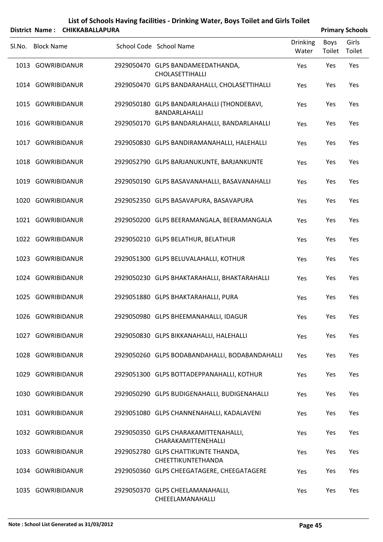|        |                   | District Name: CHIKKABALLAPURA |                                                             |                          |                | <b>Primary Schools</b> |
|--------|-------------------|--------------------------------|-------------------------------------------------------------|--------------------------|----------------|------------------------|
| Sl.No. | <b>Block Name</b> |                                | School Code School Name                                     | <b>Drinking</b><br>Water | Boys<br>Toilet | Girls<br>Toilet        |
|        | 1013 GOWRIBIDANUR |                                | 2929050470 GLPS BANDAMEEDATHANDA,<br>CHOLASETTIHALLI        | Yes                      | Yes            | Yes                    |
|        | 1014 GOWRIBIDANUR |                                | 2929050470 GLPS BANDARAHALLI, CHOLASETTIHALLI               | Yes                      | Yes            | Yes                    |
|        | 1015 GOWRIBIDANUR |                                | 2929050180 GLPS BANDARLAHALLI (THONDEBAVI,<br>BANDARLAHALLI | Yes                      | Yes            | Yes                    |
|        | 1016 GOWRIBIDANUR |                                | 2929050170 GLPS BANDARLAHALLI, BANDARLAHALLI                | Yes                      | Yes            | Yes                    |
|        | 1017 GOWRIBIDANUR |                                | 2929050830 GLPS BANDIRAMANAHALLI, HALEHALLI                 | Yes                      | Yes            | Yes                    |
|        | 1018 GOWRIBIDANUR |                                | 2929052790 GLPS BARJANUKUNTE, BARJANKUNTE                   | Yes                      | Yes            | Yes                    |
|        | 1019 GOWRIBIDANUR |                                | 2929050190 GLPS BASAVANAHALLI, BASAVANAHALLI                | Yes                      | Yes            | Yes                    |
|        | 1020 GOWRIBIDANUR |                                | 2929052350 GLPS BASAVAPURA, BASAVAPURA                      | Yes                      | Yes            | Yes                    |
|        | 1021 GOWRIBIDANUR |                                | 2929050200 GLPS BEERAMANGALA, BEERAMANGALA                  | Yes                      | Yes            | Yes                    |
|        | 1022 GOWRIBIDANUR |                                | 2929050210 GLPS BELATHUR, BELATHUR                          | Yes                      | Yes            | Yes                    |
|        | 1023 GOWRIBIDANUR |                                | 2929051300 GLPS BELUVALAHALLI, KOTHUR                       | Yes                      | Yes            | Yes                    |
|        | 1024 GOWRIBIDANUR |                                | 2929050230 GLPS BHAKTARAHALLI, BHAKTARAHALLI                | Yes                      | Yes            | Yes                    |
|        | 1025 GOWRIBIDANUR |                                | 2929051880 GLPS BHAKTARAHALLI, PURA                         | Yes                      | Yes            | Yes                    |
|        | 1026 GOWRIBIDANUR |                                | 2929050980 GLPS BHEEMANAHALLI, IDAGUR                       | Yes                      | Yes            | Yes                    |
|        | 1027 GOWRIBIDANUR |                                | 2929050830 GLPS BIKKANAHALLI, HALEHALLI                     | Yes                      | Yes            | Yes                    |
|        | 1028 GOWRIBIDANUR |                                | 2929050260 GLPS BODABANDAHALLI, BODABANDAHALLI              | Yes                      | Yes            | Yes                    |
|        | 1029 GOWRIBIDANUR |                                | 2929051300 GLPS BOTTADEPPANAHALLI, KOTHUR                   | Yes                      | Yes            | Yes                    |
|        | 1030 GOWRIBIDANUR |                                | 2929050290 GLPS BUDIGENAHALLI, BUDIGENAHALLI                | Yes                      | Yes            | Yes                    |
|        | 1031 GOWRIBIDANUR |                                | 2929051080 GLPS CHANNENAHALLI, KADALAVENI                   | Yes                      | Yes            | Yes                    |
|        | 1032 GOWRIBIDANUR |                                | 2929050350 GLPS CHARAKAMITTENAHALLI,<br>CHARAKAMITTENEHALLI | Yes                      | Yes            | Yes                    |
|        | 1033 GOWRIBIDANUR |                                | 2929052780 GLPS CHATTIKUNTE THANDA,<br>CHEETTIKUNTETHANDA   | Yes                      | Yes            | Yes                    |
|        | 1034 GOWRIBIDANUR |                                | 2929050360 GLPS CHEEGATAGERE, CHEEGATAGERE                  | Yes                      | Yes            | Yes                    |
|        | 1035 GOWRIBIDANUR |                                | 2929050370 GLPS CHEELAMANAHALLI,<br>CHEEELAMANAHALLI        | Yes                      | Yes            | Yes                    |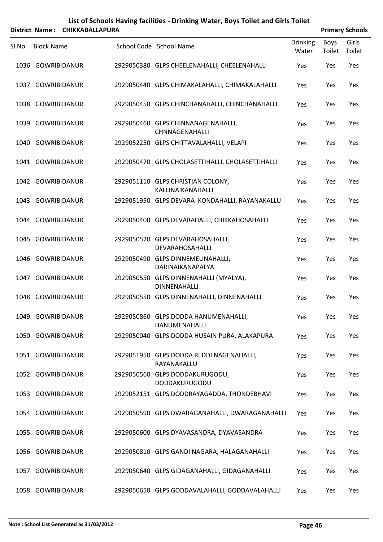|        |                   | District Name: CHIKKABALLAPURA |                                                               |                          |                | <b>Primary Schools</b> |
|--------|-------------------|--------------------------------|---------------------------------------------------------------|--------------------------|----------------|------------------------|
| SI.No. | <b>Block Name</b> |                                | School Code School Name                                       | <b>Drinking</b><br>Water | Boys<br>Toilet | Girls<br>Toilet        |
|        | 1036 GOWRIBIDANUR |                                | 2929050380 GLPS CHEELENAHALLI, CHEELENAHALLI                  | Yes                      | Yes            | Yes                    |
|        | 1037 GOWRIBIDANUR |                                | 2929050440 GLPS CHIMAKALAHALLI, CHIMAKALAHALLI                | Yes                      | Yes            | Yes                    |
|        | 1038 GOWRIBIDANUR |                                | 2929050450 GLPS CHINCHANAHALLI, CHINCHANAHALLI                | Yes                      | Yes            | Yes                    |
|        | 1039 GOWRIBIDANUR |                                | 2929050460 GLPS CHINNANAGENAHALLI,<br>CHNNAGENAHALLI          | Yes                      | Yes            | Yes                    |
|        | 1040 GOWRIBIDANUR |                                | 2929052250 GLPS CHITTAVALAHALLI, VELAPI                       | Yes                      | Yes            | Yes                    |
|        | 1041 GOWRIBIDANUR |                                | 2929050470 GLPS CHOLASETTIHALLI, CHOLASETTIHALLI              | Yes                      | Yes            | Yes                    |
|        | 1042 GOWRIBIDANUR |                                | 2929051110 GLPS CHRISTIAN COLONY,<br>KALLINAIKANAHALLI        | Yes                      | Yes            | Yes                    |
|        | 1043 GOWRIBIDANUR |                                | 2929051950 GLPS DEVARA KONDAHALLI, RAYANAKALLU                | Yes                      | Yes            | Yes                    |
|        | 1044 GOWRIBIDANUR |                                | 2929050400 GLPS DEVARAHALLI, CHIKKAHOSAHALLI                  | Yes                      | Yes            | Yes                    |
|        | 1045 GOWRIBIDANUR |                                | 2929050520 GLPS DEVARAHOSAHALLI,<br>DEVARAHOSAHALLI           | Yes                      | Yes            | Yes                    |
| 1046   | GOWRIBIDANUR      |                                | 2929050490 GLPS DINNEMELINAHALLI,<br>DARINAIKANAPALYA         | Yes                      | Yes            | Yes                    |
|        | 1047 GOWRIBIDANUR |                                | 2929050550 GLPS DINNENAHALLI (MYALYA),<br><b>DINNENAHALLI</b> | Yes                      | Yes            | Yes                    |
|        | 1048 GOWRIBIDANUR |                                | 2929050550 GLPS DINNENAHALLI, DINNENAHALLI                    | Yes                      | Yes            | Yes                    |
|        | 1049 GOWRIBIDANUR |                                | 2929050860 GLPS DODDA HANUMENAHALLI,<br>HANUMENAHALLI         | Yes                      | Yes            | Yes                    |
|        | 1050 GOWRIBIDANUR |                                | 2929050040 GLPS DODDA HUSAIN PURA, ALAKAPURA                  | Yes                      | Yes            | Yes                    |
|        | 1051 GOWRIBIDANUR |                                | 2929051950 GLPS DODDA REDDI NAGENAHALLI,<br>RAYANAKALLU       | Yes                      | Yes            | Yes                    |
|        | 1052 GOWRIBIDANUR |                                | 2929050560 GLPS DODDAKURUGODU,<br>DODDAKURUGODU               | Yes                      | Yes            | Yes                    |
|        | 1053 GOWRIBIDANUR |                                | 2929052151 GLPS DODDRAYAGADDA, THONDEBHAVI                    | Yes                      | Yes            | Yes                    |
|        | 1054 GOWRIBIDANUR |                                | 2929050590 GLPS DWARAGANAHALLI, DWARAGANAHALLI                | Yes                      | Yes            | Yes                    |
|        | 1055 GOWRIBIDANUR |                                | 2929050600 GLPS DYAVASANDRA, DYAVASANDRA                      | Yes                      | Yes            | Yes                    |
|        | 1056 GOWRIBIDANUR |                                | 2929050810 GLPS GANDI NAGARA, HALAGANAHALLI                   | Yes                      | Yes            | Yes                    |
|        | 1057 GOWRIBIDANUR |                                | 2929050640 GLPS GIDAGANAHALLI, GIDAGANAHALLI                  | Yes                      | Yes            | Yes                    |
|        | 1058 GOWRIBIDANUR |                                | 2929050650 GLPS GODDAVALAHALLI, GODDAVALAHALLI                | Yes                      | Yes            | Yes                    |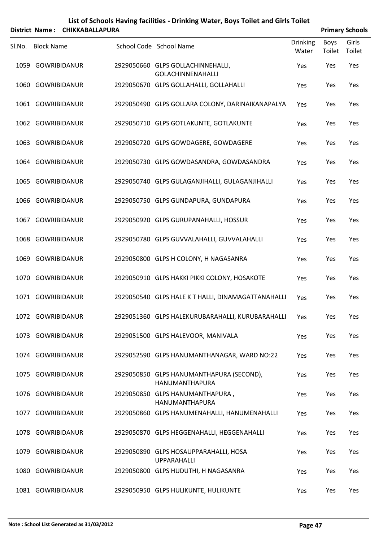|        |                     | District Name: CHIKKABALLAPURA |                                                               |                          |                       | <b>Primary Schools</b> |
|--------|---------------------|--------------------------------|---------------------------------------------------------------|--------------------------|-----------------------|------------------------|
| SI.No. | <b>Block Name</b>   |                                | School Code School Name                                       | <b>Drinking</b><br>Water | <b>Boys</b><br>Toilet | Girls<br>Toilet        |
|        | 1059 GOWRIBIDANUR   |                                | 2929050660 GLPS GOLLACHINNEHALLI,<br><b>GOLACHINNENAHALLI</b> | Yes                      | Yes                   | Yes                    |
|        | 1060 GOWRIBIDANUR   |                                | 2929050670 GLPS GOLLAHALLI, GOLLAHALLI                        | Yes                      | Yes                   | Yes                    |
|        | 1061 GOWRIBIDANUR   |                                | 2929050490 GLPS GOLLARA COLONY, DARINAIKANAPALYA              | Yes                      | Yes                   | Yes                    |
|        | 1062 GOWRIBIDANUR   |                                | 2929050710 GLPS GOTLAKUNTE, GOTLAKUNTE                        | Yes                      | Yes                   | Yes                    |
|        | 1063 GOWRIBIDANUR   |                                | 2929050720 GLPS GOWDAGERE, GOWDAGERE                          | Yes                      | Yes                   | Yes                    |
|        | 1064 GOWRIBIDANUR   |                                | 2929050730 GLPS GOWDASANDRA, GOWDASANDRA                      | Yes                      | Yes                   | Yes                    |
|        | 1065 GOWRIBIDANUR   |                                | 2929050740 GLPS GULAGANJIHALLI, GULAGANJIHALLI                | Yes                      | Yes                   | Yes                    |
|        | 1066 GOWRIBIDANUR   |                                | 2929050750 GLPS GUNDAPURA, GUNDAPURA                          | Yes                      | Yes                   | Yes                    |
| 1067   | GOWRIBIDANUR        |                                | 2929050920 GLPS GURUPANAHALLI, HOSSUR                         | Yes                      | Yes                   | Yes                    |
|        | 1068 GOWRIBIDANUR   |                                | 2929050780 GLPS GUVVALAHALLI, GUVVALAHALLI                    | Yes                      | Yes                   | Yes                    |
| 1069   | GOWRIBIDANUR        |                                | 2929050800 GLPS H COLONY, H NAGASANRA                         | Yes                      | Yes                   | Yes                    |
|        | 1070 GOWRIBIDANUR   |                                | 2929050910 GLPS HAKKI PIKKI COLONY, HOSAKOTE                  | Yes                      | Yes                   | Yes                    |
|        | 1071 GOWRIBIDANUR   |                                | 2929050540 GLPS HALE K T HALLI, DINAMAGATTANAHALLI            | Yes                      | Yes                   | Yes                    |
|        | 1072 GOWRIBIDANUR   |                                | 2929051360 GLPS HALEKURUBARAHALLI, KURUBARAHALLI Yes          |                          | Yes                   | Yes                    |
|        | 1073 GOWRIBIDANUR   |                                | 2929051500 GLPS HALEVOOR, MANIVALA                            | Yes                      | Yes                   | Yes                    |
|        | 1074 GOWRIBIDANUR   |                                | 2929052590 GLPS HANUMANTHANAGAR, WARD NO:22                   | Yes                      | Yes                   | Yes                    |
|        | 1075 GOWRIBIDANUR   |                                | 2929050850 GLPS HANUMANTHAPURA (SECOND),<br>HANUMANTHAPURA    | Yes                      | Yes                   | Yes                    |
|        | 1076 GOWRIBIDANUR   |                                | 2929050850 GLPS HANUMANTHAPURA,<br>HANUMANTHAPURA             | Yes                      | Yes                   | Yes                    |
| 1077   | <b>GOWRIBIDANUR</b> |                                | 2929050860 GLPS HANUMENAHALLI, HANUMENAHALLI                  | Yes                      | Yes                   | Yes                    |
|        | 1078 GOWRIBIDANUR   |                                | 2929050870 GLPS HEGGENAHALLI, HEGGENAHALLI                    | Yes                      | Yes                   | Yes                    |
| 1079   | GOWRIBIDANUR        |                                | 2929050890 GLPS HOSAUPPARAHALLI, HOSA<br><b>UPPARAHALLI</b>   | Yes                      | Yes                   | Yes                    |
|        | 1080 GOWRIBIDANUR   |                                | 2929050800 GLPS HUDUTHI, H NAGASANRA                          | Yes                      | Yes                   | Yes                    |
|        | 1081 GOWRIBIDANUR   |                                | 2929050950 GLPS HULIKUNTE, HULIKUNTE                          | Yes                      | Yes                   | Yes                    |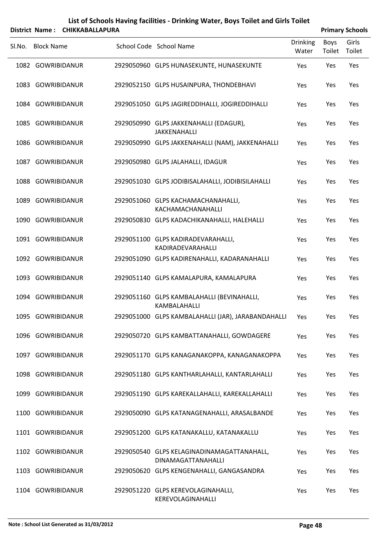|        |                     | District Name: CHIKKABALLAPURA |                                                                  |                          |                | <b>Primary Schools</b> |
|--------|---------------------|--------------------------------|------------------------------------------------------------------|--------------------------|----------------|------------------------|
| SI.No. | <b>Block Name</b>   |                                | School Code School Name                                          | <b>Drinking</b><br>Water | Boys<br>Toilet | Girls<br>Toilet        |
|        | 1082 GOWRIBIDANUR   |                                | 2929050960 GLPS HUNASEKUNTE, HUNASEKUNTE                         | Yes                      | Yes            | Yes                    |
| 1083   | GOWRIBIDANUR        |                                | 2929052150 GLPS HUSAINPURA, THONDEBHAVI                          | Yes                      | Yes            | Yes                    |
|        | 1084 GOWRIBIDANUR   |                                | 2929051050 GLPS JAGIREDDIHALLI, JOGIREDDIHALLI                   | Yes                      | Yes            | Yes                    |
|        | 1085 GOWRIBIDANUR   |                                | 2929050990 GLPS JAKKENAHALLI (EDAGUR),<br><b>JAKKENAHALLI</b>    | Yes                      | Yes            | Yes                    |
|        | 1086 GOWRIBIDANUR   |                                | 2929050990 GLPS JAKKENAHALLI (NAM), JAKKENAHALLI                 | Yes                      | Yes            | Yes                    |
| 1087   | GOWRIBIDANUR        |                                | 2929050980 GLPS JALAHALLI, IDAGUR                                | Yes                      | Yes            | Yes                    |
|        | 1088 GOWRIBIDANUR   |                                | 2929051030 GLPS JODIBISALAHALLI, JODIBISILAHALLI                 | Yes                      | Yes            | Yes                    |
| 1089   | <b>GOWRIBIDANUR</b> |                                | 2929051060 GLPS KACHAMACHANAHALLI,<br>KACHAMACHANAHALLI          | Yes                      | Yes            | Yes                    |
|        | 1090 GOWRIBIDANUR   |                                | 2929050830 GLPS KADACHIKANAHALLI, HALEHALLI                      | Yes                      | Yes            | Yes                    |
|        | 1091 GOWRIBIDANUR   |                                | 2929051100 GLPS KADIRADEVARAHALLI,<br>KADIRADEVARAHALLI          | Yes                      | Yes            | Yes                    |
|        | 1092 GOWRIBIDANUR   |                                | 2929051090 GLPS KADIRENAHALLI, KADARANAHALLI                     | Yes                      | Yes            | Yes                    |
|        | 1093 GOWRIBIDANUR   |                                | 2929051140 GLPS KAMALAPURA, KAMALAPURA                           | Yes                      | Yes            | Yes                    |
|        | 1094 GOWRIBIDANUR   |                                | 2929051160 GLPS KAMBALAHALLI (BEVINAHALLI,<br>KAMBALAHALLI       | Yes                      | Yes            | Yes                    |
|        | 1095 GOWRIBIDANUR   |                                | 2929051000 GLPS KAMBALAHALLI (JAR), JARABANDAHALLI Yes           |                          | Yes            | Yes                    |
|        | 1096 GOWRIBIDANUR   |                                | 2929050720 GLPS KAMBATTANAHALLI, GOWDAGERE                       | Yes                      | Yes            | Yes                    |
|        | 1097 GOWRIBIDANUR   |                                | 2929051170 GLPS KANAGANAKOPPA, KANAGANAKOPPA                     | Yes                      | Yes            | Yes                    |
|        | 1098 GOWRIBIDANUR   |                                | 2929051180 GLPS KANTHARLAHALLI, KANTARLAHALLI                    | Yes                      | Yes            | Yes                    |
| 1099   | <b>GOWRIBIDANUR</b> |                                | 2929051190 GLPS KAREKALLAHALLI, KAREKALLAHALLI                   | Yes                      | Yes            | Yes                    |
|        | 1100 GOWRIBIDANUR   |                                | 2929050090 GLPS KATANAGENAHALLI, ARASALBANDE                     | Yes                      | Yes            | Yes                    |
|        | 1101 GOWRIBIDANUR   |                                | 2929051200 GLPS KATANAKALLU, KATANAKALLU                         | Yes                      | Yes            | Yes                    |
|        | 1102 GOWRIBIDANUR   |                                | 2929050540 GLPS KELAGINADINAMAGATTANAHALL,<br>DINAMAGATTANAHALLI | Yes                      | Yes            | Yes                    |
|        | 1103 GOWRIBIDANUR   |                                | 2929050620 GLPS KENGENAHALLI, GANGASANDRA                        | Yes                      | Yes            | Yes                    |
|        | 1104 GOWRIBIDANUR   |                                | 2929051220 GLPS KEREVOLAGINAHALLI,<br>KEREVOLAGINAHALLI          | Yes                      | Yes            | Yes                    |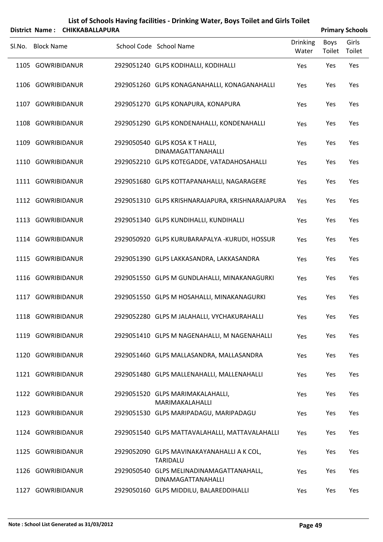|        |                   | District Name: CHIKKABALLAPURA |                                                                       |                          |                | <b>Primary Schools</b> |
|--------|-------------------|--------------------------------|-----------------------------------------------------------------------|--------------------------|----------------|------------------------|
| Sl.No. | <b>Block Name</b> |                                | School Code School Name                                               | <b>Drinking</b><br>Water | Boys<br>Toilet | Girls<br>Toilet        |
|        | 1105 GOWRIBIDANUR |                                | 2929051240 GLPS KODIHALLI, KODIHALLI                                  | Yes                      | Yes            | Yes                    |
|        | 1106 GOWRIBIDANUR |                                | 2929051260 GLPS KONAGANAHALLI, KONAGANAHALLI                          | Yes                      | Yes            | Yes                    |
|        | 1107 GOWRIBIDANUR |                                | 2929051270 GLPS KONAPURA, KONAPURA                                    | Yes                      | Yes            | Yes                    |
|        | 1108 GOWRIBIDANUR |                                | 2929051290 GLPS KONDENAHALLI, KONDENAHALLI                            | Yes                      | Yes            | Yes                    |
|        | 1109 GOWRIBIDANUR |                                | 2929050540 GLPS KOSA K T HALLI,<br>DINAMAGATTANAHALLI                 | Yes                      | Yes            | Yes                    |
|        | 1110 GOWRIBIDANUR |                                | 2929052210 GLPS KOTEGADDE, VATADAHOSAHALLI                            | Yes                      | Yes            | Yes                    |
|        | 1111 GOWRIBIDANUR |                                | 2929051680 GLPS KOTTAPANAHALLI, NAGARAGERE                            | Yes                      | Yes            | Yes                    |
|        | 1112 GOWRIBIDANUR |                                | 2929051310 GLPS KRISHNARAJAPURA, KRISHNARAJAPURA                      | Yes                      | Yes            | Yes                    |
|        | 1113 GOWRIBIDANUR |                                | 2929051340 GLPS KUNDIHALLI, KUNDIHALLI                                | Yes                      | Yes            | Yes                    |
|        | 1114 GOWRIBIDANUR |                                | 2929050920 GLPS KURUBARAPALYA -KURUDI, HOSSUR                         | Yes                      | Yes            | Yes                    |
|        | 1115 GOWRIBIDANUR |                                | 2929051390 GLPS LAKKASANDRA, LAKKASANDRA                              | Yes                      | Yes            | Yes                    |
|        | 1116 GOWRIBIDANUR |                                | 2929051550 GLPS M GUNDLAHALLI, MINAKANAGURKI                          | Yes                      | Yes            | Yes                    |
|        | 1117 GOWRIBIDANUR |                                | 2929051550 GLPS M HOSAHALLI, MINAKANAGURKI                            | Yes                      | Yes            | Yes                    |
|        | 1118 GOWRIBIDANUR |                                | 2929052280 GLPS M JALAHALLI, VYCHAKURAHALLI                           | Yes                      | Yes            | Yes                    |
|        | 1119 GOWRIBIDANUR |                                | 2929051410 GLPS M NAGENAHALLI, M NAGENAHALLI                          | Yes                      | Yes            | Yes                    |
|        | 1120 GOWRIBIDANUR |                                | 2929051460 GLPS MALLASANDRA, MALLASANDRA                              | Yes                      | Yes            | Yes                    |
|        | 1121 GOWRIBIDANUR |                                | 2929051480 GLPS MALLENAHALLI, MALLENAHALLI                            | Yes                      | Yes            | Yes                    |
|        | 1122 GOWRIBIDANUR |                                | 2929051520 GLPS MARIMAKALAHALLI,<br>MARIMAKALAHALLI                   | Yes                      | Yes            | Yes                    |
|        | 1123 GOWRIBIDANUR |                                | 2929051530 GLPS MARIPADAGU, MARIPADAGU                                | Yes                      | Yes            | Yes                    |
|        | 1124 GOWRIBIDANUR |                                | 2929051540 GLPS MATTAVALAHALLI, MATTAVALAHALLI                        | Yes                      | Yes            | Yes                    |
|        | 1125 GOWRIBIDANUR |                                | 2929052090 GLPS MAVINAKAYANAHALLI A K COL,<br><b>TARIDALU</b>         | Yes                      | Yes            | Yes                    |
|        | 1126 GOWRIBIDANUR |                                | 2929050540 GLPS MELINADINAMAGATTANAHALL,<br><b>DINAMAGATTANAHALLI</b> | Yes                      | Yes            | Yes                    |
|        | 1127 GOWRIBIDANUR |                                | 2929050160 GLPS MIDDILU, BALAREDDIHALLI                               | Yes                      | Yes            | Yes                    |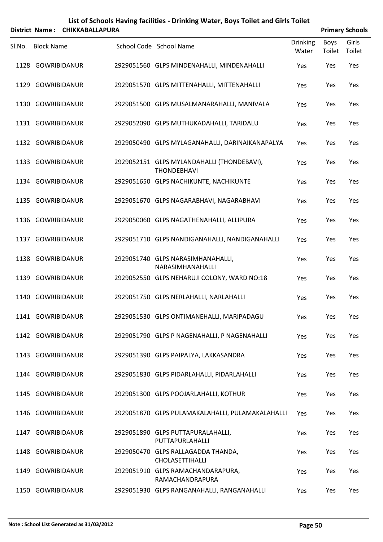|        |                   | District Name: CHIKKABALLAPURA |                                                                  |                          |                | <b>Primary Schools</b> |
|--------|-------------------|--------------------------------|------------------------------------------------------------------|--------------------------|----------------|------------------------|
| SI.No. | <b>Block Name</b> |                                | School Code School Name                                          | <b>Drinking</b><br>Water | Boys<br>Toilet | Girls<br>Toilet        |
|        | 1128 GOWRIBIDANUR |                                | 2929051560 GLPS MINDENAHALLI, MINDENAHALLI                       | Yes                      | Yes            | Yes                    |
|        | 1129 GOWRIBIDANUR |                                | 2929051570 GLPS MITTENAHALLI, MITTENAHALLI                       | Yes                      | Yes            | Yes                    |
|        | 1130 GOWRIBIDANUR |                                | 2929051500 GLPS MUSALMANARAHALLI, MANIVALA                       | Yes                      | Yes            | Yes                    |
|        | 1131 GOWRIBIDANUR |                                | 2929052090 GLPS MUTHUKADAHALLI, TARIDALU                         | Yes                      | Yes            | Yes                    |
|        | 1132 GOWRIBIDANUR |                                | 2929050490 GLPS MYLAGANAHALLI, DARINAIKANAPALYA                  | Yes                      | Yes            | Yes                    |
|        | 1133 GOWRIBIDANUR |                                | 2929052151 GLPS MYLANDAHALLI (THONDEBAVI),<br><b>THONDEBHAVI</b> | Yes                      | Yes            | Yes                    |
|        | 1134 GOWRIBIDANUR |                                | 2929051650 GLPS NACHIKUNTE, NACHIKUNTE                           | Yes                      | Yes            | Yes                    |
|        | 1135 GOWRIBIDANUR |                                | 2929051670 GLPS NAGARABHAVI, NAGARABHAVI                         | Yes                      | Yes            | Yes                    |
|        | 1136 GOWRIBIDANUR |                                | 2929050060 GLPS NAGATHENAHALLI, ALLIPURA                         | Yes                      | Yes            | Yes                    |
|        | 1137 GOWRIBIDANUR |                                | 2929051710 GLPS NANDIGANAHALLI, NANDIGANAHALLI                   | Yes                      | Yes            | Yes                    |
|        | 1138 GOWRIBIDANUR |                                | 2929051740 GLPS NARASIMHANAHALLI,<br>NARASIMHANAHALLI            | Yes                      | Yes            | Yes                    |
|        | 1139 GOWRIBIDANUR |                                | 2929052550 GLPS NEHARUJI COLONY, WARD NO:18                      | Yes                      | Yes            | Yes                    |
|        | 1140 GOWRIBIDANUR |                                | 2929051750 GLPS NERLAHALLI, NARLAHALLI                           | Yes                      | Yes            | Yes                    |
|        | 1141 GOWRIBIDANUR |                                | 2929051530 GLPS ONTIMANEHALLI, MARIPADAGU                        | Yes                      | Yes            | Yes                    |
|        | 1142 GOWRIBIDANUR |                                | 2929051790 GLPS P NAGENAHALLI, P NAGENAHALLI                     | Yes                      | Yes            | Yes                    |
|        | 1143 GOWRIBIDANUR |                                | 2929051390 GLPS PAIPALYA, LAKKASANDRA                            | Yes                      | Yes            | Yes                    |
|        | 1144 GOWRIBIDANUR |                                | 2929051830 GLPS PIDARLAHALLI, PIDARLAHALLI                       | Yes                      | Yes            | Yes                    |
|        | 1145 GOWRIBIDANUR |                                | 2929051300 GLPS POOJARLAHALLI, KOTHUR                            | Yes                      | Yes            | Yes                    |
|        | 1146 GOWRIBIDANUR |                                | 2929051870 GLPS PULAMAKALAHALLI, PULAMAKALAHALLI                 | Yes                      | Yes            | Yes                    |
|        | 1147 GOWRIBIDANUR |                                | 2929051890 GLPS PUTTAPURALAHALLI,<br>PUTTAPURLAHALLI             | Yes                      | Yes            | Yes                    |
|        | 1148 GOWRIBIDANUR |                                | 2929050470 GLPS RALLAGADDA THANDA,<br>CHOLASETTIHALLI            | Yes                      | Yes            | Yes                    |
|        | 1149 GOWRIBIDANUR |                                | 2929051910 GLPS RAMACHANDARAPURA,<br>RAMACHANDRAPURA             | Yes                      | Yes            | Yes                    |
|        | 1150 GOWRIBIDANUR |                                | 2929051930 GLPS RANGANAHALLI, RANGANAHALLI                       | Yes                      | Yes            | Yes                    |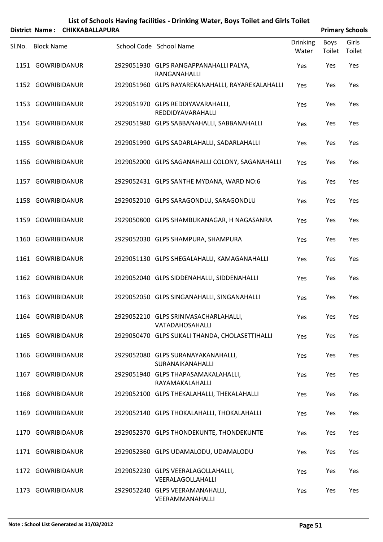|        |                   | District Name: CHIKKABALLAPURA |                                                          |                          |                | <b>Primary Schools</b> |
|--------|-------------------|--------------------------------|----------------------------------------------------------|--------------------------|----------------|------------------------|
| SI.No. | <b>Block Name</b> |                                | School Code School Name                                  | <b>Drinking</b><br>Water | Boys<br>Toilet | Girls<br>Toilet        |
|        | 1151 GOWRIBIDANUR |                                | 2929051930 GLPS RANGAPPANAHALLI PALYA,<br>RANGANAHALLI   | Yes                      | Yes            | Yes                    |
|        | 1152 GOWRIBIDANUR |                                | 2929051960 GLPS RAYAREKANAHALLI, RAYAREKALAHALLI         | Yes                      | Yes            | Yes                    |
|        | 1153 GOWRIBIDANUR |                                | 2929051970 GLPS REDDIYAVARAHALLI,<br>REDDIDYAVARAHALLI   | Yes                      | Yes            | Yes                    |
|        | 1154 GOWRIBIDANUR |                                | 2929051980 GLPS SABBANAHALLI, SABBANAHALLI               | Yes                      | Yes            | Yes                    |
|        | 1155 GOWRIBIDANUR |                                | 2929051990 GLPS SADARLAHALLI, SADARLAHALLI               | Yes                      | Yes            | Yes                    |
|        | 1156 GOWRIBIDANUR |                                | 2929052000 GLPS SAGANAHALLI COLONY, SAGANAHALLI          | Yes                      | Yes            | Yes                    |
|        | 1157 GOWRIBIDANUR |                                | 2929052431 GLPS SANTHE MYDANA, WARD NO:6                 | Yes                      | Yes            | Yes                    |
|        | 1158 GOWRIBIDANUR |                                | 2929052010 GLPS SARAGONDLU, SARAGONDLU                   | Yes                      | Yes            | Yes                    |
|        | 1159 GOWRIBIDANUR |                                | 2929050800 GLPS SHAMBUKANAGAR, H NAGASANRA               | Yes                      | Yes            | Yes                    |
|        | 1160 GOWRIBIDANUR |                                | 2929052030 GLPS SHAMPURA, SHAMPURA                       | Yes                      | Yes            | Yes                    |
|        | 1161 GOWRIBIDANUR |                                | 2929051130 GLPS SHEGALAHALLI, KAMAGANAHALLI              | Yes                      | Yes            | Yes                    |
|        | 1162 GOWRIBIDANUR |                                | 2929052040 GLPS SIDDENAHALLI, SIDDENAHALLI               | Yes                      | Yes            | Yes                    |
|        | 1163 GOWRIBIDANUR |                                | 2929052050 GLPS SINGANAHALLI, SINGANAHALLI               | Yes                      | Yes            | Yes                    |
|        | 1164 GOWRIBIDANUR |                                | 2929052210 GLPS SRINIVASACHARLAHALLI,<br>VATADAHOSAHALLI | Yes                      | Yes            | Yes                    |
|        | 1165 GOWRIBIDANUR |                                | 2929050470 GLPS SUKALI THANDA, CHOLASETTIHALLI           | Yes                      | Yes            | Yes                    |
|        | 1166 GOWRIBIDANUR |                                | 2929052080 GLPS SURANAYAKANAHALLI,<br>SURANAIKANAHALLI   | Yes                      | Yes            | Yes                    |
|        | 1167 GOWRIBIDANUR |                                | 2929051940 GLPS THAPASAMAKALAHALLI,<br>RAYAMAKALAHALLI   | Yes                      | Yes            | Yes                    |
|        | 1168 GOWRIBIDANUR |                                | 2929052100 GLPS THEKALAHALLI, THEKALAHALLI               | Yes                      | Yes            | Yes                    |
|        | 1169 GOWRIBIDANUR |                                | 2929052140 GLPS THOKALAHALLI, THOKALAHALLI               | Yes                      | Yes            | Yes                    |
|        | 1170 GOWRIBIDANUR |                                | 2929052370 GLPS THONDEKUNTE, THONDEKUNTE                 | Yes                      | Yes            | Yes                    |
|        | 1171 GOWRIBIDANUR |                                | 2929052360 GLPS UDAMALODU, UDAMALODU                     | Yes                      | Yes            | Yes                    |
|        | 1172 GOWRIBIDANUR |                                | 2929052230 GLPS VEERALAGOLLAHALLI,<br>VEERALAGOLLAHALLI  | Yes                      | Yes            | Yes                    |
|        | 1173 GOWRIBIDANUR |                                | 2929052240 GLPS VEERAMANAHALLI,<br>VEERAMMANAHALLI       | Yes                      | Yes            | Yes                    |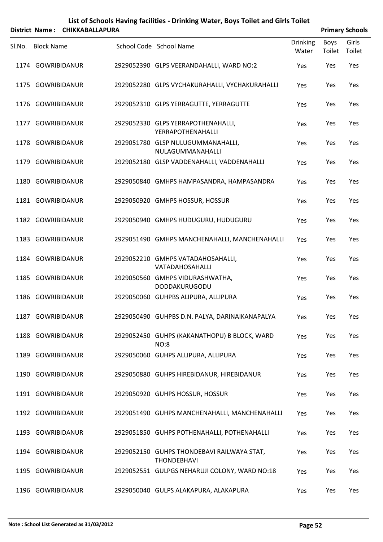|        |                   | District Name: CHIKKABALLAPURA |                                                                  |                          |                | <b>Primary Schools</b> |
|--------|-------------------|--------------------------------|------------------------------------------------------------------|--------------------------|----------------|------------------------|
| Sl.No. | <b>Block Name</b> |                                | School Code School Name                                          | <b>Drinking</b><br>Water | Boys<br>Toilet | Girls<br>Toilet        |
|        | 1174 GOWRIBIDANUR |                                | 2929052390 GLPS VEERANDAHALLI, WARD NO:2                         | Yes                      | Yes            | Yes                    |
|        | 1175 GOWRIBIDANUR |                                | 2929052280 GLPS VYCHAKURAHALLI, VYCHAKURAHALLI                   | Yes                      | Yes            | Yes                    |
|        | 1176 GOWRIBIDANUR |                                | 2929052310 GLPS YERRAGUTTE, YERRAGUTTE                           | Yes                      | Yes            | Yes                    |
|        | 1177 GOWRIBIDANUR |                                | 2929052330 GLPS YERRAPOTHENAHALLI,<br>YERRAPOTHENAHALLI          | Yes                      | Yes            | Yes                    |
|        | 1178 GOWRIBIDANUR |                                | 2929051780 GLSP NULUGUMMANAHALLI,<br>NULAGUMMANAHALLI            | Yes                      | Yes            | Yes                    |
|        | 1179 GOWRIBIDANUR |                                | 2929052180 GLSP VADDENAHALLI, VADDENAHALLI                       | Yes                      | Yes            | Yes                    |
|        | 1180 GOWRIBIDANUR |                                | 2929050840 GMHPS HAMPASANDRA, HAMPASANDRA                        | Yes                      | Yes            | Yes                    |
|        | 1181 GOWRIBIDANUR |                                | 2929050920 GMHPS HOSSUR, HOSSUR                                  | Yes                      | Yes            | Yes                    |
|        | 1182 GOWRIBIDANUR |                                | 2929050940 GMHPS HUDUGURU, HUDUGURU                              | Yes                      | Yes            | Yes                    |
|        | 1183 GOWRIBIDANUR |                                | 2929051490 GMHPS MANCHENAHALLI, MANCHENAHALLI                    | Yes                      | Yes            | Yes                    |
|        | 1184 GOWRIBIDANUR |                                | 2929052210 GMHPS VATADAHOSAHALLI,<br>VATADAHOSAHALLI             | Yes                      | Yes            | Yes                    |
|        | 1185 GOWRIBIDANUR |                                | 2929050560 GMHPS VIDURASHWATHA,<br>DODDAKURUGODU                 | Yes                      | Yes            | Yes                    |
|        | 1186 GOWRIBIDANUR |                                | 2929050060 GUHPBS ALIPURA, ALLIPURA                              | Yes                      | Yes            | Yes                    |
|        | 1187 GOWRIBIDANUR |                                | 2929050490 GUHPBS D.N. PALYA, DARINAIKANAPALYA                   | Yes                      | Yes            | Yes                    |
|        | 1188 GOWRIBIDANUR |                                | 2929052450 GUHPS (KAKANATHOPU) B BLOCK, WARD<br><b>NO:8</b>      | Yes                      | Yes            | Yes                    |
|        | 1189 GOWRIBIDANUR |                                | 2929050060 GUHPS ALLIPURA, ALLIPURA                              | Yes                      | Yes            | Yes                    |
|        | 1190 GOWRIBIDANUR |                                | 2929050880 GUHPS HIREBIDANUR, HIREBIDANUR                        | Yes                      | Yes            | Yes                    |
|        | 1191 GOWRIBIDANUR |                                | 2929050920 GUHPS HOSSUR, HOSSUR                                  | Yes                      | Yes            | Yes                    |
|        | 1192 GOWRIBIDANUR |                                | 2929051490 GUHPS MANCHENAHALLI, MANCHENAHALLI                    | Yes                      | Yes            | Yes                    |
|        | 1193 GOWRIBIDANUR |                                | 2929051850 GUHPS POTHENAHALLI, POTHENAHALLI                      | Yes                      | Yes            | Yes                    |
|        | 1194 GOWRIBIDANUR |                                | 2929052150 GUHPS THONDEBAVI RAILWAYA STAT,<br><b>THONDEBHAVI</b> | Yes                      | Yes            | Yes                    |
|        | 1195 GOWRIBIDANUR |                                | 2929052551 GULPGS NEHARUJI COLONY, WARD NO:18                    | Yes                      | Yes            | Yes                    |
|        | 1196 GOWRIBIDANUR |                                | 2929050040 GULPS ALAKAPURA, ALAKAPURA                            | Yes                      | Yes            | Yes                    |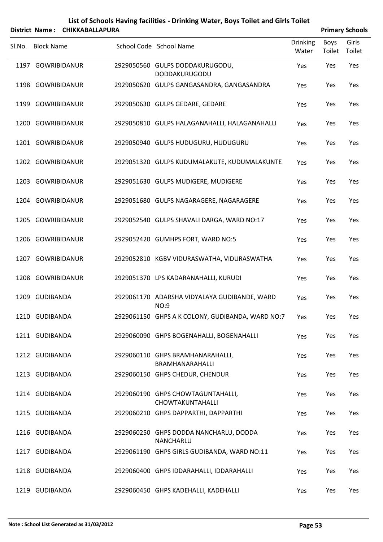|        |                   | District Name: CHIKKABALLAPURA |                                                             |                          |                | <b>Primary Schools</b> |
|--------|-------------------|--------------------------------|-------------------------------------------------------------|--------------------------|----------------|------------------------|
| SI.No. | <b>Block Name</b> |                                | School Code School Name                                     | <b>Drinking</b><br>Water | Boys<br>Toilet | Girls<br>Toilet        |
|        | 1197 GOWRIBIDANUR |                                | 2929050560 GULPS DODDAKURUGODU,<br>DODDAKURUGODU            | Yes                      | Yes            | Yes                    |
|        | 1198 GOWRIBIDANUR |                                | 2929050620 GULPS GANGASANDRA, GANGASANDRA                   | Yes                      | Yes            | Yes                    |
|        | 1199 GOWRIBIDANUR |                                | 2929050630 GULPS GEDARE, GEDARE                             | Yes                      | Yes            | Yes                    |
|        | 1200 GOWRIBIDANUR |                                | 2929050810 GULPS HALAGANAHALLI, HALAGANAHALLI               | Yes                      | Yes            | Yes                    |
|        | 1201 GOWRIBIDANUR |                                | 2929050940 GULPS HUDUGURU, HUDUGURU                         | Yes                      | Yes            | Yes                    |
|        | 1202 GOWRIBIDANUR |                                | 2929051320 GULPS KUDUMALAKUTE, KUDUMALAKUNTE                | Yes                      | Yes            | Yes                    |
|        | 1203 GOWRIBIDANUR |                                | 2929051630 GULPS MUDIGERE, MUDIGERE                         | Yes                      | Yes            | Yes                    |
|        | 1204 GOWRIBIDANUR |                                | 2929051680 GULPS NAGARAGERE, NAGARAGERE                     | Yes                      | Yes            | Yes                    |
|        | 1205 GOWRIBIDANUR |                                | 2929052540 GULPS SHAVALI DARGA, WARD NO:17                  | Yes                      | Yes            | Yes                    |
|        | 1206 GOWRIBIDANUR |                                | 2929052420 GUMHPS FORT, WARD NO:5                           | Yes                      | Yes            | Yes                    |
|        | 1207 GOWRIBIDANUR |                                | 2929052810 KGBV VIDURASWATHA, VIDURASWATHA                  | Yes                      | Yes            | Yes                    |
|        | 1208 GOWRIBIDANUR |                                | 2929051370 LPS KADARANAHALLI, KURUDI                        | Yes                      | Yes            | Yes                    |
|        | 1209 GUDIBANDA    |                                | 2929061170 ADARSHA VIDYALAYA GUDIBANDE, WARD<br><b>NO:9</b> | Yes                      | Yes            | Yes                    |
|        | 1210 GUDIBANDA    |                                | 2929061150 GHPS A K COLONY, GUDIBANDA, WARD NO:7            | Yes                      | Yes            | Yes                    |
|        | 1211 GUDIBANDA    |                                | 2929060090 GHPS BOGENAHALLI, BOGENAHALLI                    | Yes                      | Yes            | Yes                    |
|        | 1212 GUDIBANDA    |                                | 2929060110 GHPS BRAMHANARAHALLI,<br>BRAMHANARAHALLI         | Yes                      | Yes            | Yes                    |
|        | 1213 GUDIBANDA    |                                | 2929060150 GHPS CHEDUR, CHENDUR                             | Yes                      | Yes            | Yes                    |
|        | 1214 GUDIBANDA    |                                | 2929060190 GHPS CHOWTAGUNTAHALLI,<br>CHOWTAKUNTAHALLI       | Yes                      | Yes            | Yes                    |
|        | 1215 GUDIBANDA    |                                | 2929060210 GHPS DAPPARTHI, DAPPARTHI                        | Yes                      | Yes            | Yes                    |
|        | 1216 GUDIBANDA    |                                | 2929060250 GHPS DODDA NANCHARLU, DODDA<br><b>NANCHARLU</b>  | Yes                      | Yes            | Yes                    |
|        | 1217 GUDIBANDA    |                                | 2929061190 GHPS GIRLS GUDIBANDA, WARD NO:11                 | Yes                      | Yes            | Yes                    |
|        | 1218 GUDIBANDA    |                                | 2929060400 GHPS IDDARAHALLI, IDDARAHALLI                    | Yes                      | Yes            | Yes                    |
|        | 1219 GUDIBANDA    |                                | 2929060450 GHPS KADEHALLI, KADEHALLI                        | Yes                      | Yes            | Yes                    |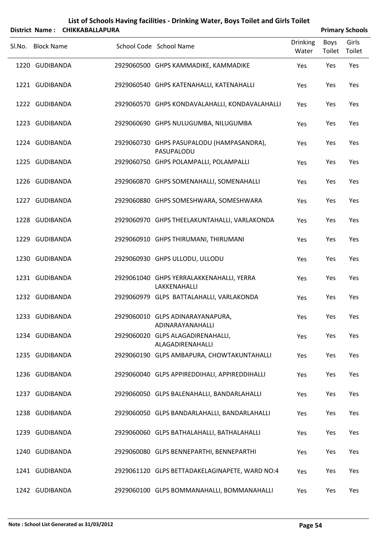|        |                   | District Name: CHIKKABALLAPURA |                                                          |                          | <b>Primary Schools</b> |                 |
|--------|-------------------|--------------------------------|----------------------------------------------------------|--------------------------|------------------------|-----------------|
| Sl.No. | <b>Block Name</b> |                                | School Code School Name                                  | <b>Drinking</b><br>Water | Boys<br>Toilet         | Girls<br>Toilet |
|        | 1220 GUDIBANDA    |                                | 2929060500 GHPS KAMMADIKE, KAMMADIKE                     | Yes                      | Yes                    | Yes             |
|        | 1221 GUDIBANDA    |                                | 2929060540 GHPS KATENAHALLI, KATENAHALLI                 | Yes                      | Yes                    | Yes             |
|        | 1222 GUDIBANDA    |                                | 2929060570 GHPS KONDAVALAHALLI, KONDAVALAHALLI           | Yes                      | Yes                    | Yes             |
|        | 1223 GUDIBANDA    |                                | 2929060690 GHPS NULUGUMBA, NILUGUMBA                     | Yes                      | Yes                    | Yes             |
|        | 1224 GUDIBANDA    |                                | 2929060730 GHPS PASUPALODU (HAMPASANDRA),<br>PASUPALODU  | Yes                      | Yes                    | Yes             |
|        | 1225 GUDIBANDA    |                                | 2929060750 GHPS POLAMPALLI, POLAMPALLI                   | Yes                      | Yes                    | Yes             |
|        | 1226 GUDIBANDA    |                                | 2929060870 GHPS SOMENAHALLI, SOMENAHALLI                 | Yes                      | Yes                    | Yes             |
|        | 1227 GUDIBANDA    |                                | 2929060880 GHPS SOMESHWARA, SOMESHWARA                   | Yes                      | Yes                    | Yes             |
|        | 1228 GUDIBANDA    |                                | 2929060970 GHPS THEELAKUNTAHALLI, VARLAKONDA             | Yes                      | Yes                    | Yes             |
|        | 1229 GUDIBANDA    |                                | 2929060910 GHPS THIRUMANI, THIRUMANI                     | Yes                      | Yes                    | Yes             |
|        | 1230 GUDIBANDA    |                                | 2929060930 GHPS ULLODU, ULLODU                           | Yes                      | Yes                    | Yes             |
|        | 1231 GUDIBANDA    |                                | 2929061040 GHPS YERRALAKKENAHALLI, YERRA<br>LAKKENAHALLI | Yes                      | Yes                    | Yes             |
|        | 1232 GUDIBANDA    |                                | 2929060979 GLPS BATTALAHALLI, VARLAKONDA                 | Yes                      | Yes                    | Yes             |
|        | 1233 GUDIBANDA    |                                | 2929060010 GLPS ADINARAYANAPURA,<br>ADINARAYANAHALLI     | Yes                      | Yes                    | Yes             |
|        | 1234 GUDIBANDA    |                                | 2929060020 GLPS ALAGADIRENAHALLI,<br>ALAGADIRENAHALLI    | Yes                      | Yes                    | Yes             |
|        | 1235 GUDIBANDA    |                                | 2929060190 GLPS AMBAPURA, CHOWTAKUNTAHALLI               | Yes                      | Yes                    | Yes             |
|        | 1236 GUDIBANDA    |                                | 2929060040 GLPS APPIREDDIHALI, APPIREDDIHALLI            | Yes                      | Yes                    | Yes             |
|        | 1237 GUDIBANDA    |                                | 2929060050 GLPS BALENAHALLI, BANDARLAHALLI               | Yes                      | Yes                    | Yes             |
|        | 1238 GUDIBANDA    |                                | 2929060050 GLPS BANDARLAHALLI, BANDARLAHALLI             | Yes                      | Yes                    | Yes             |
|        | 1239 GUDIBANDA    |                                | 2929060060 GLPS BATHALAHALLI, BATHALAHALLI               | Yes                      | Yes                    | Yes             |
|        | 1240 GUDIBANDA    |                                | 2929060080 GLPS BENNEPARTHI, BENNEPARTHI                 | Yes                      | Yes                    | Yes             |
|        | 1241 GUDIBANDA    |                                | 2929061120 GLPS BETTADAKELAGINAPETE, WARD NO:4           | Yes                      | Yes                    | Yes             |

1242 GUDIBANDA 2929060100 GLPS BOMMANAHALLI, BOMMANAHALLI Yes Yes Yes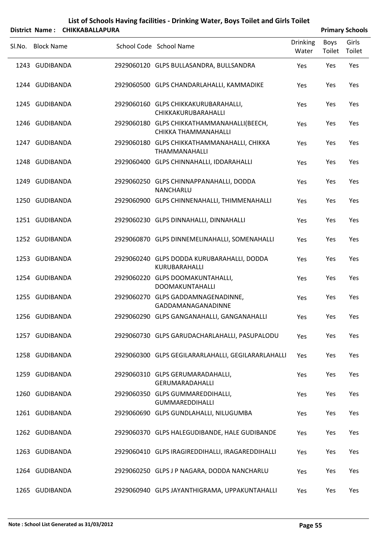|        |                   | District Name: CHIKKABALLAPURA |                                                                    |                          |                | <b>Primary Schools</b> |
|--------|-------------------|--------------------------------|--------------------------------------------------------------------|--------------------------|----------------|------------------------|
| SI.No. | <b>Block Name</b> |                                | School Code School Name                                            | <b>Drinking</b><br>Water | Boys<br>Toilet | Girls<br>Toilet        |
|        | 1243 GUDIBANDA    |                                | 2929060120 GLPS BULLASANDRA, BULLSANDRA                            | Yes                      | Yes            | Yes                    |
|        | 1244 GUDIBANDA    |                                | 2929060500 GLPS CHANDARLAHALLI, KAMMADIKE                          | Yes                      | Yes            | Yes                    |
|        | 1245 GUDIBANDA    |                                | 2929060160 GLPS CHIKKAKURUBARAHALLI,<br>CHIKKAKURUBARAHALLI        | Yes                      | Yes            | Yes                    |
|        | 1246 GUDIBANDA    |                                | 2929060180 GLPS CHIKKATHAMMANAHALLI(BEECH,<br>CHIKKA THAMMANAHALLI | Yes                      | Yes            | Yes                    |
|        | 1247 GUDIBANDA    |                                | 2929060180 GLPS CHIKKATHAMMANAHALLI, CHIKKA<br>THAMMANAHALLI       | Yes                      | Yes            | Yes                    |
|        | 1248 GUDIBANDA    |                                | 2929060400 GLPS CHINNAHALLI, IDDARAHALLI                           | Yes                      | Yes            | Yes                    |
|        | 1249 GUDIBANDA    |                                | 2929060250 GLPS CHINNAPPANAHALLI, DODDA<br><b>NANCHARLU</b>        | Yes                      | Yes            | Yes                    |
|        | 1250 GUDIBANDA    |                                | 2929060900 GLPS CHINNENAHALLI, THIMMENAHALLI                       | Yes                      | Yes            | Yes                    |
|        | 1251 GUDIBANDA    |                                | 2929060230 GLPS DINNAHALLI, DINNAHALLI                             | Yes                      | Yes            | Yes                    |
|        | 1252 GUDIBANDA    |                                | 2929060870 GLPS DINNEMELINAHALLI, SOMENAHALLI                      | Yes                      | Yes            | Yes                    |
|        | 1253 GUDIBANDA    |                                | 2929060240 GLPS DODDA KURUBARAHALLI, DODDA<br>KURUBARAHALLI        | Yes                      | Yes            | Yes                    |
|        | 1254 GUDIBANDA    |                                | 2929060220 GLPS DOOMAKUNTAHALLI,<br><b>DOOMAKUNTAHALLI</b>         | Yes                      | Yes            | Yes                    |
|        | 1255 GUDIBANDA    |                                | 2929060270 GLPS GADDAMNAGENADINNE,<br>GADDAMANAGANADINNE           | Yes                      | Yes            | Yes                    |
|        | 1256 GUDIBANDA    |                                | 2929060290 GLPS GANGANAHALLI, GANGANAHALLI                         | Yes                      | Yes            | Yes                    |
|        | 1257 GUDIBANDA    |                                | 2929060730 GLPS GARUDACHARLAHALLI, PASUPALODU                      | Yes                      | Yes            | Yes                    |
|        | 1258 GUDIBANDA    |                                | 2929060300 GLPS GEGILARARLAHALLI, GEGILARARLAHALLI                 | Yes                      | Yes            | Yes                    |
|        | 1259 GUDIBANDA    |                                | 2929060310 GLPS GERUMARADAHALLI,<br>GERUMARADAHALLI                | Yes                      | Yes            | Yes                    |
|        | 1260 GUDIBANDA    |                                | 2929060350 GLPS GUMMAREDDIHALLI,<br><b>GUMMAREDDIHALLI</b>         | Yes                      | Yes            | Yes                    |
|        | 1261 GUDIBANDA    |                                | 2929060690 GLPS GUNDLAHALLI, NILUGUMBA                             | Yes                      | Yes            | Yes                    |
|        | 1262 GUDIBANDA    |                                | 2929060370 GLPS HALEGUDIBANDE, HALE GUDIBANDE                      | Yes                      | Yes            | Yes                    |
|        | 1263 GUDIBANDA    |                                | 2929060410 GLPS IRAGIREDDIHALLI, IRAGAREDDIHALLI                   | Yes                      | Yes            | Yes                    |
|        | 1264 GUDIBANDA    |                                | 2929060250 GLPS J P NAGARA, DODDA NANCHARLU                        | Yes                      | Yes            | Yes                    |
|        | 1265 GUDIBANDA    |                                | 2929060940 GLPS JAYANTHIGRAMA, UPPAKUNTAHALLI                      | Yes                      | Yes            | Yes                    |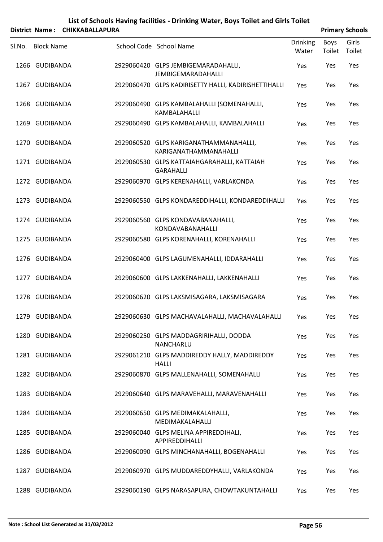|        |                   | District Name: CHIKKABALLAPURA |                                                                  |                   |                | <b>Primary Schools</b> |
|--------|-------------------|--------------------------------|------------------------------------------------------------------|-------------------|----------------|------------------------|
| Sl.No. | <b>Block Name</b> |                                | School Code School Name                                          | Drinking<br>Water | Boys<br>Toilet | Girls<br>Toilet        |
|        | 1266 GUDIBANDA    |                                | 2929060420 GLPS JEMBIGEMARADAHALLI,<br><b>JEMBIGEMARADAHALLI</b> | Yes               | Yes            | Yes                    |
|        | 1267 GUDIBANDA    |                                | 2929060470 GLPS KADIRISETTY HALLI, KADIRISHETTIHALLI             | Yes               | Yes            | Yes                    |
|        | 1268 GUDIBANDA    |                                | 2929060490 GLPS KAMBALAHALLI (SOMENAHALLI,<br>KAMBALAHALLI       | Yes               | Yes            | Yes                    |
|        | 1269 GUDIBANDA    |                                | 2929060490 GLPS KAMBALAHALLI, KAMBALAHALLI                       | Yes               | Yes            | Yes                    |
|        | 1270 GUDIBANDA    |                                | 2929060520 GLPS KARIGANATHAMMANAHALLI,<br>KARIGANATHAMMANAHALLI  | Yes               | Yes            | Yes                    |
|        | 1271 GUDIBANDA    |                                | 2929060530 GLPS KATTAIAHGARAHALLI, KATTAIAH<br><b>GARAHALLI</b>  | Yes               | Yes            | Yes                    |
|        | 1272 GUDIBANDA    |                                | 2929060970 GLPS KERENAHALLI, VARLAKONDA                          | Yes               | Yes            | Yes                    |
|        | 1273 GUDIBANDA    |                                | 2929060550 GLPS KONDAREDDIHALLI, KONDAREDDIHALLI                 | Yes               | Yes            | Yes                    |
|        | 1274 GUDIBANDA    |                                | 2929060560 GLPS KONDAVABANAHALLI,<br>KONDAVABANAHALLI            | Yes               | Yes            | Yes                    |
|        | 1275 GUDIBANDA    |                                | 2929060580 GLPS KORENAHALLI, KORENAHALLI                         | Yes               | Yes            | Yes                    |
|        | 1276 GUDIBANDA    |                                | 2929060400 GLPS LAGUMENAHALLI, IDDARAHALLI                       | Yes               | Yes            | Yes                    |
|        | 1277 GUDIBANDA    |                                | 2929060600 GLPS LAKKENAHALLI, LAKKENAHALLI                       | Yes               | Yes            | Yes                    |
|        | 1278 GUDIBANDA    |                                | 2929060620 GLPS LAKSMISAGARA, LAKSMISAGARA                       | Yes               | Yes            | Yes                    |
|        | 1279 GUDIBANDA    |                                | 2929060630 GLPS MACHAVALAHALLI, MACHAVALAHALLI                   | Yes               | Yes            | Yes                    |
|        | 1280 GUDIBANDA    |                                | 2929060250 GLPS MADDAGRIRIHALLI, DODDA<br>NANCHARLU              | Yes               | Yes            | Yes                    |
|        | 1281 GUDIBANDA    |                                | 2929061210 GLPS MADDIREDDY HALLY, MADDIREDDY<br><b>HALLI</b>     | Yes               | Yes            | Yes                    |
|        | 1282 GUDIBANDA    |                                | 2929060870 GLPS MALLENAHALLI, SOMENAHALLI                        | Yes               | Yes            | Yes                    |
|        | 1283 GUDIBANDA    |                                | 2929060640 GLPS MARAVEHALLI, MARAVENAHALLI                       | Yes               | Yes            | Yes                    |
|        | 1284 GUDIBANDA    |                                | 2929060650 GLPS MEDIMAKALAHALLI,<br>MEDIMAKALAHALLI              | Yes               | Yes            | Yes                    |
|        | 1285 GUDIBANDA    |                                | 2929060040 GLPS MELINA APPIREDDIHALI,<br>APPIREDDIHALLI          | Yes               | Yes            | Yes                    |
|        | 1286 GUDIBANDA    |                                | 2929060090 GLPS MINCHANAHALLI, BOGENAHALLI                       | Yes               | Yes            | Yes                    |
|        | 1287 GUDIBANDA    |                                | 2929060970 GLPS MUDDAREDDYHALLI, VARLAKONDA                      | Yes               | Yes            | Yes                    |
|        | 1288 GUDIBANDA    |                                | 2929060190 GLPS NARASAPURA, CHOWTAKUNTAHALLI                     | Yes               | Yes            | Yes                    |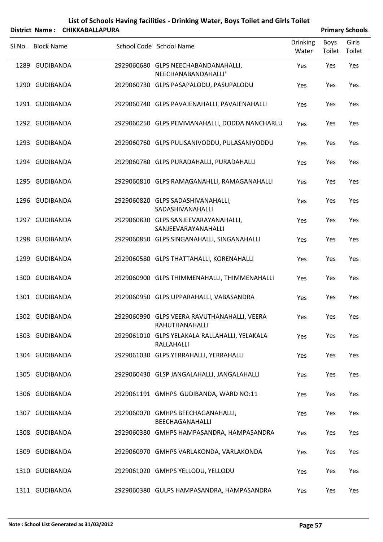|        |                   | District Name: CHIKKABALLAPURA |                                                                      |                          |                | <b>Primary Schools</b> |
|--------|-------------------|--------------------------------|----------------------------------------------------------------------|--------------------------|----------------|------------------------|
| SI.No. | <b>Block Name</b> |                                | School Code School Name                                              | <b>Drinking</b><br>Water | Boys<br>Toilet | Girls<br>Toilet        |
|        | 1289 GUDIBANDA    |                                | 2929060680 GLPS NEECHABANDANAHALLI,<br>NEECHANABANDAHALLI'           | Yes                      | Yes            | Yes                    |
|        | 1290 GUDIBANDA    |                                | 2929060730 GLPS PASAPALODU, PASUPALODU                               | Yes                      | Yes            | Yes                    |
|        | 1291 GUDIBANDA    |                                | 2929060740 GLPS PAVAJENAHALLI, PAVAJENAHALLI                         | Yes                      | Yes            | Yes                    |
|        | 1292 GUDIBANDA    |                                | 2929060250 GLPS PEMMANAHALLI, DODDA NANCHARLU                        | Yes                      | Yes            | Yes                    |
|        | 1293 GUDIBANDA    |                                | 2929060760 GLPS PULISANIVODDU, PULASANIVODDU                         | Yes                      | Yes            | Yes                    |
|        | 1294 GUDIBANDA    |                                | 2929060780 GLPS PURADAHALLI, PURADAHALLI                             | Yes                      | Yes            | Yes                    |
|        | 1295 GUDIBANDA    |                                | 2929060810 GLPS RAMAGANAHLLI, RAMAGANAHALLI                          | Yes                      | Yes            | Yes                    |
|        | 1296 GUDIBANDA    |                                | 2929060820 GLPS SADASHIVANAHALLI,<br>SADASHIVANAHALLI                | Yes                      | Yes            | Yes                    |
|        | 1297 GUDIBANDA    |                                | 2929060830 GLPS SANJEEVARAYANAHALLI,<br>SANJEEVARAYANAHALLI          | Yes                      | Yes            | Yes                    |
|        | 1298 GUDIBANDA    |                                | 2929060850 GLPS SINGANAHALLI, SINGANAHALLI                           | Yes                      | Yes            | Yes                    |
|        | 1299 GUDIBANDA    |                                | 2929060580 GLPS THATTAHALLI, KORENAHALLI                             | Yes                      | Yes            | Yes                    |
|        | 1300 GUDIBANDA    |                                | 2929060900 GLPS THIMMENAHALLI, THIMMENAHALLI                         | Yes                      | Yes            | Yes                    |
|        | 1301 GUDIBANDA    |                                | 2929060950 GLPS UPPARAHALLI, VABASANDRA                              | Yes                      | Yes            | Yes                    |
|        | 1302 GUDIBANDA    |                                | 2929060990 GLPS VEERA RAVUTHANAHALLI, VEERA<br><b>RAHUTHANAHALLI</b> | Yes                      | Yes            | Yes                    |
|        | 1303 GUDIBANDA    |                                | 2929061010 GLPS YELAKALA RALLAHALLI, YELAKALA<br>RALLAHALLI          | Yes                      | Yes            | Yes                    |
|        | 1304 GUDIBANDA    |                                | 2929061030 GLPS YERRAHALLI, YERRAHALLI                               | Yes                      | Yes            | Yes                    |
|        | 1305 GUDIBANDA    |                                | 2929060430 GLSP JANGALAHALLI, JANGALAHALLI                           | Yes                      | Yes            | Yes                    |
|        | 1306 GUDIBANDA    |                                | 2929061191 GMHPS GUDIBANDA, WARD NO:11                               | Yes                      | Yes            | Yes                    |
|        | 1307 GUDIBANDA    |                                | 2929060070 GMHPS BEECHAGANAHALLI,<br>BEECHAGANAHALLI                 | Yes                      | Yes            | Yes                    |
|        | 1308 GUDIBANDA    |                                | 2929060380 GMHPS HAMPASANDRA, HAMPASANDRA                            | Yes                      | Yes            | Yes                    |
|        | 1309 GUDIBANDA    |                                | 2929060970 GMHPS VARLAKONDA, VARLAKONDA                              | Yes                      | Yes            | Yes                    |
|        | 1310 GUDIBANDA    |                                | 2929061020 GMHPS YELLODU, YELLODU                                    | Yes                      | Yes            | Yes                    |
|        | 1311 GUDIBANDA    |                                | 2929060380 GULPS HAMPASANDRA, HAMPASANDRA                            | Yes                      | Yes            | Yes                    |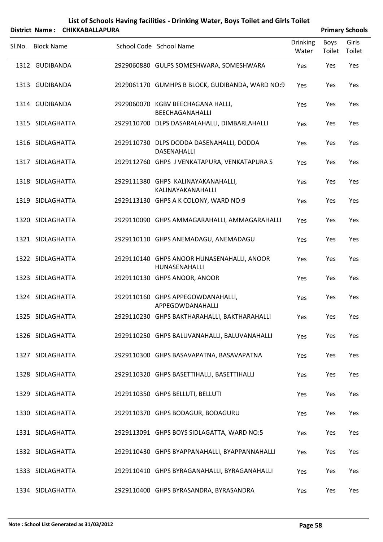| List of Schools Having facilities - Drinking Water, Boys Toilet and Girls Toilet |                        |
|----------------------------------------------------------------------------------|------------------------|
| Dictrict Name . CHIKKARAILADURA                                                  | <b>Primary Schools</b> |

|        |                   | DISTrict Name: СНІККАВАLLAPUKA |                                                             |                          |                | <b>Primary Schools</b> |
|--------|-------------------|--------------------------------|-------------------------------------------------------------|--------------------------|----------------|------------------------|
| SI.No. | <b>Block Name</b> |                                | School Code School Name                                     | <b>Drinking</b><br>Water | Boys<br>Toilet | Girls<br>Toilet        |
|        | 1312 GUDIBANDA    |                                | 2929060880 GULPS SOMESHWARA, SOMESHWARA                     | Yes                      | Yes            | Yes                    |
|        | 1313 GUDIBANDA    |                                | 2929061170 GUMHPS B BLOCK, GUDIBANDA, WARD NO:9             | Yes                      | Yes            | Yes                    |
|        | 1314 GUDIBANDA    |                                | 2929060070 KGBV BEECHAGANA HALLI,<br>BEECHAGANAHALLI        | Yes                      | Yes            | Yes                    |
|        | 1315 SIDLAGHATTA  |                                | 2929110700 DLPS DASARALAHALLI, DIMBARLAHALLI                | Yes                      | Yes            | Yes                    |
|        | 1316 SIDLAGHATTA  |                                | 2929110730 DLPS DODDA DASENAHALLI, DODDA<br>DASENAHALLI     | Yes                      | Yes            | Yes                    |
|        | 1317 SIDLAGHATTA  |                                | 2929112760 GHPS J VENKATAPURA, VENKATAPURA S                | Yes                      | Yes            | Yes                    |
|        | 1318 SIDLAGHATTA  |                                | 2929111380 GHPS KALINAYAKANAHALLI,<br>KALINAYAKANAHALLI     | Yes                      | Yes            | Yes                    |
|        | 1319 SIDLAGHATTA  |                                | 2929113130 GHPS A K COLONY, WARD NO:9                       | Yes                      | Yes            | Yes                    |
|        | 1320 SIDLAGHATTA  |                                | 2929110090 GHPS AMMAGARAHALLI, AMMAGARAHALLI                | Yes                      | Yes            | Yes                    |
|        | 1321 SIDLAGHATTA  |                                | 2929110110 GHPS ANEMADAGU, ANEMADAGU                        | Yes                      | Yes            | Yes                    |
|        | 1322 SIDLAGHATTA  |                                | 2929110140 GHPS ANOOR HUNASENAHALLI, ANOOR<br>HUNASENAHALLI | Yes                      | Yes            | Yes                    |
|        | 1323 SIDLAGHATTA  |                                | 2929110130 GHPS ANOOR, ANOOR                                | Yes                      | Yes            | Yes                    |
|        | 1324 SIDLAGHATTA  |                                | 2929110160 GHPS APPEGOWDANAHALLI,<br>APPEGOWDANAHALLI       | Yes                      | Yes            | Yes                    |
|        | 1325 SIDLAGHATTA  |                                | 2929110230 GHPS BAKTHARAHALLI, BAKTHARAHALLI                | Yes                      | Yes            | Yes                    |
|        | 1326 SIDLAGHATTA  |                                | 2929110250 GHPS BALUVANAHALLI, BALUVANAHALLI                | Yes                      | Yes            | Yes                    |
|        | 1327 SIDLAGHATTA  |                                | 2929110300 GHPS BASAVAPATNA, BASAVAPATNA                    | Yes                      | Yes            | Yes                    |
|        | 1328 SIDLAGHATTA  |                                | 2929110320 GHPS BASETTIHALLI, BASETTIHALLI                  | Yes                      | Yes            | Yes                    |
|        | 1329 SIDLAGHATTA  |                                | 2929110350 GHPS BELLUTI, BELLUTI                            | Yes                      | Yes            | Yes                    |
|        | 1330 SIDLAGHATTA  |                                | 2929110370 GHPS BODAGUR, BODAGURU                           | Yes                      | Yes            | Yes                    |
|        | 1331 SIDLAGHATTA  |                                | 2929113091 GHPS BOYS SIDLAGATTA, WARD NO:5                  | Yes                      | Yes            | Yes                    |
|        | 1332 SIDLAGHATTA  |                                | 2929110430 GHPS BYAPPANAHALLI, BYAPPANNAHALLI               | Yes                      | Yes            | Yes                    |
|        | 1333 SIDLAGHATTA  |                                | 2929110410 GHPS BYRAGANAHALLI, BYRAGANAHALLI                | Yes                      | Yes            | Yes                    |
|        | 1334 SIDLAGHATTA  |                                | 2929110400 GHPS BYRASANDRA, BYRASANDRA                      | Yes                      | Yes            | Yes                    |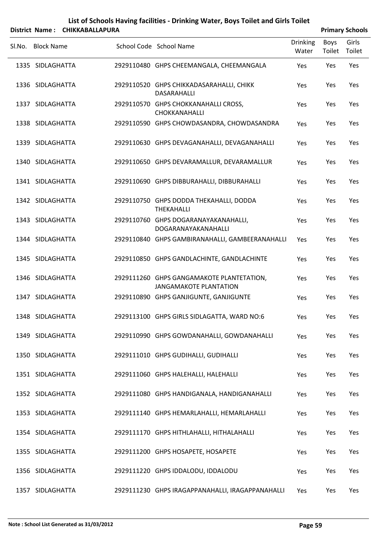| List of Schools Having facilities - Drinking Water, Boys Toilet and Girls Toilet |
|----------------------------------------------------------------------------------|
| District Name: CHIKKABALLAPURA                                                   |

| <b>Primary Schools</b> |
|------------------------|

| Sl.No. Block Name | School Code School Name                                                    | <b>Drinking</b><br>Water | Boys<br>Toilet | Girls<br>Toilet |
|-------------------|----------------------------------------------------------------------------|--------------------------|----------------|-----------------|
| 1335 SIDLAGHATTA  | 2929110480 GHPS CHEEMANGALA, CHEEMANGALA                                   | Yes                      | Yes            | Yes             |
| 1336 SIDLAGHATTA  | 2929110520 GHPS CHIKKADASARAHALLI, CHIKK<br>DASARAHALLI                    | Yes                      | Yes            | Yes             |
| 1337 SIDLAGHATTA  | 2929110570 GHPS CHOKKANAHALLI CROSS,<br>CHOKKANAHALLI                      | Yes                      | Yes            | Yes             |
| 1338 SIDLAGHATTA  | 2929110590 GHPS CHOWDASANDRA, CHOWDASANDRA                                 | Yes                      | Yes            | Yes             |
| 1339 SIDLAGHATTA  | 2929110630 GHPS DEVAGANAHALLI, DEVAGANAHALLI                               | Yes                      | Yes            | Yes             |
| 1340 SIDLAGHATTA  | 2929110650 GHPS DEVARAMALLUR, DEVARAMALLUR                                 | Yes                      | Yes            | Yes             |
| 1341 SIDLAGHATTA  | 2929110690 GHPS DIBBURAHALLI, DIBBURAHALLI                                 | Yes                      | Yes            | Yes             |
| 1342 SIDLAGHATTA  | 2929110750 GHPS DODDA THEKAHALLI, DODDA<br><b>THEKAHALLI</b>               | Yes                      | Yes            | Yes             |
| 1343 SIDLAGHATTA  | 2929110760 GHPS DOGARANAYAKANAHALLI,<br>DOGARANAYAKANAHALLI                | Yes                      | Yes            | Yes             |
| 1344 SIDLAGHATTA  | 2929110840 GHPS GAMBIRANAHALLI, GAMBEERANAHALLI                            | Yes                      | Yes            | Yes             |
| 1345 SIDLAGHATTA  | 2929110850 GHPS GANDLACHINTE, GANDLACHINTE                                 | Yes                      | Yes            | Yes             |
| 1346 SIDLAGHATTA  | 2929111260 GHPS GANGAMAKOTE PLANTETATION,<br><b>JANGAMAKOTE PLANTATION</b> | Yes                      | Yes            | Yes             |
| 1347 SIDLAGHATTA  | 2929110890 GHPS GANJIGUNTE, GANJIGUNTE                                     | Yes                      | Yes            | Yes             |
| 1348 SIDLAGHATTA  | 2929113100 GHPS GIRLS SIDLAGATTA, WARD NO:6                                | Yes                      | Yes            | Yes             |
| 1349 SIDLAGHATTA  | 2929110990 GHPS GOWDANAHALLI, GOWDANAHALLI                                 | Yes                      | Yes            | Yes             |
| 1350 SIDLAGHATTA  | 2929111010 GHPS GUDIHALLI, GUDIHALLI                                       | Yes                      | Yes            | Yes             |
| 1351 SIDLAGHATTA  | 2929111060 GHPS HALEHALLI, HALEHALLI                                       | Yes                      | Yes            | Yes             |
| 1352 SIDLAGHATTA  | 2929111080 GHPS HANDIGANALA, HANDIGANAHALLI                                | Yes                      | Yes            | Yes             |
| 1353 SIDLAGHATTA  | 2929111140 GHPS HEMARLAHALLI, HEMARLAHALLI                                 | Yes                      | Yes            | Yes             |
| 1354 SIDLAGHATTA  | 2929111170 GHPS HITHLAHALLI, HITHALAHALLI                                  | Yes                      | Yes            | Yes             |
| 1355 SIDLAGHATTA  | 2929111200 GHPS HOSAPETE, HOSAPETE                                         | Yes                      | Yes            | Yes             |
| 1356 SIDLAGHATTA  | 2929111220 GHPS IDDALODU, IDDALODU                                         | Yes                      | Yes            | Yes             |
| 1357 SIDLAGHATTA  | 2929111230 GHPS IRAGAPPANAHALLI, IRAGAPPANAHALLI                           | Yes                      | Yes            | Yes             |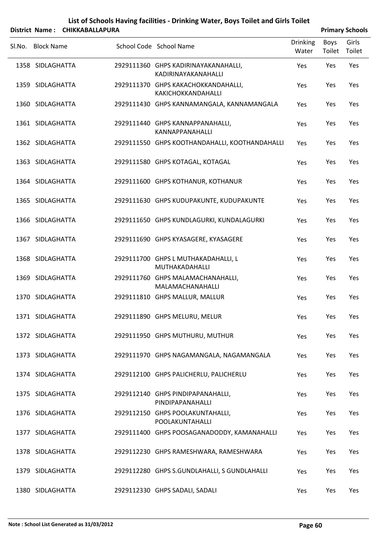|        |                   | District Name: CHIKKABALLAPURA |                                                             |                          |                | <b>Primary Schools</b> |
|--------|-------------------|--------------------------------|-------------------------------------------------------------|--------------------------|----------------|------------------------|
| SI.No. | <b>Block Name</b> |                                | School Code School Name                                     | <b>Drinking</b><br>Water | Boys<br>Toilet | Girls<br>Toilet        |
|        | 1358 SIDLAGHATTA  |                                | 2929111360 GHPS KADIRINAYAKANAHALLI,<br>KADIRINAYAKANAHALLI | Yes                      | Yes            | Yes                    |
|        | 1359 SIDLAGHATTA  |                                | 2929111370 GHPS KAKACHOKKANDAHALLI,<br>KAKICHOKKANDAHALLI   | Yes                      | Yes            | Yes                    |
|        | 1360 SIDLAGHATTA  |                                | 2929111430 GHPS KANNAMANGALA, KANNAMANGALA                  | Yes                      | Yes            | Yes                    |
|        | 1361 SIDLAGHATTA  |                                | 2929111440 GHPS KANNAPPANAHALLI,<br>KANNAPPANAHALLI         | Yes                      | Yes            | Yes                    |
|        | 1362 SIDLAGHATTA  |                                | 2929111550 GHPS KOOTHANDAHALLI, KOOTHANDAHALLI              | Yes                      | Yes            | Yes                    |
|        | 1363 SIDLAGHATTA  |                                | 2929111580 GHPS KOTAGAL, KOTAGAL                            | Yes                      | Yes            | Yes                    |
|        | 1364 SIDLAGHATTA  |                                | 2929111600 GHPS KOTHANUR, KOTHANUR                          | Yes                      | Yes            | Yes                    |
|        | 1365 SIDLAGHATTA  |                                | 2929111630 GHPS KUDUPAKUNTE, KUDUPAKUNTE                    | Yes                      | Yes            | Yes                    |
|        | 1366 SIDLAGHATTA  |                                | 2929111650 GHPS KUNDLAGURKI, KUNDALAGURKI                   | Yes                      | Yes            | Yes                    |
|        | 1367 SIDLAGHATTA  |                                | 2929111690 GHPS KYASAGERE, KYASAGERE                        | Yes                      | Yes            | Yes                    |
|        | 1368 SIDLAGHATTA  |                                | 2929111700 GHPS L MUTHAKADAHALLI, L<br>MUTHAKADAHALLI       | Yes                      | Yes            | Yes                    |
|        | 1369 SIDLAGHATTA  |                                | 2929111760 GHPS MALAMACHANAHALLI,<br>MALAMACHANAHALLI       | Yes                      | Yes            | Yes                    |
|        | 1370 SIDLAGHATTA  |                                | 2929111810 GHPS MALLUR, MALLUR                              | Yes                      | Yes            | Yes                    |
|        | 1371 SIDLAGHATTA  |                                | 2929111890 GHPS MELURU, MELUR                               | Yes                      | Yes            | Yes                    |
|        | 1372 SIDLAGHATTA  |                                | 2929111950 GHPS MUTHURU, MUTHUR                             | Yes                      | Yes            | Yes                    |
|        | 1373 SIDLAGHATTA  |                                | 2929111970 GHPS NAGAMANGALA, NAGAMANGALA                    | Yes                      | Yes            | Yes                    |
|        | 1374 SIDLAGHATTA  |                                | 2929112100 GHPS PALICHERLU, PALICHERLU                      | Yes                      | Yes            | Yes                    |
|        | 1375 SIDLAGHATTA  |                                | 2929112140 GHPS PINDIPAPANAHALLI,<br>PINDIPAPANAHALLI       | Yes                      | Yes            | Yes                    |
|        | 1376 SIDLAGHATTA  |                                | 2929112150 GHPS POOLAKUNTAHALLI,<br>POOLAKUNTAHALLI         | Yes                      | Yes            | Yes                    |
|        | 1377 SIDLAGHATTA  |                                | 2929111400 GHPS POOSAGANADODDY, KAMANAHALLI                 | Yes                      | Yes            | Yes                    |
|        | 1378 SIDLAGHATTA  |                                | 2929112230 GHPS RAMESHWARA, RAMESHWARA                      | Yes                      | Yes            | Yes                    |
|        | 1379 SIDLAGHATTA  |                                | 2929112280 GHPS S.GUNDLAHALLI, S GUNDLAHALLI                | Yes                      | Yes            | Yes                    |
|        | 1380 SIDLAGHATTA  |                                | 2929112330 GHPS SADALI, SADALI                              | Yes                      | Yes            | Yes                    |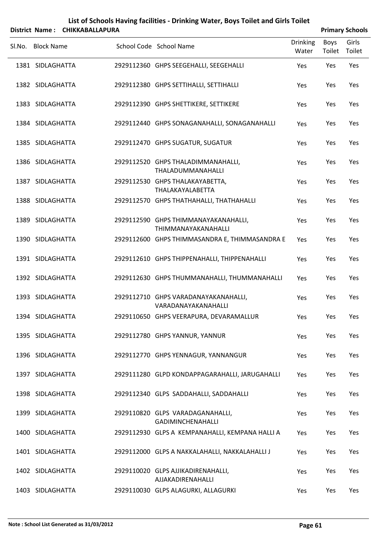|        |                   | District Name: CHIKKABALLAPURA |                                                              |                          |                | <b>Primary Schools</b> |
|--------|-------------------|--------------------------------|--------------------------------------------------------------|--------------------------|----------------|------------------------|
| SI.No. | <b>Block Name</b> |                                | School Code School Name                                      | <b>Drinking</b><br>Water | Boys<br>Toilet | Girls<br>Toilet        |
|        | 1381 SIDLAGHATTA  |                                | 2929112360 GHPS SEEGEHALLI, SEEGEHALLI                       | Yes                      | Yes            | Yes                    |
|        | 1382 SIDLAGHATTA  |                                | 2929112380 GHPS SETTIHALLI, SETTIHALLI                       | Yes                      | Yes            | Yes                    |
|        | 1383 SIDLAGHATTA  |                                | 2929112390 GHPS SHETTIKERE, SETTIKERE                        | Yes                      | Yes            | Yes                    |
|        | 1384 SIDLAGHATTA  |                                | 2929112440 GHPS SONAGANAHALLI, SONAGANAHALLI                 | Yes                      | Yes            | Yes                    |
|        | 1385 SIDLAGHATTA  |                                | 2929112470 GHPS SUGATUR, SUGATUR                             | Yes                      | Yes            | Yes                    |
|        | 1386 SIDLAGHATTA  |                                | 2929112520 GHPS THALADIMMANAHALLI,<br>THALADUMMANAHALLI      | Yes                      | Yes            | Yes                    |
|        | 1387 SIDLAGHATTA  |                                | 2929112530 GHPS THALAKAYABETTA,<br>THALAKAYALABETTA          | Yes                      | Yes            | Yes                    |
|        | 1388 SIDLAGHATTA  |                                | 2929112570 GHPS THATHAHALLI, THATHAHALLI                     | Yes                      | Yes            | Yes                    |
|        | 1389 SIDLAGHATTA  |                                | 2929112590 GHPS THIMMANAYAKANAHALLI,<br>THIMMANAYAKANAHALLI  | Yes                      | Yes            | Yes                    |
|        | 1390 SIDLAGHATTA  |                                | 2929112600 GHPS THIMMASANDRA E, THIMMASANDRA E               | Yes                      | Yes            | Yes                    |
|        | 1391 SIDLAGHATTA  |                                | 2929112610 GHPS THIPPENAHALLI, THIPPENAHALLI                 | Yes                      | Yes            | Yes                    |
|        | 1392 SIDLAGHATTA  |                                | 2929112630 GHPS THUMMANAHALLI, THUMMANAHALLI                 | Yes                      | Yes            | Yes                    |
|        | 1393 SIDLAGHATTA  |                                | 2929112710 GHPS VARADANAYAKANAHALLI,<br>VARADANAYAKANAHALLI  | Yes                      | Yes            | Yes                    |
|        | 1394 SIDLAGHATTA  |                                | 2929110650 GHPS VEERAPURA, DEVARAMALLUR                      | Yes                      | Yes            | Yes                    |
|        | 1395 SIDLAGHATTA  |                                | 2929112780 GHPS YANNUR, YANNUR                               | Yes                      | Yes            | Yes                    |
|        | 1396 SIDLAGHATTA  |                                | 2929112770 GHPS YENNAGUR, YANNANGUR                          | Yes                      | Yes            | Yes                    |
|        | 1397 SIDLAGHATTA  |                                | 2929111280 GLPD KONDAPPAGARAHALLI, JARUGAHALLI               | Yes                      | Yes            | Yes                    |
|        | 1398 SIDLAGHATTA  |                                | 2929112340 GLPS SADDAHALLI, SADDAHALLI                       | Yes                      | Yes            | Yes                    |
|        | 1399 SIDLAGHATTA  |                                | 2929110820 GLPS VARADAGANAHALLI,<br><b>GADIMINCHENAHALLI</b> | Yes                      | Yes            | Yes                    |
|        | 1400 SIDLAGHATTA  |                                | 2929112930 GLPS A KEMPANAHALLI, KEMPANA HALLI A              | Yes                      | Yes            | Yes                    |
|        | 1401 SIDLAGHATTA  |                                | 2929112000 GLPS A NAKKALAHALLI, NAKKALAHALLI J               | Yes                      | Yes            | Yes                    |
|        | 1402 SIDLAGHATTA  |                                | 2929110020 GLPS AJJIKADIRENAHALLI,<br>AJJAKADIRENAHALLI      | Yes                      | Yes            | Yes                    |
|        | 1403 SIDLAGHATTA  |                                | 2929110030 GLPS ALAGURKI, ALLAGURKI                          | Yes                      | Yes            | Yes                    |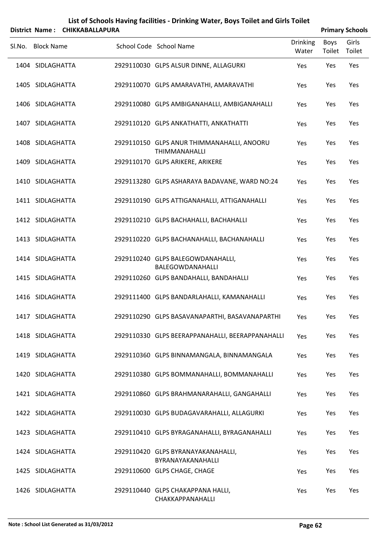|   | List of Schools Having facilities - Drinking Water, Boys Toilet and Girls Toilet |
|---|----------------------------------------------------------------------------------|
| . |                                                                                  |

|        |                   | District Name: CHIKKABALLAPURA |                                                                    |                          |                       | <b>Primary Schools</b> |
|--------|-------------------|--------------------------------|--------------------------------------------------------------------|--------------------------|-----------------------|------------------------|
| SI.No. | <b>Block Name</b> |                                | School Code School Name                                            | <b>Drinking</b><br>Water | <b>Boys</b><br>Toilet | Girls<br>Toilet        |
|        | 1404 SIDLAGHATTA  |                                | 2929110030 GLPS ALSUR DINNE, ALLAGURKI                             | Yes                      | Yes                   | Yes                    |
|        | 1405 SIDLAGHATTA  |                                | 2929110070 GLPS AMARAVATHI, AMARAVATHI                             | Yes                      | Yes                   | Yes                    |
|        | 1406 SIDLAGHATTA  |                                | 2929110080 GLPS AMBIGANAHALLI, AMBIGANAHALLI                       | Yes                      | Yes                   | Yes                    |
|        | 1407 SIDLAGHATTA  |                                | 2929110120 GLPS ANKATHATTI, ANKATHATTI                             | Yes                      | Yes                   | Yes                    |
|        | 1408 SIDLAGHATTA  |                                | 2929110150 GLPS ANUR THIMMANAHALLI, ANOORU<br><b>THIMMANAHALLI</b> | Yes                      | Yes                   | Yes                    |
|        | 1409 SIDLAGHATTA  |                                | 2929110170 GLPS ARIKERE, ARIKERE                                   | Yes                      | Yes                   | Yes                    |
|        | 1410 SIDLAGHATTA  |                                | 2929113280 GLPS ASHARAYA BADAVANE, WARD NO:24                      | Yes                      | Yes                   | Yes                    |
|        | 1411 SIDLAGHATTA  |                                | 2929110190 GLPS ATTIGANAHALLI, ATTIGANAHALLI                       | Yes                      | Yes                   | Yes                    |
|        | 1412 SIDLAGHATTA  |                                | 2929110210 GLPS BACHAHALLI, BACHAHALLI                             | Yes                      | Yes                   | Yes                    |
|        | 1413 SIDLAGHATTA  |                                | 2929110220 GLPS BACHANAHALLI, BACHANAHALLI                         | Yes                      | Yes                   | Yes                    |
|        | 1414 SIDLAGHATTA  |                                | 2929110240 GLPS BALEGOWDANAHALLI,<br>BALEGOWDANAHALLI              | Yes                      | Yes                   | Yes                    |
|        | 1415 SIDLAGHATTA  |                                | 2929110260 GLPS BANDAHALLI, BANDAHALLI                             | Yes                      | Yes                   | Yes                    |
|        | 1416 SIDLAGHATTA  |                                | 2929111400 GLPS BANDARLAHALLI, KAMANAHALLI                         | Yes                      | Yes                   | Yes                    |
|        | 1417 SIDLAGHATTA  |                                | 2929110290 GLPS BASAVANAPARTHI, BASAVANAPARTHI                     | Yes                      | Yes                   | Yes                    |
|        | 1418 SIDLAGHATTA  |                                | 2929110330 GLPS BEERAPPANAHALLI, BEERAPPANAHALLI                   | Yes                      | Yes                   | Yes                    |
|        | 1419 SIDLAGHATTA  |                                | 2929110360 GLPS BINNAMANGALA, BINNAMANGALA                         | Yes                      | Yes                   | Yes                    |
|        | 1420 SIDLAGHATTA  |                                | 2929110380 GLPS BOMMANAHALLI, BOMMANAHALLI                         | Yes                      | Yes                   | Yes                    |
|        | 1421 SIDLAGHATTA  |                                | 2929110860 GLPS BRAHMANARAHALLI, GANGAHALLI                        | Yes                      | Yes                   | Yes                    |
|        | 1422 SIDLAGHATTA  |                                | 2929110030 GLPS BUDAGAVARAHALLI, ALLAGURKI                         | Yes                      | Yes                   | Yes                    |
|        | 1423 SIDLAGHATTA  |                                | 2929110410 GLPS BYRAGANAHALLI, BYRAGANAHALLI                       | Yes                      | Yes                   | Yes                    |
|        | 1424 SIDLAGHATTA  |                                | 2929110420 GLPS BYRANAYAKANAHALLI,<br>BYRANAYAKANAHALLI            | Yes                      | Yes                   | Yes                    |
|        | 1425 SIDLAGHATTA  |                                | 2929110600 GLPS CHAGE, CHAGE                                       | Yes                      | Yes                   | Yes                    |
|        | 1426 SIDLAGHATTA  |                                | 2929110440 GLPS CHAKAPPANA HALLI,<br>CHAKKAPPANAHALLI              | Yes                      | Yes                   | Yes                    |

 $\overline{a}$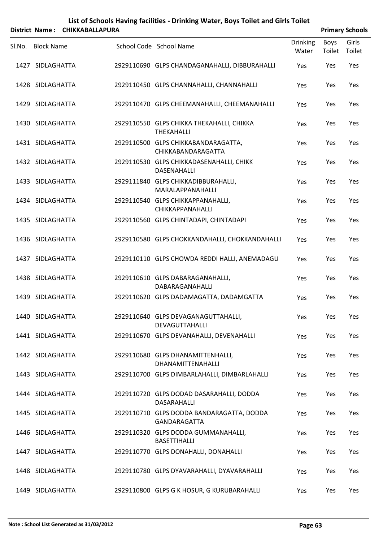|        |                   | District Name: CHIKKABALLAPURA |                                                                  |                          |                | <b>Primary Schools</b> |
|--------|-------------------|--------------------------------|------------------------------------------------------------------|--------------------------|----------------|------------------------|
| SI.No. | <b>Block Name</b> |                                | School Code School Name                                          | <b>Drinking</b><br>Water | Boys<br>Toilet | Girls<br>Toilet        |
|        | 1427 SIDLAGHATTA  |                                | 2929110690 GLPS CHANDAGANAHALLI, DIBBURAHALLI                    | Yes                      | Yes            | Yes                    |
|        | 1428 SIDLAGHATTA  |                                | 2929110450 GLPS CHANNAHALLI, CHANNAHALLI                         | Yes                      | Yes            | Yes                    |
|        | 1429 SIDLAGHATTA  |                                | 2929110470 GLPS CHEEMANAHALLI, CHEEMANAHALLI                     | Yes                      | Yes            | Yes                    |
|        | 1430 SIDLAGHATTA  |                                | 2929110550 GLPS CHIKKA THEKAHALLI, CHIKKA<br><b>THEKAHALLI</b>   | Yes                      | Yes            | Yes                    |
|        | 1431 SIDLAGHATTA  |                                | 2929110500 GLPS CHIKKABANDARAGATTA,<br><b>CHIKKABANDARAGATTA</b> | Yes                      | Yes            | Yes                    |
|        | 1432 SIDLAGHATTA  |                                | 2929110530 GLPS CHIKKADASENAHALLI, CHIKK<br>DASENAHALLI          | Yes                      | Yes            | Yes                    |
|        | 1433 SIDLAGHATTA  |                                | 2929111840 GLPS CHIKKADIBBURAHALLI,<br>MARALAPPANAHALLI          | Yes                      | Yes            | Yes                    |
|        | 1434 SIDLAGHATTA  |                                | 2929110540 GLPS CHIKKAPPANAHALLI,<br>CHIKKAPPANAHALLI            | Yes                      | Yes            | Yes                    |
|        | 1435 SIDLAGHATTA  |                                | 2929110560 GLPS CHINTADAPI, CHINTADAPI                           | Yes                      | Yes            | Yes                    |
|        | 1436 SIDLAGHATTA  |                                | 2929110580 GLPS CHOKKANDAHALLI, CHOKKANDAHALLI                   | Yes                      | Yes            | Yes                    |
|        | 1437 SIDLAGHATTA  |                                | 2929110110 GLPS CHOWDA REDDI HALLI, ANEMADAGU                    | Yes                      | Yes            | Yes                    |
|        | 1438 SIDLAGHATTA  |                                | 2929110610 GLPS DABARAGANAHALLI,<br>DABARAGANAHALLI              | Yes                      | Yes            | Yes                    |
|        | 1439 SIDLAGHATTA  |                                | 2929110620 GLPS DADAMAGATTA, DADAMGATTA                          | Yes                      | Yes            | Yes                    |
|        | 1440 SIDLAGHATTA  |                                | 2929110640 GLPS DEVAGANAGUTTAHALLI,<br>DEVAGUTTAHALLI            | Yes                      | Yes            | Yes                    |
|        | 1441 SIDLAGHATTA  |                                | 2929110670 GLPS DEVANAHALLI, DEVENAHALLI                         | Yes                      | Yes            | Yes                    |
|        | 1442 SIDLAGHATTA  |                                | 2929110680 GLPS DHANAMITTENHALLI,<br>DHANAMITTENAHALLI           | Yes                      | Yes            | Yes                    |
|        | 1443 SIDLAGHATTA  |                                | 2929110700 GLPS DIMBARLAHALLI, DIMBARLAHALLI                     | Yes                      | Yes            | Yes                    |
|        | 1444 SIDLAGHATTA  |                                | 2929110720 GLPS DODAD DASARAHALLI, DODDA<br>DASARAHALLI          | Yes                      | Yes            | Yes                    |
|        | 1445 SIDLAGHATTA  |                                | 2929110710 GLPS DODDA BANDARAGATTA, DODDA<br>GANDARAGATTA        | Yes                      | Yes            | Yes                    |
|        | 1446 SIDLAGHATTA  |                                | 2929110320 GLPS DODDA GUMMANAHALLI,<br><b>BASETTIHALLI</b>       | Yes                      | Yes            | Yes                    |
|        | 1447 SIDLAGHATTA  |                                | 2929110770 GLPS DONAHALLI, DONAHALLI                             | Yes                      | Yes            | Yes                    |
|        | 1448 SIDLAGHATTA  |                                | 2929110780 GLPS DYAVARAHALLI, DYAVARAHALLI                       | Yes                      | Yes            | Yes                    |
|        | 1449 SIDLAGHATTA  |                                | 2929110800 GLPS G K HOSUR, G KURUBARAHALLI                       | Yes                      | Yes            | Yes                    |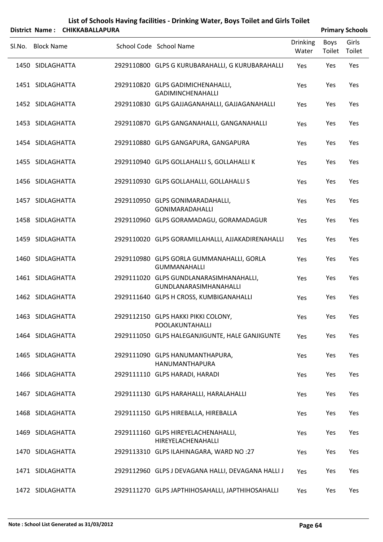| List of Schools Having facilities - Drinking Water, Boys Toilet and Girls Toilet |
|----------------------------------------------------------------------------------|
| District Name: CHIKKABALLAPURA                                                   |

| <b>Primary Schools</b> |
|------------------------|

| Sl.No. Block Name | School Code School Name                                           | <b>Drinking</b><br>Water | Boys<br>Toilet | Girls<br>Toilet |
|-------------------|-------------------------------------------------------------------|--------------------------|----------------|-----------------|
| 1450 SIDLAGHATTA  | 2929110800 GLPS G KURUBARAHALLI, G KURUBARAHALLI                  | Yes                      | Yes            | Yes             |
| 1451 SIDLAGHATTA  | 2929110820 GLPS GADIMICHENAHALLI,<br>GADIMINCHENAHALLI            | Yes                      | Yes            | Yes             |
| 1452 SIDLAGHATTA  | 2929110830 GLPS GAJJAGANAHALLI, GAJJAGANAHALLI                    | Yes                      | Yes            | Yes             |
| 1453 SIDLAGHATTA  | 2929110870 GLPS GANGANAHALLI, GANGANAHALLI                        | Yes                      | Yes            | Yes             |
| 1454 SIDLAGHATTA  | 2929110880 GLPS GANGAPURA, GANGAPURA                              | Yes                      | Yes            | Yes             |
| 1455 SIDLAGHATTA  | 2929110940 GLPS GOLLAHALLI S, GOLLAHALLI K                        | Yes                      | Yes            | Yes             |
| 1456 SIDLAGHATTA  | 2929110930 GLPS GOLLAHALLI, GOLLAHALLI S                          | Yes                      | Yes            | Yes             |
| 1457 SIDLAGHATTA  | 2929110950 GLPS GONIMARADAHALLI,<br><b>GONIMARADAHALLI</b>        | Yes                      | Yes            | Yes             |
| 1458 SIDLAGHATTA  | 2929110960 GLPS GORAMADAGU, GORAMADAGUR                           | Yes                      | Yes            | Yes             |
| 1459 SIDLAGHATTA  | 2929110020 GLPS GORAMILLAHALLI, AJJAKADIRENAHALLI                 | Yes                      | Yes            | Yes             |
| 1460 SIDLAGHATTA  | 2929110980 GLPS GORLA GUMMANAHALLI, GORLA<br><b>GUMMANAHALLI</b>  | Yes                      | Yes            | Yes             |
| 1461 SIDLAGHATTA  | 2929111020 GLPS GUNDLANARASIMHANAHALLI,<br>GUNDLANARASIMHANAHALLI | Yes                      | Yes            | Yes             |
| 1462 SIDLAGHATTA  | 2929111640 GLPS H CROSS, KUMBIGANAHALLI                           | Yes                      | Yes            | Yes             |
| 1463 SIDLAGHATTA  | 2929112150 GLPS HAKKI PIKKI COLONY,<br>POOLAKUNTAHALLI            | Yes                      | Yes            | Yes             |
| 1464 SIDLAGHATTA  | 2929111050 GLPS HALEGANJIGUNTE, HALE GANJIGUNTE                   | Yes                      | Yes            | Yes             |
| 1465 SIDLAGHATTA  | 2929111090 GLPS HANUMANTHAPURA,<br>HANUMANTHAPURA                 | Yes                      | Yes            | Yes             |
| 1466 SIDLAGHATTA  | 2929111110 GLPS HARADI, HARADI                                    | Yes                      | Yes            | Yes             |
| 1467 SIDLAGHATTA  | 2929111130 GLPS HARAHALLI, HARALAHALLI                            | Yes                      | Yes            | Yes             |
| 1468 SIDLAGHATTA  | 2929111150 GLPS HIREBALLA, HIREBALLA                              | Yes                      | Yes            | Yes             |
| 1469 SIDLAGHATTA  | 2929111160 GLPS HIREYELACHENAHALLI,<br>HIREYELACHENAHALLI         | Yes                      | Yes            | Yes             |
| 1470 SIDLAGHATTA  | 2929113310 GLPS ILAHINAGARA, WARD NO :27                          | Yes                      | Yes            | Yes             |
| 1471 SIDLAGHATTA  | 2929112960 GLPS J DEVAGANA HALLI, DEVAGANA HALLI J                | Yes                      | Yes            | Yes             |
| 1472 SIDLAGHATTA  | 2929111270 GLPS JAPTHIHOSAHALLI, JAPTHIHOSAHALLI                  | Yes                      | Yes            | Yes             |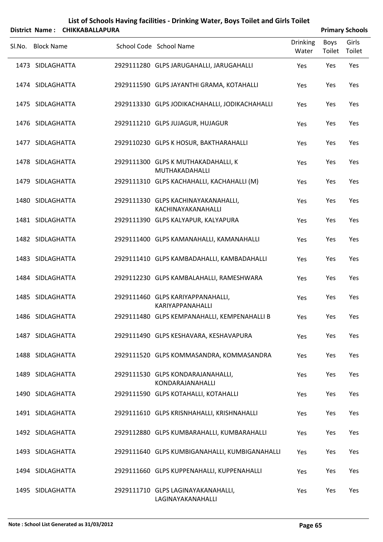| List of Schools Having facilities - Drinking Water, Boys Toilet and Girls Toilet |
|----------------------------------------------------------------------------------|
| District Name: CHIKKARAIIAPURA                                                   |

| <b>Primary Schools</b> |
|------------------------|
|------------------------|

| Boys<br>Toilet | Girls  |
|----------------|--------|
|                | Toilet |
| Yes            | Yes    |
| Yes            | Yes    |
| Yes            | Yes    |
| Yes            | Yes    |
| Yes            | Yes    |
| Yes            | Yes    |
| Yes            | Yes    |
| Yes            | Yes    |
| Yes            | Yes    |
| Yes            | Yes    |
| Yes            | Yes    |
| Yes            | Yes    |
| Yes            | Yes    |
| Yes            | Yes    |
| Yes            | Yes    |
| Yes            | Yes    |
| Yes            | Yes    |
| Yes            | Yes    |
| Yes            | Yes    |
| Yes            | Yes    |
| Yes            | Yes    |
| Yes            | Yes    |
| Yes            | Yes    |
|                |        |

 $\overline{a}$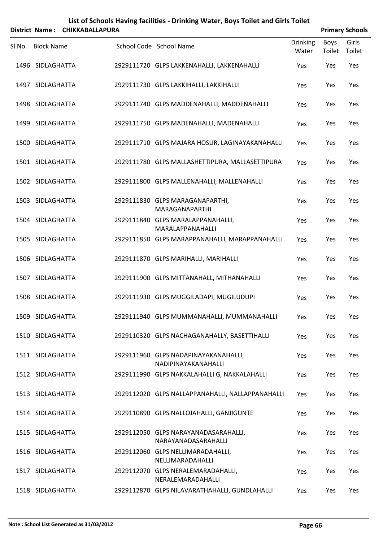| List of Schools Having facilities - Drinking Water, Boys Toilet and Girls Toilet |
|----------------------------------------------------------------------------------|
|                                                                                  |

|        | District Name: CHIKKABALLAPURA |                                                             |                          |                | <b>Primary Schools</b> |
|--------|--------------------------------|-------------------------------------------------------------|--------------------------|----------------|------------------------|
| Sl.No. | <b>Block Name</b>              | School Code School Name                                     | <b>Drinking</b><br>Water | Boys<br>Toilet | Girls<br>Toilet        |
|        | 1496 SIDLAGHATTA               | 2929111720 GLPS LAKKENAHALLI, LAKKENAHALLI                  | Yes                      | Yes            | Yes                    |
|        | 1497 SIDLAGHATTA               | 2929111730 GLPS LAKKIHALLI, LAKKIHALLI                      | Yes                      | Yes            | Yes                    |
|        | 1498 SIDLAGHATTA               | 2929111740 GLPS MADDENAHALLI, MADDENAHALLI                  | Yes                      | Yes            | Yes                    |
|        | 1499 SIDLAGHATTA               | 2929111750 GLPS MADENAHALLI, MADENAHALLI                    | Yes                      | Yes            | Yes                    |
|        | 1500 SIDLAGHATTA               | 2929111710 GLPS MAJARA HOSUR, LAGINAYAKANAHALLI             | Yes                      | Yes            | Yes                    |
|        | 1501 SIDLAGHATTA               | 2929111780 GLPS MALLASHETTIPURA, MALLASETTIPURA             | Yes                      | Yes            | Yes                    |
|        | 1502 SIDLAGHATTA               | 2929111800 GLPS MALLENAHALLI, MALLENAHALLI                  | Yes                      | Yes            | Yes                    |
|        | 1503 SIDLAGHATTA               | 2929111830 GLPS MARAGANAPARTHI,<br>MARAGANAPARTHI           | Yes                      | Yes            | Yes                    |
|        | 1504 SIDLAGHATTA               | 2929111840 GLPS MARALAPPANAHALLI,<br>MARALAPPANAHALLI       | Yes                      | Yes            | Yes                    |
|        | 1505 SIDLAGHATTA               | 2929111850 GLPS MARAPPANAHALLI, MARAPPANAHALLI              | Yes                      | Yes            | Yes                    |
|        | 1506 SIDLAGHATTA               | 2929111870 GLPS MARIHALLI, MARIHALLI                        | Yes                      | Yes            | Yes                    |
|        | 1507 SIDLAGHATTA               | 2929111900 GLPS MITTANAHALL, MITHANAHALLI                   | Yes                      | Yes            | Yes                    |
|        | 1508 SIDLAGHATTA               | 2929111930 GLPS MUGGILADAPI, MUGILUDUPI                     | Yes                      | Yes            | Yes                    |
|        | 1509 SIDLAGHATTA               | 2929111940 GLPS MUMMANAHALLI, MUMMANAHALLI                  | Yes                      | Yes            | Yes                    |
|        | 1510 SIDLAGHATTA               | 2929110320 GLPS NACHAGANAHALLY, BASETTIHALLI                | Yes                      | Yes            | Yes                    |
|        | 1511 SIDLAGHATTA               | 2929111960 GLPS NADAPINAYAKANAHALLI,<br>NADIPINAYAKANAHALLI | Yes                      | Yes            | Yes                    |
|        | 1512 SIDLAGHATTA               | 2929111990 GLPS NAKKALAHALLI G, NAKKALAHALLI                | Yes                      | Yes            | Yes                    |
|        | 1513 SIDLAGHATTA               | 2929112020 GLPS NALLAPPANAHALLI, NALLAPPANAHALLI            | Yes                      | Yes            | Yes                    |
|        | 1514 SIDLAGHATTA               | 2929110890 GLPS NALLOJAHALLI, GANJIGUNTE                    | Yes                      | Yes            | Yes                    |
|        | 1515 SIDLAGHATTA               | 2929112050 GLPS NARAYANADASARAHALLI,<br>NARAYANADASARAHALLI | Yes                      | Yes            | Yes                    |
|        | 1516 SIDLAGHATTA               | 2929112060 GLPS NELLIMARADAHALLI,<br>NELLIMARADAHALLI       | Yes                      | Yes            | Yes                    |
|        | 1517 SIDLAGHATTA               | 2929112070 GLPS NERALEMARADAHALLI,<br>NERALEMARADAHALLI     | Yes                      | Yes            | Yes                    |
|        | 1518 SIDLAGHATTA               | 2929112870 GLPS NILAVARATHAHALLI, GUNDLAHALLI               | Yes                      | Yes            | Yes                    |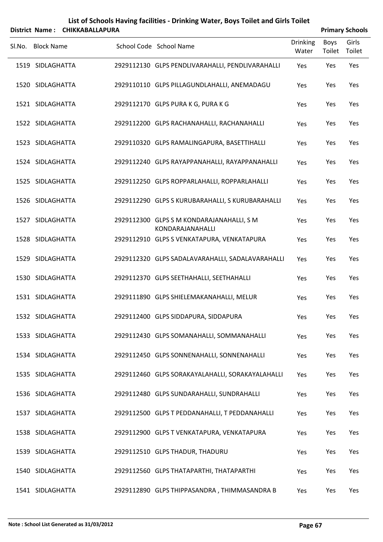|  |                                                                                                                                                                                                                                                                                                                                                                                                                                                                           |                                |                                                                                                                                                                                                                                                                                                                                                                                                                                                                                                                                                                                                                                                                                                                                                                                                                                                                                                                                                                                                                                                                               |                       | <b>Primary Schools</b> |
|--|---------------------------------------------------------------------------------------------------------------------------------------------------------------------------------------------------------------------------------------------------------------------------------------------------------------------------------------------------------------------------------------------------------------------------------------------------------------------------|--------------------------------|-------------------------------------------------------------------------------------------------------------------------------------------------------------------------------------------------------------------------------------------------------------------------------------------------------------------------------------------------------------------------------------------------------------------------------------------------------------------------------------------------------------------------------------------------------------------------------------------------------------------------------------------------------------------------------------------------------------------------------------------------------------------------------------------------------------------------------------------------------------------------------------------------------------------------------------------------------------------------------------------------------------------------------------------------------------------------------|-----------------------|------------------------|
|  |                                                                                                                                                                                                                                                                                                                                                                                                                                                                           |                                | <b>Drinking</b><br>Water                                                                                                                                                                                                                                                                                                                                                                                                                                                                                                                                                                                                                                                                                                                                                                                                                                                                                                                                                                                                                                                      | <b>Boys</b><br>Toilet | Girls<br>Toilet        |
|  |                                                                                                                                                                                                                                                                                                                                                                                                                                                                           |                                | Yes                                                                                                                                                                                                                                                                                                                                                                                                                                                                                                                                                                                                                                                                                                                                                                                                                                                                                                                                                                                                                                                                           | Yes                   | Yes                    |
|  |                                                                                                                                                                                                                                                                                                                                                                                                                                                                           |                                | Yes                                                                                                                                                                                                                                                                                                                                                                                                                                                                                                                                                                                                                                                                                                                                                                                                                                                                                                                                                                                                                                                                           | Yes                   | Yes                    |
|  |                                                                                                                                                                                                                                                                                                                                                                                                                                                                           |                                | Yes                                                                                                                                                                                                                                                                                                                                                                                                                                                                                                                                                                                                                                                                                                                                                                                                                                                                                                                                                                                                                                                                           | Yes                   | Yes                    |
|  |                                                                                                                                                                                                                                                                                                                                                                                                                                                                           |                                | Yes                                                                                                                                                                                                                                                                                                                                                                                                                                                                                                                                                                                                                                                                                                                                                                                                                                                                                                                                                                                                                                                                           | Yes                   | Yes                    |
|  |                                                                                                                                                                                                                                                                                                                                                                                                                                                                           |                                | Yes                                                                                                                                                                                                                                                                                                                                                                                                                                                                                                                                                                                                                                                                                                                                                                                                                                                                                                                                                                                                                                                                           | Yes                   | Yes                    |
|  |                                                                                                                                                                                                                                                                                                                                                                                                                                                                           |                                | Yes                                                                                                                                                                                                                                                                                                                                                                                                                                                                                                                                                                                                                                                                                                                                                                                                                                                                                                                                                                                                                                                                           | Yes                   | Yes                    |
|  |                                                                                                                                                                                                                                                                                                                                                                                                                                                                           |                                | Yes                                                                                                                                                                                                                                                                                                                                                                                                                                                                                                                                                                                                                                                                                                                                                                                                                                                                                                                                                                                                                                                                           | Yes                   | Yes                    |
|  |                                                                                                                                                                                                                                                                                                                                                                                                                                                                           |                                | Yes                                                                                                                                                                                                                                                                                                                                                                                                                                                                                                                                                                                                                                                                                                                                                                                                                                                                                                                                                                                                                                                                           | Yes                   | Yes                    |
|  |                                                                                                                                                                                                                                                                                                                                                                                                                                                                           | KONDARAJANAHALLI               | Yes                                                                                                                                                                                                                                                                                                                                                                                                                                                                                                                                                                                                                                                                                                                                                                                                                                                                                                                                                                                                                                                                           | Yes                   | Yes                    |
|  |                                                                                                                                                                                                                                                                                                                                                                                                                                                                           |                                | Yes                                                                                                                                                                                                                                                                                                                                                                                                                                                                                                                                                                                                                                                                                                                                                                                                                                                                                                                                                                                                                                                                           | Yes                   | Yes                    |
|  |                                                                                                                                                                                                                                                                                                                                                                                                                                                                           |                                | Yes                                                                                                                                                                                                                                                                                                                                                                                                                                                                                                                                                                                                                                                                                                                                                                                                                                                                                                                                                                                                                                                                           | Yes                   | Yes                    |
|  |                                                                                                                                                                                                                                                                                                                                                                                                                                                                           |                                | Yes                                                                                                                                                                                                                                                                                                                                                                                                                                                                                                                                                                                                                                                                                                                                                                                                                                                                                                                                                                                                                                                                           | Yes                   | Yes                    |
|  |                                                                                                                                                                                                                                                                                                                                                                                                                                                                           |                                | Yes                                                                                                                                                                                                                                                                                                                                                                                                                                                                                                                                                                                                                                                                                                                                                                                                                                                                                                                                                                                                                                                                           | Yes                   | Yes                    |
|  |                                                                                                                                                                                                                                                                                                                                                                                                                                                                           |                                | Yes                                                                                                                                                                                                                                                                                                                                                                                                                                                                                                                                                                                                                                                                                                                                                                                                                                                                                                                                                                                                                                                                           | Yes                   | Yes                    |
|  |                                                                                                                                                                                                                                                                                                                                                                                                                                                                           |                                | Yes                                                                                                                                                                                                                                                                                                                                                                                                                                                                                                                                                                                                                                                                                                                                                                                                                                                                                                                                                                                                                                                                           | Yes                   | Yes                    |
|  |                                                                                                                                                                                                                                                                                                                                                                                                                                                                           |                                | Yes                                                                                                                                                                                                                                                                                                                                                                                                                                                                                                                                                                                                                                                                                                                                                                                                                                                                                                                                                                                                                                                                           | Yes                   | Yes                    |
|  |                                                                                                                                                                                                                                                                                                                                                                                                                                                                           |                                | Yes                                                                                                                                                                                                                                                                                                                                                                                                                                                                                                                                                                                                                                                                                                                                                                                                                                                                                                                                                                                                                                                                           | Yes                   | Yes                    |
|  |                                                                                                                                                                                                                                                                                                                                                                                                                                                                           |                                | Yes                                                                                                                                                                                                                                                                                                                                                                                                                                                                                                                                                                                                                                                                                                                                                                                                                                                                                                                                                                                                                                                                           | Yes                   | Yes                    |
|  |                                                                                                                                                                                                                                                                                                                                                                                                                                                                           |                                | Yes                                                                                                                                                                                                                                                                                                                                                                                                                                                                                                                                                                                                                                                                                                                                                                                                                                                                                                                                                                                                                                                                           | Yes                   | Yes                    |
|  |                                                                                                                                                                                                                                                                                                                                                                                                                                                                           |                                | Yes                                                                                                                                                                                                                                                                                                                                                                                                                                                                                                                                                                                                                                                                                                                                                                                                                                                                                                                                                                                                                                                                           | Yes                   | Yes                    |
|  |                                                                                                                                                                                                                                                                                                                                                                                                                                                                           |                                | Yes                                                                                                                                                                                                                                                                                                                                                                                                                                                                                                                                                                                                                                                                                                                                                                                                                                                                                                                                                                                                                                                                           | Yes                   | Yes                    |
|  |                                                                                                                                                                                                                                                                                                                                                                                                                                                                           |                                | Yes                                                                                                                                                                                                                                                                                                                                                                                                                                                                                                                                                                                                                                                                                                                                                                                                                                                                                                                                                                                                                                                                           | Yes                   | Yes                    |
|  | <b>Block Name</b><br>1519 SIDLAGHATTA<br>1520 SIDLAGHATTA<br>1521 SIDLAGHATTA<br>1522 SIDLAGHATTA<br>1523 SIDLAGHATTA<br>1524 SIDLAGHATTA<br>1525 SIDLAGHATTA<br>1526 SIDLAGHATTA<br>1527 SIDLAGHATTA<br>1528 SIDLAGHATTA<br>1529 SIDLAGHATTA<br>1530 SIDLAGHATTA<br>1531 SIDLAGHATTA<br>1532 SIDLAGHATTA<br>1533 SIDLAGHATTA<br>1534 SIDLAGHATTA<br>1535 SIDLAGHATTA<br>1536 SIDLAGHATTA<br>1537 SIDLAGHATTA<br>1538 SIDLAGHATTA<br>1539 SIDLAGHATTA<br>1540 SIDLAGHATTA | District Name: CHIKKABALLAPURA | School Code School Name<br>2929112130 GLPS PENDLIVARAHALLI, PENDLIVARAHALLI<br>2929110110 GLPS PILLAGUNDLAHALLI, ANEMADAGU<br>2929112170 GLPS PURA K G, PURA K G<br>2929112200 GLPS RACHANAHALLI, RACHANAHALLI<br>2929110320 GLPS RAMALINGAPURA, BASETTIHALLI<br>2929112240 GLPS RAYAPPANAHALLI, RAYAPPANAHALLI<br>2929112250 GLPS ROPPARLAHALLI, ROPPARLAHALLI<br>2929112290 GLPS S KURUBARAHALLI, S KURUBARAHALLI<br>2929112300 GLPS S M KONDARAJANAHALLI, S M<br>2929112910 GLPS S VENKATAPURA, VENKATAPURA<br>2929112320 GLPS SADALAVARAHALLI, SADALAVARAHALLI<br>2929112370 GLPS SEETHAHALLI, SEETHAHALLI<br>2929111890 GLPS SHIELEMAKANAHALLI, MELUR<br>2929112400 GLPS SIDDAPURA, SIDDAPURA<br>2929112430 GLPS SOMANAHALLI, SOMMANAHALLI<br>2929112450 GLPS SONNENAHALLI, SONNENAHALLI<br>2929112460 GLPS SORAKAYALAHALLI, SORAKAYALAHALLI<br>2929112480 GLPS SUNDARAHALLI, SUNDRAHALLI<br>2929112500 GLPS T PEDDANAHALLI, T PEDDANAHALLI<br>2929112900 GLPS T VENKATAPURA, VENKATAPURA<br>2929112510 GLPS THADUR, THADURU<br>2929112560 GLPS THATAPARTHI, THATAPARTHI |                       |                        |

SIDLAGHATTA 2929112890 GLPS THIPPASANDRA , THIMMASANDRA B Yes Yes Yes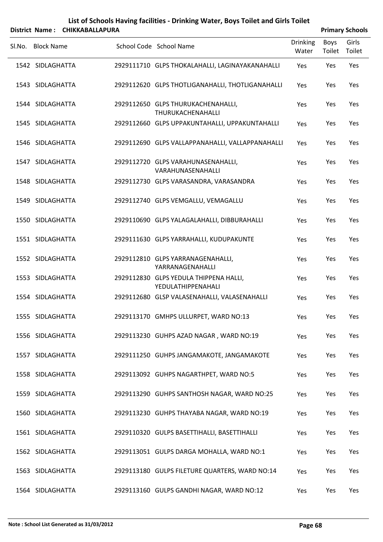|        | District Name: CHIKKABALLAPURA |                                                              |                          |                | <b>Primary Schools</b> |
|--------|--------------------------------|--------------------------------------------------------------|--------------------------|----------------|------------------------|
| SI.No. | <b>Block Name</b>              | School Code School Name                                      | <b>Drinking</b><br>Water | Boys<br>Toilet | Girls<br>Toilet        |
|        | 1542 SIDLAGHATTA               | 2929111710 GLPS THOKALAHALLI, LAGINAYAKANAHALLI              | Yes                      | Yes            | Yes                    |
|        | 1543 SIDLAGHATTA               | 2929112620 GLPS THOTLIGANAHALLI, THOTLIGANAHALLI             | Yes                      | Yes            | Yes                    |
|        | 1544 SIDLAGHATTA               | 2929112650 GLPS THURUKACHENAHALLI,<br>THURUKACHENAHALLI      | Yes                      | Yes            | Yes                    |
|        | 1545 SIDLAGHATTA               | 2929112660 GLPS UPPAKUNTAHALLI, UPPAKUNTAHALLI               | Yes                      | Yes            | Yes                    |
|        | 1546 SIDLAGHATTA               | 2929112690 GLPS VALLAPPANAHALLI, VALLAPPANAHALLI             | Yes                      | Yes            | Yes                    |
|        | 1547 SIDLAGHATTA               | 2929112720 GLPS VARAHUNASENAHALLI,<br>VARAHUNASENAHALLI      | Yes                      | Yes            | Yes                    |
|        | 1548 SIDLAGHATTA               | 2929112730 GLPS VARASANDRA, VARASANDRA                       | Yes                      | Yes            | Yes                    |
|        | 1549 SIDLAGHATTA               | 2929112740 GLPS VEMGALLU, VEMAGALLU                          | Yes                      | Yes            | Yes                    |
|        | 1550 SIDLAGHATTA               | 2929110690 GLPS YALAGALAHALLI, DIBBURAHALLI                  | Yes                      | Yes            | Yes                    |
|        | 1551 SIDLAGHATTA               | 2929111630 GLPS YARRAHALLI, KUDUPAKUNTE                      | Yes                      | Yes            | Yes                    |
|        | 1552 SIDLAGHATTA               | 2929112810 GLPS YARRANAGENAHALLI,<br>YARRANAGENAHALLI        | Yes                      | Yes            | Yes                    |
|        | 1553 SIDLAGHATTA               | 2929112830 GLPS YEDULA THIPPENA HALLI,<br>YEDULATHIPPENAHALI | Yes                      | Yes            | Yes                    |
|        | 1554 SIDLAGHATTA               | 2929112680 GLSP VALASENAHALLI, VALASENAHALLI                 | Yes                      | Yes            | Yes                    |
|        | 1555 SIDLAGHATTA               | 2929113170 GMHPS ULLURPET, WARD NO:13                        | Yes                      | Yes            | Yes                    |
|        | 1556 SIDLAGHATTA               | 2929113230 GUHPS AZAD NAGAR, WARD NO:19                      | Yes                      | Yes            | Yes                    |
|        | 1557 SIDLAGHATTA               | 2929111250 GUHPS JANGAMAKOTE, JANGAMAKOTE                    | Yes                      | Yes            | Yes                    |
|        | 1558 SIDLAGHATTA               | 2929113092 GUHPS NAGARTHPET, WARD NO:5                       | Yes                      | Yes            | Yes                    |
|        | 1559 SIDLAGHATTA               | 2929113290 GUHPS SANTHOSH NAGAR, WARD NO:25                  | Yes                      | Yes            | Yes                    |
|        | 1560 SIDLAGHATTA               | 2929113230 GUHPS THAYABA NAGAR, WARD NO:19                   | Yes                      | Yes            | Yes                    |
|        | 1561 SIDLAGHATTA               | 2929110320 GULPS BASETTIHALLI, BASETTIHALLI                  | Yes                      | Yes            | Yes                    |
|        | 1562 SIDLAGHATTA               | 2929113051 GULPS DARGA MOHALLA, WARD NO:1                    | Yes                      | Yes            | Yes                    |
|        | 1563 SIDLAGHATTA               | 2929113180 GULPS FILETURE QUARTERS, WARD NO:14               | Yes                      | Yes            | Yes                    |
|        | 1564 SIDLAGHATTA               | 2929113160 GULPS GANDHI NAGAR, WARD NO:12                    | Yes                      | Yes            | Yes                    |